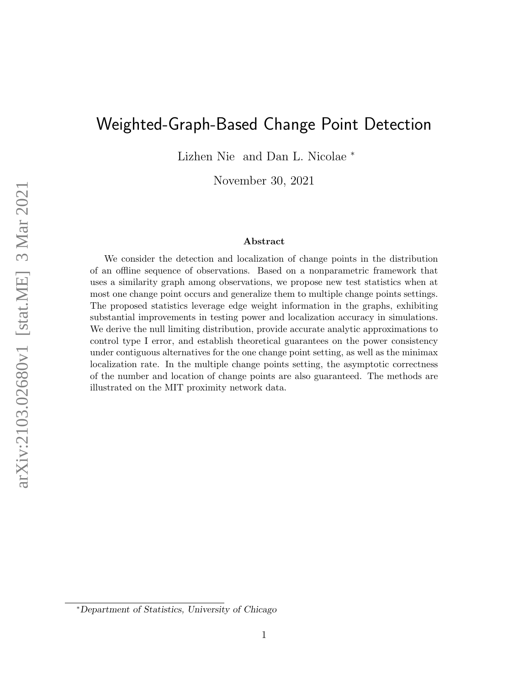# Weighted-Graph-Based Change Point Detection

Lizhen Nie and Dan L. Nicolae <sup>∗</sup>

November 30, 2021

#### Abstract

We consider the detection and localization of change points in the distribution of an offline sequence of observations. Based on a nonparametric framework that uses a similarity graph among observations, we propose new test statistics when at most one change point occurs and generalize them to multiple change points settings. The proposed statistics leverage edge weight information in the graphs, exhibiting substantial improvements in testing power and localization accuracy in simulations. We derive the null limiting distribution, provide accurate analytic approximations to control type I error, and establish theoretical guarantees on the power consistency under contiguous alternatives for the one change point setting, as well as the minimax localization rate. In the multiple change points setting, the asymptotic correctness of the number and location of change points are also guaranteed. The methods are illustrated on the MIT proximity network data.

<sup>∗</sup>Department of Statistics, University of Chicago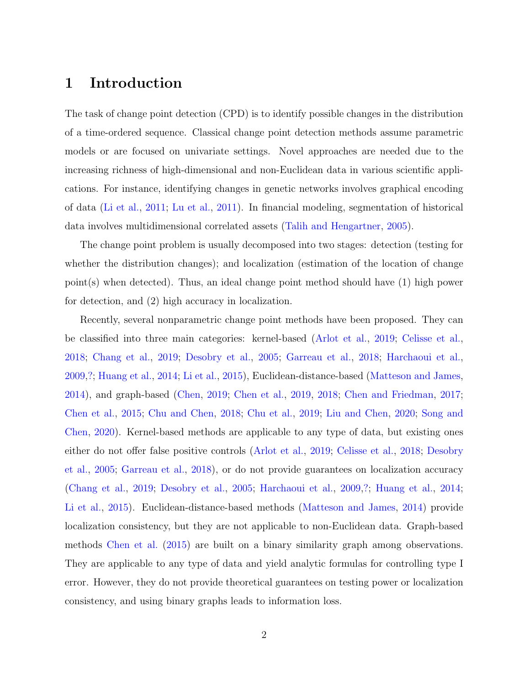## 1 Introduction

The task of change point detection (CPD) is to identify possible changes in the distribution of a time-ordered sequence. Classical change point detection methods assume parametric models or are focused on univariate settings. Novel approaches are needed due to the increasing richness of high-dimensional and non-Euclidean data in various scientific applications. For instance, identifying changes in genetic networks involves graphical encoding of data [\(Li et al.,](#page-27-0) [2011;](#page-27-0) [Lu et al.,](#page-27-1) [2011\)](#page-27-1). In financial modeling, segmentation of historical data involves multidimensional correlated assets [\(Talih and Hengartner,](#page-28-0) [2005\)](#page-28-0).

The change point problem is usually decomposed into two stages: detection (testing for whether the distribution changes); and localization (estimation of the location of change point(s) when detected). Thus, an ideal change point method should have (1) high power for detection, and (2) high accuracy in localization.

Recently, several nonparametric change point methods have been proposed. They can be classified into three main categories: kernel-based [\(Arlot et al.,](#page-25-0) [2019;](#page-25-0) [Celisse et al.,](#page-25-1) [2018;](#page-25-1) [Chang et al.,](#page-25-2) [2019;](#page-25-2) [Desobry et al.,](#page-26-0) [2005;](#page-26-0) [Garreau et al.,](#page-26-1) [2018;](#page-26-1) [Harchaoui et al.,](#page-26-2) [2009,](#page-26-2)[?;](#page-27-2) [Huang et al.,](#page-27-3) [2014;](#page-27-3) [Li et al.,](#page-27-4) [2015\)](#page-27-4), Euclidean-distance-based [\(Matteson and James,](#page-28-1) [2014\)](#page-28-1), and graph-based [\(Chen,](#page-25-3) [2019;](#page-25-3) [Chen et al.,](#page-25-4) [2019,](#page-25-4) [2018;](#page-25-5) [Chen and Friedman,](#page-25-6) [2017;](#page-25-6) [Chen et al.,](#page-25-7) [2015;](#page-25-7) [Chu and Chen,](#page-26-3) [2018;](#page-26-3) [Chu et al.,](#page-26-4) [2019;](#page-26-4) [Liu and Chen,](#page-27-5) [2020;](#page-27-5) [Song and](#page-28-2) [Chen,](#page-28-2) [2020\)](#page-28-2). Kernel-based methods are applicable to any type of data, but existing ones either do not offer false positive controls [\(Arlot et al.,](#page-25-0) [2019;](#page-25-0) [Celisse et al.,](#page-25-1) [2018;](#page-25-1) [Desobry](#page-26-0) [et al.,](#page-26-0) [2005;](#page-26-0) [Garreau et al.,](#page-26-1) [2018\)](#page-26-1), or do not provide guarantees on localization accuracy [\(Chang et al.,](#page-25-2) [2019;](#page-25-2) [Desobry et al.,](#page-26-0) [2005;](#page-26-0) [Harchaoui et al.,](#page-26-2) [2009,](#page-26-2)[?;](#page-27-2) [Huang et al.,](#page-27-3) [2014;](#page-27-3) [Li et al.,](#page-27-4) [2015\)](#page-27-4). Euclidean-distance-based methods [\(Matteson and James,](#page-28-1) [2014\)](#page-28-1) provide localization consistency, but they are not applicable to non-Euclidean data. Graph-based methods [Chen et al.](#page-25-7) [\(2015\)](#page-25-7) are built on a binary similarity graph among observations. They are applicable to any type of data and yield analytic formulas for controlling type I error. However, they do not provide theoretical guarantees on testing power or localization consistency, and using binary graphs leads to information loss.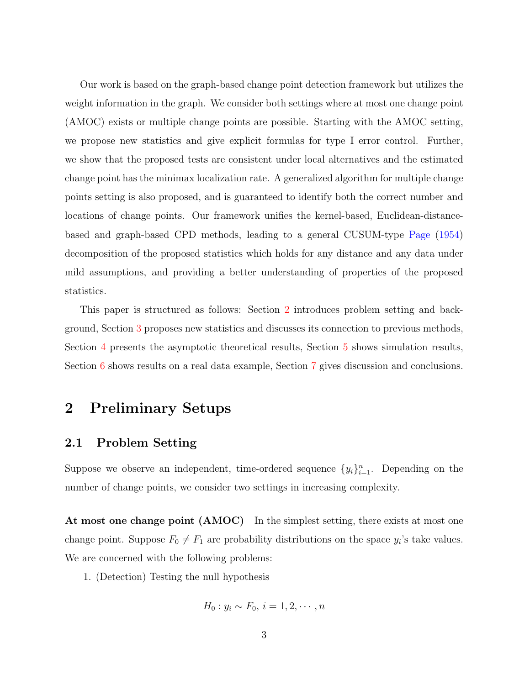Our work is based on the graph-based change point detection framework but utilizes the weight information in the graph. We consider both settings where at most one change point (AMOC) exists or multiple change points are possible. Starting with the AMOC setting, we propose new statistics and give explicit formulas for type I error control. Further, we show that the proposed tests are consistent under local alternatives and the estimated change point has the minimax localization rate. A generalized algorithm for multiple change points setting is also proposed, and is guaranteed to identify both the correct number and locations of change points. Our framework unifies the kernel-based, Euclidean-distancebased and graph-based CPD methods, leading to a general CUSUM-type [Page](#page-28-3) [\(1954\)](#page-28-3) decomposition of the proposed statistics which holds for any distance and any data under mild assumptions, and providing a better understanding of properties of the proposed statistics.

This paper is structured as follows: Section [2](#page-2-0) introduces problem setting and background, Section [3](#page-5-0) proposes new statistics and discusses its connection to previous methods, Section [4](#page-11-0) presents the asymptotic theoretical results, Section [5](#page-18-0) shows simulation results, Section [6](#page-23-0) shows results on a real data example, Section [7](#page-24-0) gives discussion and conclusions.

## <span id="page-2-0"></span>2 Preliminary Setups

### 2.1 Problem Setting

Suppose we observe an independent, time-ordered sequence  $\{y_i\}_{i=1}^n$ . Depending on the number of change points, we consider two settings in increasing complexity.

At most one change point (AMOC) In the simplest setting, there exists at most one change point. Suppose  $F_0 \neq F_1$  are probability distributions on the space  $y_i$ 's take values. We are concerned with the following problems:

1. (Detection) Testing the null hypothesis

$$
H_0: y_i \sim F_0, i=1,2,\cdots,n
$$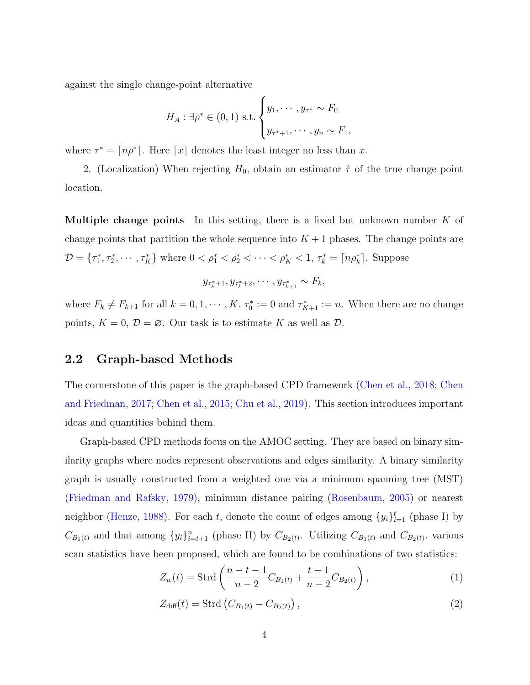against the single change-point alternative

$$
H_A: \exists \rho^* \in (0,1)
$$
 s.t. 
$$
\begin{cases} y_1, \cdots, y_{\tau^*} \sim F_0 \\ y_{\tau^*+1}, \cdots, y_n \sim F_1, \end{cases}
$$

where  $\tau^* = \lceil n \rho^* \rceil$ . Here  $\lceil x \rceil$  denotes the least integer no less than x.

2. (Localization) When rejecting  $H_0$ , obtain an estimator  $\hat{\tau}$  of the true change point location.

**Multiple change points** In this setting, there is a fixed but unknown number  $K$  of change points that partition the whole sequence into  $K + 1$  phases. The change points are  $\mathcal{D} = \{\tau_1^*, \tau_2^*, \cdots, \tau_K^*\}$  where  $0 < \rho_1^* < \rho_2^* < \cdots < \rho_K^* < 1, \tau_k^* = \lceil n \rho_k^* \rceil$ . Suppose

$$
y_{\tau_k^*+1}, y_{\tau_k^*+2}, \cdots, y_{\tau_{k+1}^*} \sim F_k
$$

where  $F_k \neq F_{k+1}$  for all  $k = 0, 1, \dots, K$ ,  $\tau_0^* := 0$  and  $\tau_{K+1}^* := n$ . When there are no change points,  $K = 0$ ,  $\mathcal{D} = \emptyset$ . Our task is to estimate K as well as  $\mathcal{D}$ .

### 2.2 Graph-based Methods

The cornerstone of this paper is the graph-based CPD framework [\(Chen et al.,](#page-25-5) [2018;](#page-25-5) [Chen](#page-25-6) [and Friedman,](#page-25-6) [2017;](#page-25-6) [Chen et al.,](#page-25-7) [2015;](#page-25-7) [Chu et al.,](#page-26-4) [2019\)](#page-26-4). This section introduces important ideas and quantities behind them.

Graph-based CPD methods focus on the AMOC setting. They are based on binary similarity graphs where nodes represent observations and edges similarity. A binary similarity graph is usually constructed from a weighted one via a minimum spanning tree (MST) [\(Friedman and Rafsky,](#page-26-5) [1979\)](#page-26-5), minimum distance pairing [\(Rosenbaum,](#page-28-4) [2005\)](#page-28-4) or nearest neighbor [\(Henze,](#page-27-6) [1988\)](#page-27-6). For each t, denote the count of edges among  $\{y_i\}_{i=1}^t$  (phase I) by  $C_{B_1(t)}$  and that among  $\{y_i\}_{i=t+1}^n$  (phase II) by  $C_{B_2(t)}$ . Utilizing  $C_{B_1(t)}$  and  $C_{B_2(t)}$ , various scan statistics have been proposed, which are found to be combinations of two statistics:

$$
Z_w(t) = \text{Strd}\left(\frac{n-t-1}{n-2}C_{B_1(t)} + \frac{t-1}{n-2}C_{B_2(t)}\right),\tag{1}
$$

$$
Z_{\text{diff}}(t) = \text{Strd}\left(C_{B_1(t)} - C_{B_2(t)}\right),\tag{2}
$$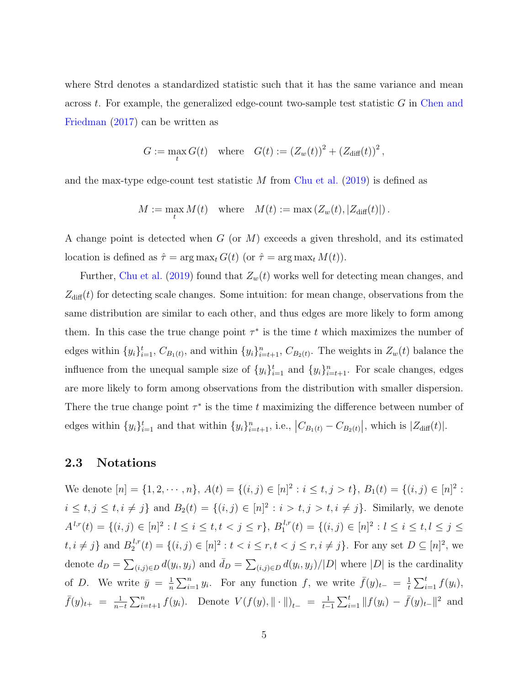where Strd denotes a standardized statistic such that it has the same variance and mean across  $t$ . For example, the generalized edge-count two-sample test statistic  $G$  in [Chen and](#page-25-6) [Friedman](#page-25-6) [\(2017\)](#page-25-6) can be written as

$$
G := \max_{t} G(t)
$$
 where  $G(t) := (Z_w(t))^2 + (Z_{\text{diff}}(t))^2$ ,

and the max-type edge-count test statistic  $M$  from [Chu et al.](#page-26-4) [\(2019\)](#page-26-4) is defined as

$$
M := \max_{t} M(t) \quad \text{where} \quad M(t) := \max (Z_w(t), |Z_{\text{diff}}(t)|).
$$

A change point is detected when  $G$  (or  $M$ ) exceeds a given threshold, and its estimated location is defined as  $\hat{\tau} = \arg \max_t G(t)$  (or  $\hat{\tau} = \arg \max_t M(t)$ ).

Further, [Chu et al.](#page-26-4) [\(2019\)](#page-26-4) found that  $Z_w(t)$  works well for detecting mean changes, and  $Z_{\text{diff}}(t)$  for detecting scale changes. Some intuition: for mean change, observations from the same distribution are similar to each other, and thus edges are more likely to form among them. In this case the true change point  $\tau^*$  is the time t which maximizes the number of edges within  $\{y_i\}_{i=1}^t$ ,  $C_{B_1(t)}$ , and within  $\{y_i\}_{i=t+1}^n$ ,  $C_{B_2(t)}$ . The weights in  $Z_w(t)$  balance the influence from the unequal sample size of  $\{y_i\}_{i=1}^t$  and  $\{y_i\}_{i=t+1}^n$ . For scale changes, edges are more likely to form among observations from the distribution with smaller dispersion. There the true change point  $\tau^*$  is the time t maximizing the difference between number of edges within  $\{y_i\}_{i=1}^t$  and that within  $\{y_i\}_{i=t+1}^n$ , i.e.,  $|C_{B_1(t)} - C_{B_2(t)}|$ , which is  $|Z_{\text{diff}}(t)|$ .

#### 2.3 Notations

We denote  $[n] = \{1, 2, \dots, n\}, A(t) = \{(i, j) \in [n]^2 : i \le t, j > t\}, B_1(t) = \{(i, j) \in [n]^2 : i \le t, j > t\}$  $i \leq t, j \leq t, i \neq j$  and  $B_2(t) = \{(i, j) \in [n]^2 : i > t, j > t, i \neq j\}$ . Similarly, we denote  $A^{l,r}(t) = \{(i,j) \in [n]^2 : l \leq i \leq t, t < j \leq r\}, B_1^{l,r}$  $\mathcal{L}_1^{l,r}(t) = \{(i,j) \in [n]^2 : l \leq i \leq t, l \leq j \leq t\}$  $t, i \neq j$  and  $B_2^{l,r}$  $L_2^{l,r}(t) = \{(i,j) \in [n]^2 : t < i \le r, t < j \le r, i \ne j\}$ . For any set  $D \subseteq [n]^2$ , we denote  $d_D = \sum_{(i,j)\in D} d(y_i, y_j)$  and  $\bar{d}_D = \sum_{(i,j)\in D} d(y_i, y_j)/|D|$  where  $|D|$  is the cardinality of D. We write  $\bar{y} = \frac{1}{n}$  $\frac{1}{n}\sum_{i=1}^n y_i$ . For any function f, we write  $\bar{f}(y)_{t-} = \frac{1}{t}$  $\frac{1}{t} \sum_{i=1}^t f(y_i),$  $\bar{f}(y)_{t+} = \frac{1}{n-1}$  $\frac{1}{n-t} \sum_{i=t+1}^{n} f(y_i)$ . Denote  $V(f(y), \|\cdot\|)_{t-} = \frac{1}{t-1}$  $\frac{1}{t-1} \sum_{i=1}^t ||f(y_i) - \bar{f}(y)_{t-}||^2$  and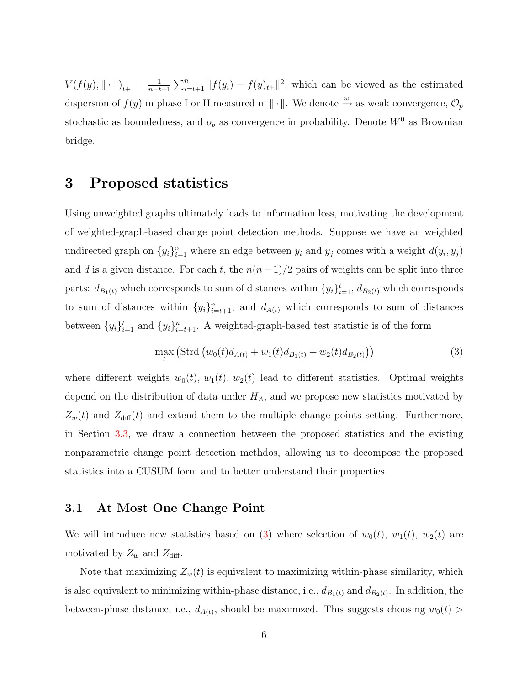$V(f(y), \|\cdot\|)_{t+} = \frac{1}{n-t}$  $\frac{1}{n-t-1}\sum_{i=t+1}^n ||f(y_i) - \bar{f}(y)_{t+}||^2$ , which can be viewed as the estimated dispersion of  $f(y)$  in phase I or II measured in  $\|\cdot\|$ . We denote  $\stackrel{w}{\rightarrow}$  as weak convergence,  $\mathcal{O}_p$ stochastic as boundedness, and  $o_p$  as convergence in probability. Denote  $W^0$  as Brownian bridge.

## <span id="page-5-0"></span>3 Proposed statistics

Using unweighted graphs ultimately leads to information loss, motivating the development of weighted-graph-based change point detection methods. Suppose we have an weighted undirected graph on  $\{y_i\}_{i=1}^n$  where an edge between  $y_i$  and  $y_j$  comes with a weight  $d(y_i, y_j)$ and d is a given distance. For each t, the  $n(n-1)/2$  pairs of weights can be split into three parts:  $d_{B_1(t)}$  which corresponds to sum of distances within  $\{y_i\}_{i=1}^t$ ,  $d_{B_2(t)}$  which corresponds to sum of distances within  $\{y_i\}_{i=t+1}^n$ , and  $d_{A(t)}$  which corresponds to sum of distances between  $\{y_i\}_{i=1}^t$  and  $\{y_i\}_{i=t+1}^n$ . A weighted-graph-based test statistic is of the form

<span id="page-5-1"></span>
$$
\max_{t} \left( \text{Strd} \left( w_0(t) d_{A(t)} + w_1(t) d_{B_1(t)} + w_2(t) d_{B_2(t)} \right) \right) \tag{3}
$$

where different weights  $w_0(t)$ ,  $w_1(t)$ ,  $w_2(t)$  lead to different statistics. Optimal weights depend on the distribution of data under  $H_A$ , and we propose new statistics motivated by  $Z_w(t)$  and  $Z_{diff}(t)$  and extend them to the multiple change points setting. Furthermore, in Section [3.3,](#page-8-0) we draw a connection between the proposed statistics and the existing nonparametric change point detection methdos, allowing us to decompose the proposed statistics into a CUSUM form and to better understand their properties.

### <span id="page-5-2"></span>3.1 At Most One Change Point

We will introduce new statistics based on [\(3\)](#page-5-1) where selection of  $w_0(t)$ ,  $w_1(t)$ ,  $w_2(t)$  are motivated by  $Z_w$  and  $Z_{\text{diff}}$ .

Note that maximizing  $Z_w(t)$  is equivalent to maximizing within-phase similarity, which is also equivalent to minimizing within-phase distance, i.e.,  $d_{B_1(t)}$  and  $d_{B_2(t)}$ . In addition, the between-phase distance, i.e.,  $d_{A(t)}$ , should be maximized. This suggests choosing  $w_0(t)$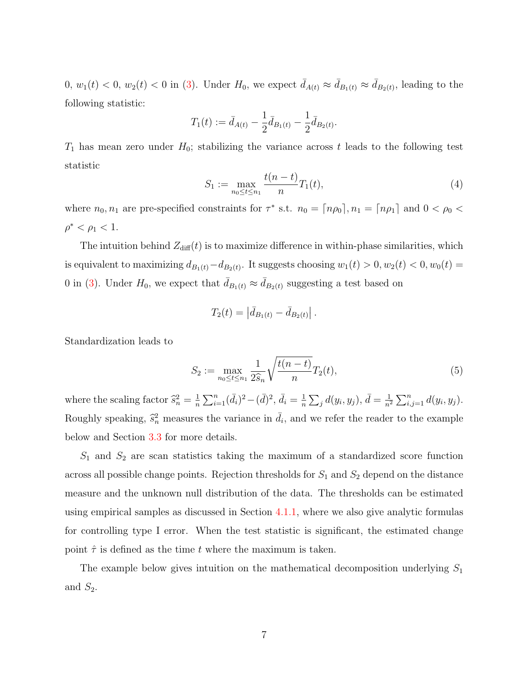$0, w_1(t) < 0, w_2(t) < 0$  in [\(3\)](#page-5-1). Under  $H_0$ , we expect  $\bar{d}_{A(t)} \approx \bar{d}_{B_1(t)} \approx \bar{d}_{B_2(t)}$ , leading to the following statistic:

$$
T_1(t) := \bar{d}_{A(t)} - \frac{1}{2}\bar{d}_{B_1(t)} - \frac{1}{2}\bar{d}_{B_2(t)}.
$$

 $T_1$  has mean zero under  $H_0$ ; stabilizing the variance across t leads to the following test statistic

$$
S_1 := \max_{n_0 \le t \le n_1} \frac{t(n-t)}{n} T_1(t),\tag{4}
$$

where  $n_0, n_1$  are pre-specified constraints for  $\tau^*$  s.t.  $n_0 = \lceil n \rho_0 \rceil, n_1 = \lceil n \rho_1 \rceil$  and  $0 < \rho_0 <$  $\rho^* < \rho_1 < 1.$ 

The intuition behind  $Z_{\text{diff}}(t)$  is to maximize difference in within-phase similarities, which is equivalent to maximizing  $d_{B_1(t)} - d_{B_2(t)}$ . It suggests choosing  $w_1(t) > 0, w_2(t) < 0, w_0(t) =$ 0 in [\(3\)](#page-5-1). Under  $H_0$ , we expect that  $\bar{d}_{B_1(t)} \approx \bar{d}_{B_2(t)}$  suggesting a test based on

$$
T_2(t) = \left| \bar{d}_{B_1(t)} - \bar{d}_{B_2(t)} \right|.
$$

Standardization leads to

<span id="page-6-0"></span>
$$
S_2 := \max_{n_0 \le t \le n_1} \frac{1}{2\hat{s}_n} \sqrt{\frac{t(n-t)}{n}} T_2(t),\tag{5}
$$

where the scaling factor  $\hat{s}_n^2 = \frac{1}{n}$  $\frac{1}{n}\sum_{i=1}^{n}(\bar{d}_{i})^{2}-(\bar{d})^{2},\bar{d}_{i}=\frac{1}{n}$  $\frac{1}{n}\sum_j d(y_i, y_j), \bar{d} = \frac{1}{n^2}$  $\frac{1}{n^2} \sum_{i,j=1}^n d(y_i, y_j).$ Roughly speaking,  $\hat{s}_n^2$  measures the variance in  $\bar{d}_i$ , and we refer the reader to the example below and Section [3.3](#page-8-0) for more details.

 $S_1$  and  $S_2$  are scan statistics taking the maximum of a standardized score function across all possible change points. Rejection thresholds for  $S_1$  and  $S_2$  depend on the distance measure and the unknown null distribution of the data. The thresholds can be estimated using empirical samples as discussed in Section [4.1.1,](#page-13-0) where we also give analytic formulas for controlling type I error. When the test statistic is significant, the estimated change point  $\hat{\tau}$  is defined as the time t where the maximum is taken.

The example below gives intuition on the mathematical decomposition underlying  $S_1$ and  $S_2$ .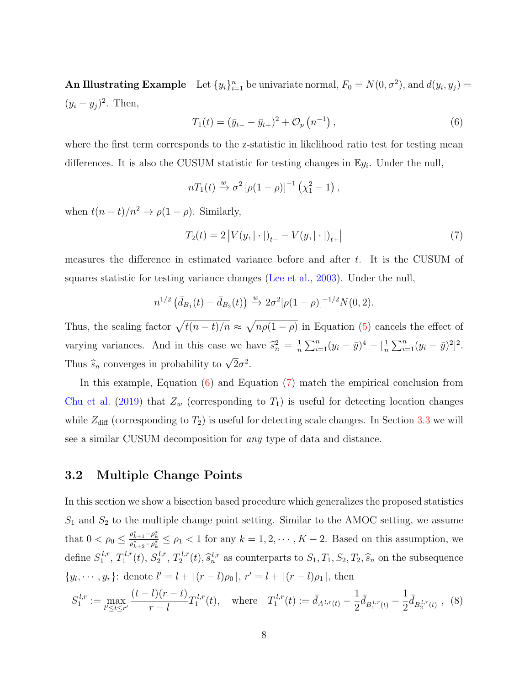An Illustrating Example Let  $\{y_i\}_{i=1}^n$  be univariate normal,  $F_0 = N(0, \sigma^2)$ , and  $d(y_i, y_j) =$  $(y_i - y_j)^2$ . Then,

<span id="page-7-0"></span>
$$
T_1(t) = (\bar{y}_{t-} - \bar{y}_{t+})^2 + \mathcal{O}_p(n^{-1}),
$$
\n(6)

where the first term corresponds to the z-statistic in likelihood ratio test for testing mean differences. It is also the CUSUM statistic for testing changes in  $\mathbb{E}y_i$ . Under the null,

$$
nT_1(t) \xrightarrow{w} \sigma^2 \left[ \rho(1-\rho) \right]^{-1} \left( \chi_1^2 - 1 \right),
$$

when  $t(n-t)/n^2 \rightarrow \rho(1-\rho)$ . Similarly,

<span id="page-7-1"></span>
$$
T_2(t) = 2\left|V(y, |\cdot|)_{t-} - V(y, |\cdot|)_{t+}\right| \tag{7}
$$

measures the difference in estimated variance before and after t. It is the CUSUM of squares statistic for testing variance changes [\(Lee et al.,](#page-27-7) [2003\)](#page-27-7). Under the null,

$$
n^{1/2} \left( \bar{d}_{B_1}(t) - \bar{d}_{B_2}(t) \right) \xrightarrow{w} 2\sigma^2 [\rho (1 - \rho)]^{-1/2} N(0, 2).
$$

Thus, the scaling factor  $\sqrt{t(n-t)/n} \approx \sqrt{n\rho(1-\rho)}$  in Equation [\(5\)](#page-6-0) cancels the effect of varying variances. And in this case we have  $\hat{s}_n^2 = \frac{1}{n}$  $\frac{1}{n}\sum_{i=1}^{n}(y_i-\bar{y})^4-\left[\frac{1}{n}\right]$  $\frac{1}{n}\sum_{i=1}^{n}(y_i-\bar{y})^2]^2.$ Thus  $\widehat{s}_n$  converges in probability to  $\sqrt{}$  $\overline{2}\sigma^2$ .

In this example, Equation [\(6\)](#page-7-0) and Equation [\(7\)](#page-7-1) match the empirical conclusion from [Chu et al.](#page-26-4) [\(2019\)](#page-26-4) that  $Z_w$  (corresponding to  $T_1$ ) is useful for detecting location changes while  $Z_{\text{diff}}$  (corresponding to  $T_2$ ) is useful for detecting scale changes. In Section [3.3](#page-8-0) we will see a similar CUSUM decomposition for any type of data and distance.

### 3.2 Multiple Change Points

In this section we show a bisection based procedure which generalizes the proposed statistics  $S_1$  and  $S_2$  to the multiple change point setting. Similar to the AMOC setting, we assume that  $0 < \rho_0 \leq \frac{\rho_{k+1}^* - \rho_k^*}{\rho_{k+2}^* - \rho_k^*} \leq \rho_1 < 1$  for any  $k = 1, 2, \dots, K-2$ . Based on this assumption, we define  $S_1^{l,r}$  $T_1^{l,r}, T_1^{l,r}$  $S_1^{l,r}(t)$ ,  $S_2^{l,r}$  $i^{l,r}_{2}, T_2^{l,r}$  $S_2^{l,r}(t), \hat{s}_n^{l,r}$  as counterparts to  $S_1, T_1, S_2, T_2, \hat{s}_n$  on the subsequence  $\{y_l, \dots, y_r\}$ : denote  $l' = l + \lceil (r - l)\rho_0 \rceil, r' = l + \lceil (r - l)\rho_1 \rceil$ , then

$$
S_1^{l,r} := \max_{l' \le t \le r'} \frac{(t-l)(r-t)}{r-l} T_1^{l,r}(t), \quad \text{where} \quad T_1^{l,r}(t) := \bar{d}_{A^{l,r}(t)} - \frac{1}{2} \bar{d}_{B_1^{l,r}(t)} - \frac{1}{2} \bar{d}_{B_2^{l,r}(t)}, \tag{8}
$$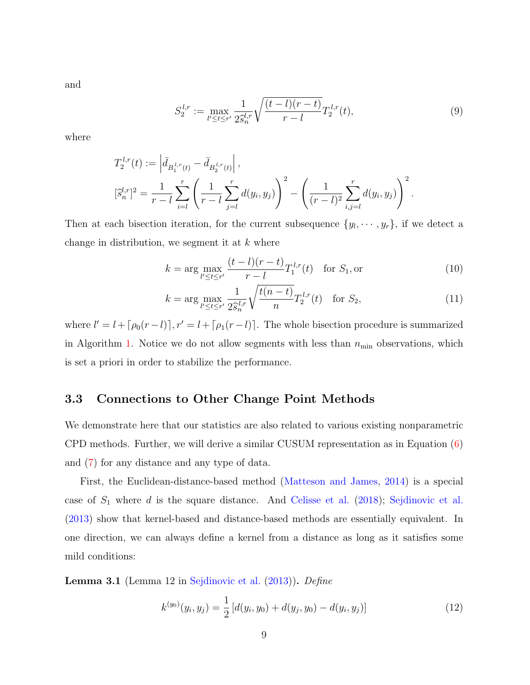and

$$
S_2^{l,r} := \max_{l' \le t \le r'} \frac{1}{2\hat{s}_n^{l,r}} \sqrt{\frac{(t-l)(r-t)}{r-l}} T_2^{l,r}(t),\tag{9}
$$

where

$$
T_2^{l,r}(t) := \left| \bar{d}_{B_1^{l,r}(t)} - \bar{d}_{B_2^{l,r}(t)} \right|,
$$
  

$$
[\hat{s}_n^{l,r}]^2 = \frac{1}{r-l} \sum_{i=l}^r \left( \frac{1}{r-l} \sum_{j=l}^r d(y_i, y_j) \right)^2 - \left( \frac{1}{(r-l)^2} \sum_{i,j=l}^r d(y_i, y_j) \right)^2.
$$

Then at each bisection iteration, for the current subsequence  $\{y_1, \dots, y_r\}$ , if we detect a change in distribution, we segment it at  $k$  where

<span id="page-8-2"></span><span id="page-8-1"></span>
$$
k = \arg \max_{l' \le t \le r'} \frac{(t - l)(r - t)}{r - l} T_1^{l,r}(t) \quad \text{for } S_1, \text{or}
$$
 (10)

$$
k = \arg\max_{l' \le t \le r'} \frac{1}{2\hat{s}_n^{l,r}} \sqrt{\frac{t(n-t)}{n}} T_2^{l,r}(t) \quad \text{for } S_2,\tag{11}
$$

where  $l' = l + \lceil \rho_0(r - l) \rceil$ ,  $r' = l + \lceil \rho_1(r - l) \rceil$ . The whole bisection procedure is summarized in Algorithm [1.](#page-9-0) Notice we do not allow segments with less than  $n_{\min}$  observations, which is set a priori in order to stabilize the performance.

## <span id="page-8-0"></span>3.3 Connections to Other Change Point Methods

We demonstrate here that our statistics are also related to various existing nonparametric CPD methods. Further, we will derive a similar CUSUM representation as in Equation [\(6\)](#page-7-0) and [\(7\)](#page-7-1) for any distance and any type of data.

First, the Euclidean-distance-based method [\(Matteson and James,](#page-28-1) [2014\)](#page-28-1) is a special case of  $S_1$  where d is the square distance. And [Celisse et al.](#page-25-1) [\(2018\)](#page-25-1); [Sejdinovic et al.](#page-28-5) [\(2013\)](#page-28-5) show that kernel-based and distance-based methods are essentially equivalent. In one direction, we can always define a kernel from a distance as long as it satisfies some mild conditions:

<span id="page-8-3"></span>Lemma 3.1 (Lemma 12 in [Sejdinovic et al.](#page-28-5) [\(2013\)](#page-28-5)). Define

$$
k^{(y_0)}(y_i, y_j) = \frac{1}{2} \left[ d(y_i, y_0) + d(y_j, y_0) - d(y_i, y_j) \right]
$$
\n(12)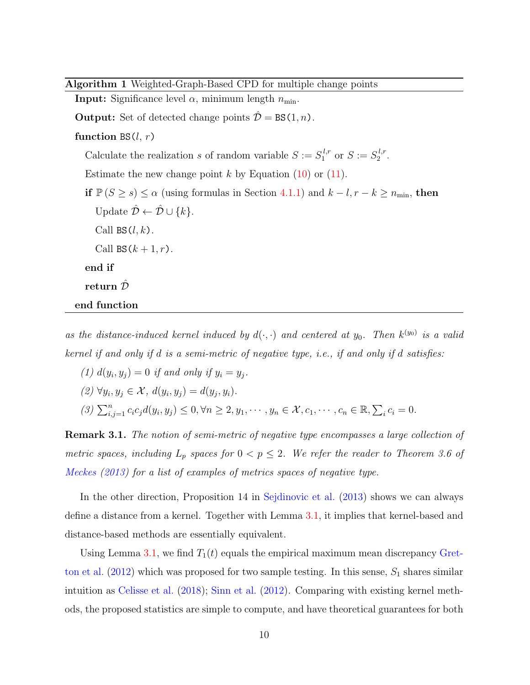<span id="page-9-0"></span>Algorithm 1 Weighted-Graph-Based CPD for multiple change points

**Input:** Significance level  $\alpha$ , minimum length  $n_{\min}$ . **Output:** Set of detected change points  $\hat{\mathcal{D}} = BS(1, n)$ . function  $BS(l, r)$ Calculate the realization s of random variable  $S := S_1^{l,r}$  $S_1^{l,r}$  or  $S := S_2^{l,r}$  $\frac{l}{2}$ . Estimate the new change point  $k$  by Equation [\(10\)](#page-8-1) or [\(11\)](#page-8-2). if  $\mathbb{P}(S \ge s) \le \alpha$  (using formulas in Section [4.1.1\)](#page-12-0) and  $k - l, r - k \ge n_{\min}$ , then Update  $\hat{\mathcal{D}} \leftarrow \hat{\mathcal{D}} \cup \{k\}.$ Call  $BS(l, k)$ . Call  $BS(k+1,r)$ . end if return  $\hat{\mathcal{D}}$ end function

as the distance-induced kernel induced by  $d(\cdot, \cdot)$  and centered at  $y_0$ . Then  $k^{(y_0)}$  is a valid kernel if and only if d is a semi-metric of negative type, i.e., if and only if d satisfies:

(1)  $d(y_i, y_j) = 0$  if and only if  $y_i = y_j$ .  $(2) \ \forall y_i, y_j \in \mathcal{X}, d(y_i, y_j) = d(y_j, y_i).$  $(3)$   $\sum_{i,j=1}^{n} c_i c_j d(y_i, y_j) \leq 0, \forall n \geq 2, y_1, \dots, y_n \in \mathcal{X}, c_1, \dots, c_n \in \mathbb{R}, \sum_i c_i = 0.$ 

**Remark 3.1.** The notion of semi-metric of negative type encompasses a large collection of metric spaces, including  $L_p$  spaces for  $0 < p \le 2$ . We refer the reader to Theorem 3.6 of [Meckes](#page-28-6) [\(2013\)](#page-28-6) for a list of examples of metrics spaces of negative type.

In the other direction, Proposition 14 in [Sejdinovic et al.](#page-28-5) [\(2013\)](#page-28-5) shows we can always define a distance from a kernel. Together with Lemma [3.1,](#page-8-3) it implies that kernel-based and distance-based methods are essentially equivalent.

Using Lemma [3.1,](#page-8-3) we find  $T_1(t)$  equals the empirical maximum mean discrepancy [Gret](#page-26-6)[ton et al.](#page-26-6)  $(2012)$  which was proposed for two sample testing. In this sense,  $S_1$  shares similar intuition as [Celisse et al.](#page-25-1) [\(2018\)](#page-25-1); [Sinn et al.](#page-28-7) [\(2012\)](#page-28-7). Comparing with existing kernel methods, the proposed statistics are simple to compute, and have theoretical guarantees for both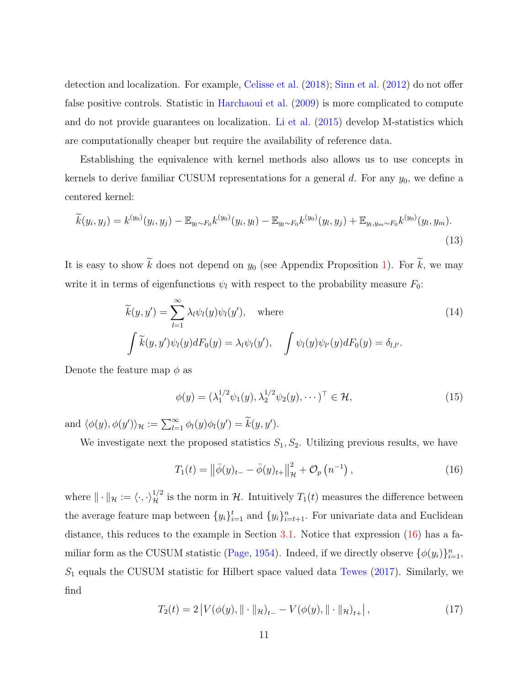detection and localization. For example, [Celisse et al.](#page-25-1) [\(2018\)](#page-25-1); [Sinn et al.](#page-28-7) [\(2012\)](#page-28-7) do not offer false positive controls. Statistic in [Harchaoui et al.](#page-26-2) [\(2009\)](#page-26-2) is more complicated to compute and do not provide guarantees on localization. [Li et al.](#page-27-4) [\(2015\)](#page-27-4) develop M-statistics which are computationally cheaper but require the availability of reference data.

Establishing the equivalence with kernel methods also allows us to use concepts in kernels to derive familiar CUSUM representations for a general  $d$ . For any  $y_0$ , we define a centered kernel:

<span id="page-10-4"></span>
$$
\widetilde{k}(y_i, y_j) = k^{(y_0)}(y_i, y_j) - \mathbb{E}_{y_l \sim F_0} k^{(y_0)}(y_i, y_l) - \mathbb{E}_{y_l \sim F_0} k^{(y_0)}(y_l, y_j) + \mathbb{E}_{y_l, y_m \sim F_0} k^{(y_0)}(y_l, y_m).
$$
\n(13)

It is easy to show  $\widetilde{k}$  does not depend on  $y_0$  (see Appendix Proposition [1\)](#page-30-0). For  $\widetilde{k}$ , we may write it in terms of eigenfunctions  $\psi_l$  with respect to the probability measure  $F_0$ :

$$
\widetilde{k}(y, y') = \sum_{l=1}^{\infty} \lambda_l \psi_l(y) \psi_l(y'), \quad \text{where}
$$
\n
$$
\int \widetilde{k}(y, y') \psi_l(y) dF_0(y) = \lambda_l \psi_l(y'), \quad \int \psi_l(y) \psi_l(y) dF_0(y) = \delta_{l,l'}.
$$
\n(14)

Denote the feature map  $\phi$  as

<span id="page-10-3"></span><span id="page-10-2"></span>
$$
\phi(y) = (\lambda_1^{1/2} \psi_1(y), \lambda_2^{1/2} \psi_2(y), \cdots)^{\top} \in \mathcal{H},
$$
\n(15)

and  $\langle \phi(y), \phi(y') \rangle_{\mathcal{H}} := \sum_{l=1}^{\infty} \phi_l(y) \phi_l(y') = \widetilde{k}(y, y').$ 

We investigate next the proposed statistics  $S_1, S_2$ . Utilizing previous results, we have

<span id="page-10-0"></span>
$$
T_1(t) = \left\| \bar{\phi}(y)_{t-} - \bar{\phi}(y)_{t+} \right\|_{\mathcal{H}}^2 + \mathcal{O}_p\left(n^{-1}\right),\tag{16}
$$

where  $\|\cdot\|_{\mathcal{H}} := \langle \cdot, \cdot \rangle_{\mathcal{H}}^{1/2}$  is the norm in H. Intuitively  $T_1(t)$  measures the difference between the average feature map between  $\{y_i\}_{i=1}^t$  and  $\{y_i\}_{i=t+1}^n$ . For univariate data and Euclidean distance, this reduces to the example in Section [3.1.](#page-5-2) Notice that expression [\(16\)](#page-10-0) has a fa-miliar form as the CUSUM statistic [\(Page,](#page-28-3) [1954\)](#page-28-3). Indeed, if we directly observe  $\{\phi(y_i)\}_{i=1}^n$ ,  $S_1$  equals the CUSUM statistic for Hilbert space valued data [Tewes](#page-29-0) [\(2017\)](#page-29-0). Similarly, we find

<span id="page-10-1"></span>
$$
T_2(t) = 2\left|V(\phi(y), \|\cdot\|_{\mathcal{H}})_{t-} - V(\phi(y), \|\cdot\|_{\mathcal{H}})_{t+}\right|,
$$
\n(17)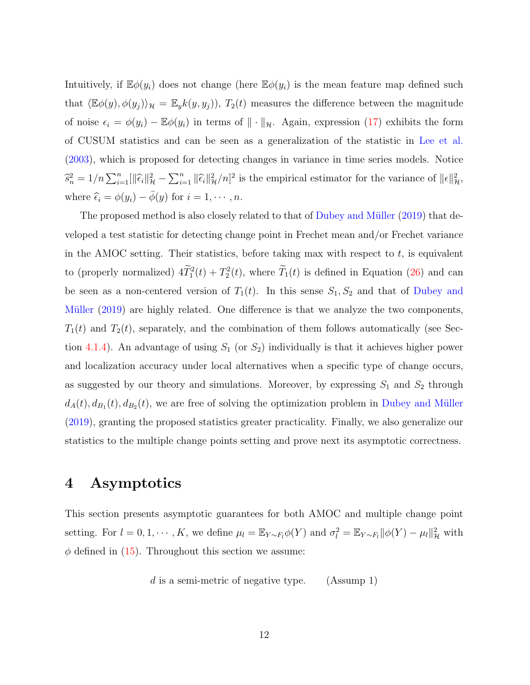Intuitively, if  $\mathbb{E}\phi(y_i)$  does not change (here  $\mathbb{E}\phi(y_i)$  is the mean feature map defined such that  $\langle \mathbb{E}\phi(y), \phi(y_j) \rangle_{\mathcal{H}} = \mathbb{E}_y k(y, y_j)$ ,  $T_2(t)$  measures the difference between the magnitude of noise  $\epsilon_i = \phi(y_i) - \mathbb{E}\phi(y_i)$  in terms of  $\|\cdot\|_{\mathcal{H}}$ . Again, expression [\(17\)](#page-10-1) exhibits the form of CUSUM statistics and can be seen as a generalization of the statistic in [Lee et al.](#page-27-7) [\(2003\)](#page-27-7), which is proposed for detecting changes in variance in time series models. Notice  $\hat{s}_n^2 = 1/n \sum_{i=1}^n [\|\hat{\epsilon}_i\|_{\mathcal{H}}^2 - \sum_{i=1}^n \|\hat{\epsilon}_i\|_{\mathcal{H}}^2/n]^2$  is the empirical estimator for the variance of  $\|\epsilon\|_{\mathcal{H}}^2$ , where  $\widehat{\epsilon}_i = \phi(y_i) - \overline{\phi}(y)$  for  $i = 1, \dots, n$ .

The proposed method is also closely related to that of Dubey and Müller [\(2019\)](#page-26-7) that developed a test statistic for detecting change point in Frechet mean and/or Frechet variance in the AMOC setting. Their statistics, before taking max with respect to  $t$ , is equivalent to (properly normalized)  $4\tilde{T}_1^2(t) + T_2^2(t)$ , where  $\tilde{T}_1(t)$  is defined in Equation [\(26\)](#page-15-0) and can be seen as a non-centered version of  $T_1(t)$ . In this sense  $S_1, S_2$  and that of [Dubey and](#page-26-7) Müller  $(2019)$  are highly related. One difference is that we analyze the two components,  $T_1(t)$  and  $T_2(t)$ , separately, and the combination of them follows automatically (see Sec-tion [4.1.4\)](#page-17-0). An advantage of using  $S_1$  (or  $S_2$ ) individually is that it achieves higher power and localization accuracy under local alternatives when a specific type of change occurs, as suggested by our theory and simulations. Moreover, by expressing  $S_1$  and  $S_2$  through  $d_A(t), d_{B_1}(t), d_{B_2}(t)$ , we are free of solving the optimization problem in Dubey and Müller [\(2019\)](#page-26-7), granting the proposed statistics greater practicality. Finally, we also generalize our statistics to the multiple change points setting and prove next its asymptotic correctness.

## <span id="page-11-0"></span>4 Asymptotics

This section presents asymptotic guarantees for both AMOC and multiple change point setting. For  $l = 0, 1, \dots, K$ , we define  $\mu_l = \mathbb{E}_{Y \sim F_l} \phi(Y)$  and  $\sigma_l^2 = \mathbb{E}_{Y \sim F_l} ||\phi(Y) - \mu_l||^2_{\mathcal{H}}$  with  $\phi$  defined in [\(15\)](#page-10-2). Throughout this section we assume:

 $d$  is a semi-metric of negative type. (Assump 1)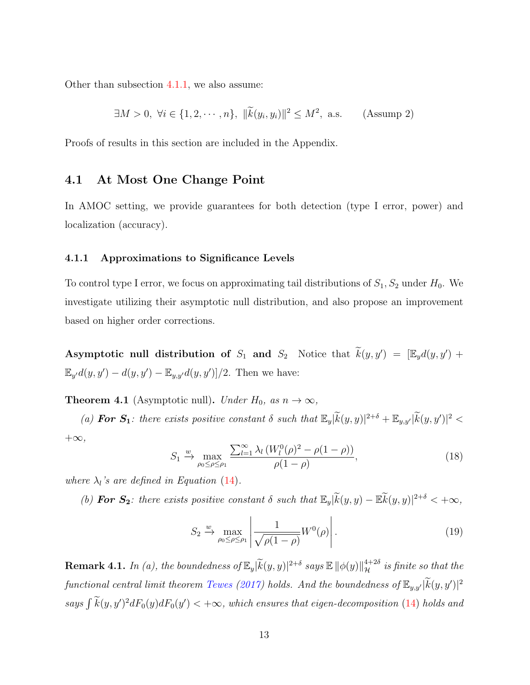Other than subsection [4.1.1,](#page-12-0) we also assume:

$$
\exists M > 0, \ \forall i \in \{1, 2, \cdots, n\}, \ \|\widetilde{k}(y_i, y_i)\|^2 \le M^2, \ \text{a.s.} \tag{Assump 2}
$$

Proofs of results in this section are included in the Appendix.

### 4.1 At Most One Change Point

In AMOC setting, we provide guarantees for both detection (type I error, power) and localization (accuracy).

#### <span id="page-12-0"></span>4.1.1 Approximations to Significance Levels

To control type I error, we focus on approximating tail distributions of  $S_1, S_2$  under  $H_0$ . We investigate utilizing their asymptotic null distribution, and also propose an improvement based on higher order corrections.

Asymptotic null distribution of  $S_1$  and  $S_2$  Notice that  $\widetilde{k}(y, y') = [\mathbb{E}_y d(y, y') +$  $\mathbb{E}_{y'}d(y, y') - d(y, y') - \mathbb{E}_{y, y'}d(y, y')]/2$ . Then we have:

<span id="page-12-2"></span>**Theorem 4.1** (Asymptotic null). Under  $H_0$ , as  $n \to \infty$ ,

(a) **For S<sub>1</sub>**: there exists positive constant  $\delta$  such that  $\mathbb{E}_y[\widetilde{k}(y, y)]^{2+\delta} + \mathbb{E}_{y, y'}[\widetilde{k}(y, y')]^2 <$  $+\infty$ ,

<span id="page-12-1"></span>
$$
S_1 \xrightarrow{\omega} \max_{\rho_0 \leq \rho \leq \rho_1} \frac{\sum_{l=1}^{\infty} \lambda_l \left( W_l^0(\rho)^2 - \rho (1 - \rho) \right)}{\rho (1 - \rho)},
$$
\n(18)

where  $\lambda_l$ 's are defined in Equation [\(14\)](#page-10-3).

(b) **For S<sub>2</sub>**: there exists positive constant  $\delta$  such that  $\mathbb{E}_y[\widetilde{k}(y, y) - \mathbb{E}\widetilde{k}(y, y)]^{2+\delta} < +\infty$ ,

$$
S_2 \xrightarrow{\omega} \max_{\rho_0 \le \rho \le \rho_1} \left| \frac{1}{\sqrt{\rho(1-\rho)}} W^0(\rho) \right|.
$$
 (19)

**Remark 4.1.** In (a), the boundedness of  $\mathbb{E}_y[\widetilde{k}(y,y)|^{2+\delta}$  says  $\mathbb{E}||\phi(y)||_{\mathcal{H}}^{4+2\delta}$  is finite so that the functional central limit theorem [Tewes](#page-29-0) [\(2017\)](#page-29-0) holds. And the boundedness of  $\mathbb{E}_{y,y'}|\widetilde{k}(y,y')|^2$ says  $\int k(y, y')^2 dF_0(y) dF_0(y') < +\infty$ , which ensures that eigen-decomposition [\(14\)](#page-10-3) holds and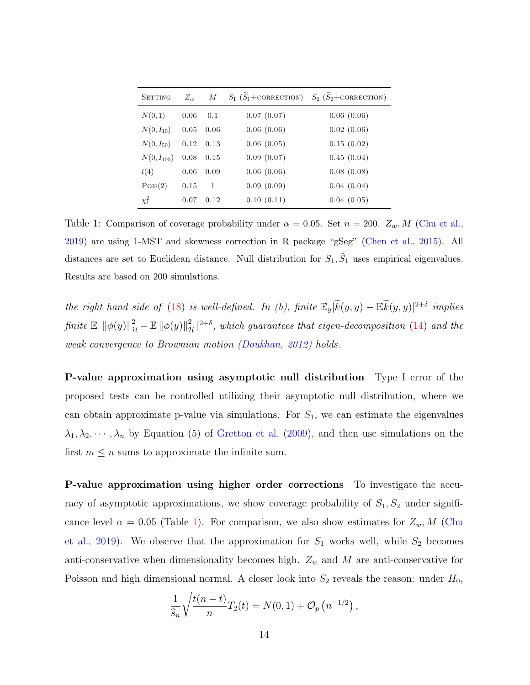<span id="page-13-1"></span>

| <b>SETTING</b>  | $Z_w$ | М    |            | $S_1(\widetilde{S}_1 + \text{CORRECTION})$ $S_2(\widetilde{S}_2 + \text{CORRECTION})$ |
|-----------------|-------|------|------------|---------------------------------------------------------------------------------------|
| N(0, 1)         | 0.06  | 0.1  | 0.07(0.07) | 0.06(0.06)                                                                            |
| $N(0, I_{10})$  | 0.05  | 0.06 | 0.06(0.06) | 0.02(0.06)                                                                            |
| $N(0, I_{50})$  | 0.12  | 0.13 | 0.06(0.05) | 0.15(0.02)                                                                            |
| $N(0, I_{100})$ | 0.08  | 0.15 | 0.09(0.07) | 0.45(0.04)                                                                            |
| t(4)            | 0.06  | 0.09 | 0.06(0.06) | 0.08(0.08)                                                                            |
| Pois(2)         | 0.15  | 1    | 0.09(0.09) | 0.04(0.04)                                                                            |
| $\chi_1^2$      | 0.07  | 0.12 | 0.10(0.11) | 0.04(0.05)                                                                            |

Table 1: Comparison of coverage probability under  $\alpha = 0.05$ . Set  $n = 200$ .  $Z_w$ , M [\(Chu et al.,](#page-26-4) [2019\)](#page-26-4) are using 1-MST and skewness correction in R package "gSeg" [\(Chen et al.,](#page-26-8) [2015\)](#page-26-8). All distances are set to Euclidean distance. Null distribution for  $S_1, \tilde{S}_1$  uses empirical eigenvalues. Results are based on 200 simulations.

the right hand side of [\(18\)](#page-12-1) is well-defined. In (b), finite  $\mathbb{E}_y[\widetilde{k}(y, y) - \mathbb{E}\widetilde{k}(y, y)]^{2+\delta}$  implies  $\textit{finite} \ \mathbb{E} \|\|\phi(y)\|_{\mathcal{H}}^2 - \mathbb{E} \left\|\phi(y)\right\|_{\mathcal{H}}^2|^{2+\delta}, \textit{which guarantees that eigen-decomposition (14) and the}$  $\textit{finite} \ \mathbb{E} \|\|\phi(y)\|_{\mathcal{H}}^2 - \mathbb{E} \left\|\phi(y)\right\|_{\mathcal{H}}^2|^{2+\delta}, \textit{which guarantees that eigen-decomposition (14) and the}$  $\textit{finite} \ \mathbb{E} \|\|\phi(y)\|_{\mathcal{H}}^2 - \mathbb{E} \left\|\phi(y)\right\|_{\mathcal{H}}^2|^{2+\delta}, \textit{which guarantees that eigen-decomposition (14) and the}$ weak convergence to Brownian motion [\(Doukhan,](#page-26-9) [2012\)](#page-26-9) holds.

<span id="page-13-0"></span>P-value approximation using asymptotic null distribution Type I error of the proposed tests can be controlled utilizing their asymptotic null distribution, where we can obtain approximate p-value via simulations. For  $S_1$ , we can estimate the eigenvalues  $\lambda_1, \lambda_2, \cdots, \lambda_n$  by Equation (5) of [Gretton et al.](#page-26-10) [\(2009\)](#page-26-10), and then use simulations on the first  $m \leq n$  sums to approximate the infinite sum.

P-value approximation using higher order corrections To investigate the accuracy of asymptotic approximations, we show coverage probability of  $S_1, S_2$  under significance level  $\alpha = 0.05$  (Table [1\)](#page-13-1). For comparison, we also show estimates for  $Z_w$ , M [\(Chu](#page-26-4) [et al.,](#page-26-4) [2019\)](#page-26-4). We observe that the approximation for  $S_1$  works well, while  $S_2$  becomes anti-conservative when dimensionality becomes high.  $Z_w$  and M are anti-conservative for Poisson and high dimensional normal. A closer look into  $S_2$  reveals the reason: under  $H_0$ ,

$$
\frac{1}{\widehat{s}_n}\sqrt{\frac{t(n-t)}{n}}T_2(t)=N(0,1)+\mathcal{O}_p\left(n^{-1/2}\right),\,
$$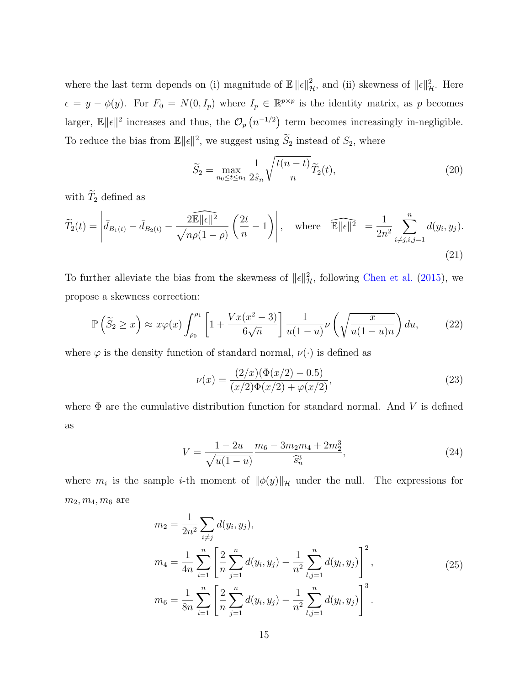where the last term depends on (i) magnitude of  $\mathbb{E} \| \epsilon \|_{\mathcal{H}}^2$ , and (ii) skewness of  $\| \epsilon \|_{\mathcal{H}}^2$ . Here  $\epsilon = y - \phi(y)$ . For  $F_0 = N(0, I_p)$  where  $I_p \in \mathbb{R}^{p \times p}$  is the identity matrix, as p becomes larger,  $\mathbb{E} \|\epsilon\|^2$  increases and thus, the  $\mathcal{O}_p(n^{-1/2})$  term becomes increasingly in-negligible. To reduce the bias from  $\mathbb{E} \|\epsilon\|^2$ , we suggest using  $\widetilde{S}_2$  instead of  $S_2$ , where

<span id="page-14-1"></span>
$$
\widetilde{S}_2 = \max_{n_0 \le t \le n_1} \frac{1}{2\hat{s}_n} \sqrt{\frac{t(n-t)}{n}} \widetilde{T}_2(t),\tag{20}
$$

with  $\widetilde{T}_2$  defined as

$$
\widetilde{T}_2(t) = \left| \bar{d}_{B_1(t)} - \bar{d}_{B_2(t)} - \frac{2\widehat{\mathbb{E}} \|\epsilon\|^2}{\sqrt{n\rho(1-\rho)}} \left( \frac{2t}{n} - 1 \right) \right|, \quad \text{where} \quad \widehat{\mathbb{E}} \|\epsilon\|^2 = \frac{1}{2n^2} \sum_{i \neq j, i, j=1}^n d(y_i, y_j).
$$
\n(21)

To further alleviate the bias from the skewness of  $\|\epsilon\|_{\mathcal{H}}^2$ , following [Chen et al.](#page-25-7) [\(2015\)](#page-25-7), we propose a skewness correction:

<span id="page-14-0"></span>
$$
\mathbb{P}\left(\widetilde{S}_2 \ge x\right) \approx x\varphi(x) \int_{\rho_0}^{\rho_1} \left[1 + \frac{Vx(x^2 - 3)}{6\sqrt{n}}\right] \frac{1}{u(1 - u)} \nu\left(\sqrt{\frac{x}{u(1 - u)n}}\right) du,\tag{22}
$$

where  $\varphi$  is the density function of standard normal,  $\nu(\cdot)$  is defined as

$$
\nu(x) = \frac{(2/x)(\Phi(x/2) - 0.5)}{(x/2)\Phi(x/2) + \varphi(x/2)},
$$
\n(23)

where  $\Phi$  are the cumulative distribution function for standard normal. And V is defined as

$$
V = \frac{1 - 2u}{\sqrt{u(1 - u)}} \frac{m_6 - 3m_2m_4 + 2m_2^3}{\hat{s}_n^3},\tag{24}
$$

where  $m_i$  is the sample *i*-th moment of  $\|\phi(y)\|_{\mathcal{H}}$  under the null. The expressions for  $m_2, m_4, m_6$  are

$$
m_2 = \frac{1}{2n^2} \sum_{i \neq j} d(y_i, y_j),
$$
  
\n
$$
m_4 = \frac{1}{4n} \sum_{i=1}^n \left[ \frac{2}{n} \sum_{j=1}^n d(y_i, y_j) - \frac{1}{n^2} \sum_{l,j=1}^n d(y_l, y_j) \right]^2,
$$
  
\n
$$
m_6 = \frac{1}{8n} \sum_{i=1}^n \left[ \frac{2}{n} \sum_{j=1}^n d(y_i, y_j) - \frac{1}{n^2} \sum_{l,j=1}^n d(y_l, y_j) \right]^3.
$$
\n(25)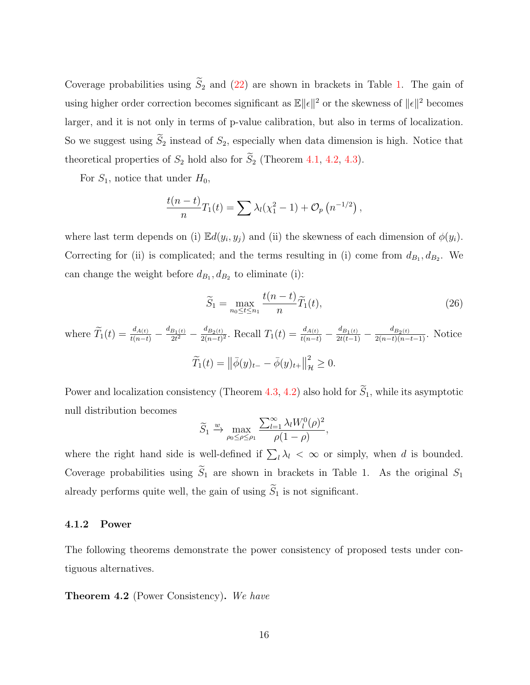Coverage probabilities using  $\widetilde{S}_2$  and [\(22\)](#page-14-0) are shown in brackets in Table [1.](#page-13-1) The gain of using higher order correction becomes significant as  $\mathbb{E} ||\epsilon||^2$  or the skewness of  $||\epsilon||^2$  becomes larger, and it is not only in terms of p-value calibration, but also in terms of localization. So we suggest using  $\widetilde{S}_2$  instead of  $S_2$ , especially when data dimension is high. Notice that theoretical properties of  $S_2$  hold also for  $\widetilde{S}_2$  (Theorem [4.1,](#page-12-2) [4.2,](#page-15-1) [4.3\)](#page-16-0).

For  $S_1$ , notice that under  $H_0$ ,

$$
\frac{t(n-t)}{n}T_1(t) = \sum \lambda_l(\chi_1^2 - 1) + \mathcal{O}_p(n^{-1/2}),
$$

where last term depends on (i)  $\mathbb{E}d(y_i, y_j)$  and (ii) the skewness of each dimension of  $\phi(y_i)$ . Correcting for (ii) is complicated; and the terms resulting in (i) come from  $d_{B_1}, d_{B_2}$ . We can change the weight before  $d_{B_1}, d_{B_2}$  to eliminate (i):

<span id="page-15-0"></span>
$$
\widetilde{S}_1 = \max_{n_0 \le t \le n_1} \frac{t(n-t)}{n} \widetilde{T}_1(t),\tag{26}
$$

where  $\widetilde{T}_1(t) = \frac{d_{A(t)}}{t(n-t)} - \frac{d_{B_1(t)}}{2t^2}$  $\frac{B_1(t)}{2t^2} - \frac{d_{B_2(t)}}{2(n-t)}$  $\frac{d_{B_2(t)}}{d_{2(n-t)}^2}$ . Recall  $T_1(t) = \frac{d_{A(t)}}{t(n-t)} - \frac{d_{B_1(t)}}{2t(t-1)} - \frac{d_{B_2(t)}}{2(n-t)(n-t-1)}$ . Notice  $\widetilde{T}_1(t) = ||\bar{\phi}(y)_{t-} - \bar{\phi}(y)_{t+}||$ 2  $\frac{2}{\mathcal{H}}\geq 0.$ 

Power and localization consistency (Theorem [4.3,](#page-16-0) [4.2\)](#page-15-1) also hold for  $\widetilde{S}_1$ , while its asymptotic null distribution becomes

$$
\widetilde{S}_1 \xrightarrow{\,w\, \max_{\rho_0 \leq \rho \leq \rho_1} \frac{\sum_{l=1}^{\infty} \lambda_l W_l^0(\rho)^2}{\rho(1-\rho)},
$$

where the right hand side is well-defined if  $\sum_l \lambda_l < \infty$  or simply, when d is bounded. Coverage probabilities using  $\widetilde{S}_1$  are shown in brackets in Table 1. As the original  $S_1$ already performs quite well, the gain of using  $\widetilde{S}_1$  is not significant.

#### 4.1.2 Power

The following theorems demonstrate the power consistency of proposed tests under contiguous alternatives.

<span id="page-15-1"></span>**Theorem 4.2** (Power Consistency). We have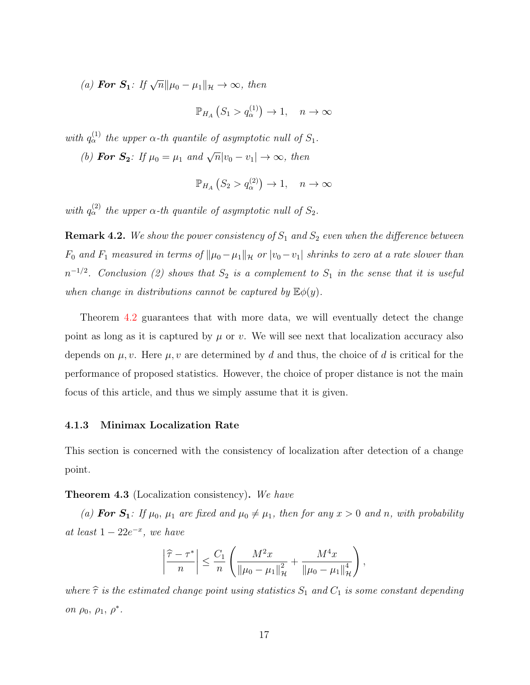(a) For  $S_1$ : If  $\sqrt{n} \|\mu_0 - \mu_1\|_{\mathcal{H}} \to \infty$ , then

 $\mathbb{P}_{H_A}\left(S_1 > q_\alpha^{(1)}\right) \to 1, \quad n \to \infty$ 

with  $q_\alpha^{(1)}$  the upper  $\alpha$ -th quantile of asymptotic null of  $S_1$ . (b) For  $S_2$ : If  $\mu_0 = \mu_1$  and  $\sqrt{n}|v_0 - v_1| \to \infty$ , then

$$
\mathbb{P}_{H_A}\left(S_2 > q_\alpha^{(2)}\right) \to 1, \quad n \to \infty
$$

with  $q_\alpha^{(2)}$  the upper  $\alpha$ -th quantile of asymptotic null of  $S_2$ .

**Remark 4.2.** We show the power consistency of  $S_1$  and  $S_2$  even when the difference between  $F_0$  and  $F_1$  measured in terms of  $\|\mu_0-\mu_1\|_{\mathcal{H}}$  or  $|v_0-v_1|$  shrinks to zero at a rate slower than  $n^{-1/2}$ . Conclusion (2) shows that  $S_2$  is a complement to  $S_1$  in the sense that it is useful when change in distributions cannot be captured by  $\mathbb{E}\phi(y)$ .

Theorem [4.2](#page-15-1) guarantees that with more data, we will eventually detect the change point as long as it is captured by  $\mu$  or v. We will see next that localization accuracy also depends on  $\mu, \nu$ . Here  $\mu, \nu$  are determined by d and thus, the choice of d is critical for the performance of proposed statistics. However, the choice of proper distance is not the main focus of this article, and thus we simply assume that it is given.

#### 4.1.3 Minimax Localization Rate

This section is concerned with the consistency of localization after detection of a change point.

#### <span id="page-16-0"></span>Theorem 4.3 (Localization consistency). We have

(a) For  $S_1$ : If  $\mu_0$ ,  $\mu_1$  are fixed and  $\mu_0 \neq \mu_1$ , then for any  $x > 0$  and n, with probability at least  $1 - 22e^{-x}$ , we have

$$
\left|\frac{\hat{\tau}-\tau^*}{n}\right| \leq \frac{C_1}{n} \left(\frac{M^2x}{\|\mu_0-\mu_1\|_{\mathcal{H}}^2} + \frac{M^4x}{\|\mu_0-\mu_1\|_{\mathcal{H}}^4}\right),
$$

where  $\hat{\tau}$  is the estimated change point using statistics  $S_1$  and  $C_1$  is some constant depending on  $\rho_0$ ,  $\rho_1$ ,  $\rho^*$ .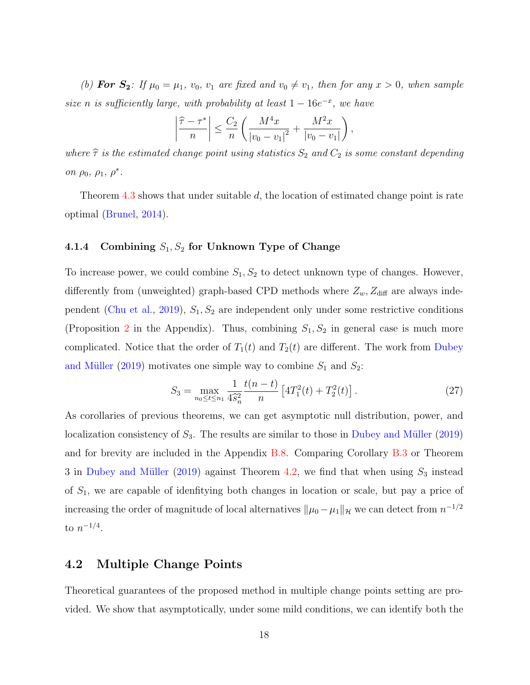(b) For  $S_2$ : If  $\mu_0 = \mu_1$ ,  $v_0$ ,  $v_1$  are fixed and  $v_0 \neq v_1$ , then for any  $x > 0$ , when sample size n is sufficiently large, with probability at least  $1 - 16e^{-x}$ , we have

$$
\left|\frac{\hat{\tau} - \tau^*}{n}\right| \le \frac{C_2}{n} \left(\frac{M^4 x}{|v_0 - v_1|^2} + \frac{M^2 x}{|v_0 - v_1|}\right),\,
$$

where  $\hat{\tau}$  is the estimated change point using statistics  $S_2$  and  $C_2$  is some constant depending on  $\rho_0$ ,  $\rho_1$ ,  $\rho^*$ .

Theorem [4.3](#page-16-0) shows that under suitable d, the location of estimated change point is rate optimal [\(Brunel,](#page-25-8) [2014\)](#page-25-8).

#### <span id="page-17-0"></span>4.1.4 Combining  $S_1, S_2$  for Unknown Type of Change

To increase power, we could combine  $S_1, S_2$  to detect unknown type of changes. However, differently from (unweighted) graph-based CPD methods where  $Z_w$ ,  $Z_{\text{diff}}$  are always inde-pendent [\(Chu et al.,](#page-26-4) [2019\)](#page-26-4),  $S_1, S_2$  are independent only under some restrictive conditions (Proposition [2](#page-30-1) in the Appendix). Thus, combining  $S_1, S_2$  in general case is much more complicated. Notice that the order of  $T_1(t)$  and  $T_2(t)$  are different. The work from [Dubey](#page-26-7) and Müller [\(2019\)](#page-26-7) motivates one simple way to combine  $S_1$  and  $S_2$ :

<span id="page-17-1"></span>
$$
S_3 = \max_{n_0 \le t \le n_1} \frac{1}{4\hat{s}_n^2} \frac{t(n-t)}{n} \left[ 4T_1^2(t) + T_2^2(t) \right]. \tag{27}
$$

As corollaries of previous theorems, we can get asymptotic null distribution, power, and localization consistency of  $S_3$ . The results are similar to those in Dubey and Müller [\(2019\)](#page-26-7) and for brevity are included in the Appendix [B.8.](#page-54-0) Comparing Corollary [B.3](#page-55-0) or Theorem 3 in Dubey and Müller [\(2019\)](#page-26-7) against Theorem [4.2,](#page-15-1) we find that when using  $S_3$  instead of  $S_1$ , we are capable of idenfitying both changes in location or scale, but pay a price of increasing the order of magnitude of local alternatives  $\|\mu_0 - \mu_1\|_{\mathcal{H}}$  we can detect from  $n^{-1/2}$ to  $n^{-1/4}$ .

#### 4.2 Multiple Change Points

Theoretical guarantees of the proposed method in multiple change points setting are provided. We show that asymptotically, under some mild conditions, we can identify both the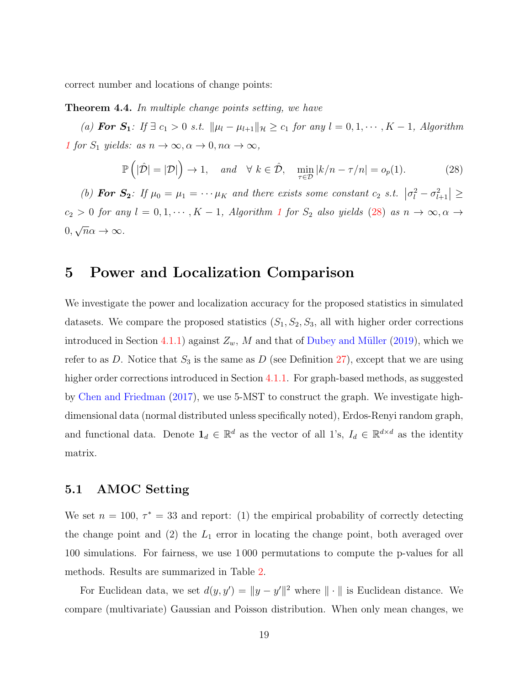<span id="page-18-2"></span>correct number and locations of change points:

Theorem 4.4. In multiple change points setting, we have

(a) For  $S_1$ : If  $\exists$   $c_1 > 0$  s.t.  $\|\mu_l - \mu_{l+1}\|_{\mathcal{H}} \ge c_1$  for any  $l = 0, 1, \dots, K - 1$ , Algorithm [1](#page-9-0) for  $S_1$  yields: as  $n \to \infty, \alpha \to 0, n\alpha \to \infty$ ,

<span id="page-18-1"></span>
$$
\mathbb{P}\left(|\hat{\mathcal{D}}| = |\mathcal{D}|\right) \to 1, \quad \text{and} \quad \forall \ k \in \hat{\mathcal{D}}, \quad \min_{\tau \in \mathcal{D}} |k/n - \tau/n| = o_p(1). \tag{28}
$$

(b) **For S<sub>2</sub>**: If  $\mu_0 = \mu_1 = \cdots \mu_K$  and there exists some constant  $c_2$  s.t.  $|\sigma_l^2 - \sigma_{l+1}^2| \ge$  $c_2 > 0$  for any  $l = 0, 1, \cdots, K - 1$  $l = 0, 1, \cdots, K - 1$  $l = 0, 1, \cdots, K - 1$ , Algorithm 1 for  $S_2$  also yields [\(28\)](#page-18-1) as  $n \to \infty, \alpha \to$ 0, √  $\overline{n}\alpha \to \infty$ .

## <span id="page-18-0"></span>5 Power and Localization Comparison

We investigate the power and localization accuracy for the proposed statistics in simulated datasets. We compare the proposed statistics  $(S_1, S_2, S_3,$  all with higher order corrections introduced in Section [4.1.1\)](#page-12-0) against  $Z_w$ , M and that of Dubey and Müller [\(2019\)](#page-26-7), which we refer to as D. Notice that  $S_3$  is the same as D (see Definition [27\)](#page-17-1), except that we are using higher order corrections introduced in Section [4.1.1.](#page-12-0) For graph-based methods, as suggested by [Chen and Friedman](#page-25-6) [\(2017\)](#page-25-6), we use 5-MST to construct the graph. We investigate highdimensional data (normal distributed unless specifically noted), Erdos-Renyi random graph, and functional data. Denote  $\mathbf{1}_d \in \mathbb{R}^d$  as the vector of all 1's,  $I_d \in \mathbb{R}^{d \times d}$  as the identity matrix.

### 5.1 AMOC Setting

We set  $n = 100$ ,  $\tau^* = 33$  and report: (1) the empirical probability of correctly detecting the change point and  $(2)$  the  $L_1$  error in locating the change point, both averaged over 100 simulations. For fairness, we use 1 000 permutations to compute the p-values for all methods. Results are summarized in Table [2.](#page-19-0)

For Euclidean data, we set  $d(y, y') = ||y - y'||^2$  where  $|| \cdot ||$  is Euclidean distance. We compare (multivariate) Gaussian and Poisson distribution. When only mean changes, we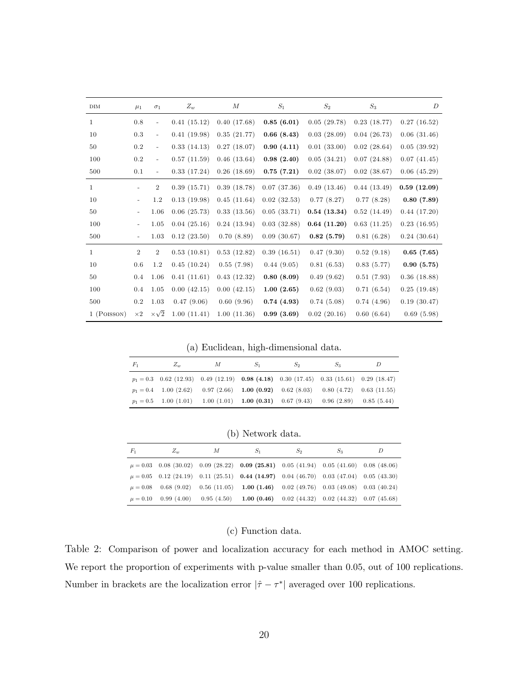<span id="page-19-0"></span>

| DIM          | $\mu_1$        | $\sigma_1$               | $Z_w$       | $_{M}$      | $\mathcal{S}_1$ | $S_2$       | $S_3$       | D           |
|--------------|----------------|--------------------------|-------------|-------------|-----------------|-------------|-------------|-------------|
| 1            | 0.8            |                          | 0.41(15.12) | 0.40(17.68) | 0.85(6.01)      | 0.05(29.78) | 0.23(18.77) | 0.27(16.52) |
| 10           | 0.3            | $\bar{\phantom{a}}$      | 0.41(19.98) | 0.35(21.77) | 0.66(8.43)      | 0.03(28.09) | 0.04(26.73) | 0.06(31.46) |
| 50           | 0.2            |                          | 0.33(14.13) | 0.27(18.07) | 0.90(4.11)      | 0.01(33.00) | 0.02(28.64) | 0.05(39.92) |
| 100          | $0.2\,$        |                          | 0.57(11.59) | 0.46(13.64) | 0.98(2.40)      | 0.05(34.21) | 0.07(24.88) | 0.07(41.45) |
| 500          | 0.1            | $\overline{\phantom{a}}$ | 0.33(17.24) | 0.26(18.69) | 0.75(7.21)      | 0.02(38.07) | 0.02(38.67) | 0.06(45.29) |
| 1            |                | $\overline{2}$           | 0.39(15.71) | 0.39(18.78) | 0.07(37.36)     | 0.49(13.46) | 0.44(13.49) | 0.59(12.09) |
| 10           |                | 1.2                      | 0.13(19.98) | 0.45(11.64) | 0.02(32.53)     | 0.77(8.27)  | 0.77(8.28)  | 0.80(7.89)  |
| 50           |                | 1.06                     | 0.06(25.73) | 0.33(13.56) | 0.05(33.71)     | 0.54(13.34) | 0.52(14.49) | 0.44(17.20) |
| 100          |                | 1.05                     | 0.04(25.16) | 0.24(13.94) | 0.03(32.88)     | 0.64(11.20) | 0.63(11.25) | 0.23(16.95) |
| 500          |                | 1.03                     | 0.12(23.50) | 0.70(8.89)  | 0.09(30.67)     | 0.82(5.79)  | 0.81(6.28)  | 0.24(30.64) |
| $\mathbf{1}$ | $\overline{2}$ | $\overline{2}$           | 0.53(10.81) | 0.53(12.82) | 0.39(16.51)     | 0.47(9.30)  | 0.52(9.18)  | 0.65(7.65)  |
| 10           | 0.6            | 1.2                      | 0.45(10.24) | 0.55(7.98)  | 0.44(9.05)      | 0.81(6.53)  | 0.83(5.77)  | 0.90(5.75)  |
| 50           | 0.4            | 1.06                     | 0.41(11.61) | 0.43(12.32) | 0.80(8.09)      | 0.49(9.62)  | 0.51(7.93)  | 0.36(18.88) |
| 100          | 0.4            | 1.05                     | 0.00(42.15) | 0.00(42.15) | 1.00(2.65)      | 0.62(9.03)  | 0.71(6.54)  | 0.25(19.48) |
| 500          | $0.2\,$        | 1.03                     | 0.47(9.06)  | 0.60(9.96)  | 0.74(4.93)      | 0.74(5.08)  | 0.74(4.96)  | 0.19(30.47) |
| 1 (POISSON)  | $\times 2$     | $\times\sqrt{2}$         | 1.00(11.41) | 1.00(11.36) | 0.99(3.69)      | 0.02(20.16) | 0.60(6.64)  | 0.69(5.98)  |

(a) Euclidean, high-dimensional data.

| $F_1$ | $Z_{w}$                                                                                  | М | $S_1$ | $S_2$ | $S_3$ |  |
|-------|------------------------------------------------------------------------------------------|---|-------|-------|-------|--|
|       | $p_1 = 0.3$ 0.62 (12.93) 0.49 (12.19) 0.98 (4.18) 0.30 (17.45) 0.33 (15.61) 0.29 (18.47) |   |       |       |       |  |
|       | $p_1 = 0.4$ 1.00 (2.62) 0.97 (2.66) 1.00 (0.92) 0.62 (8.03) 0.80 (4.72) 0.63 (11.55)     |   |       |       |       |  |
|       | $p_1 = 0.5$ 1.00 (1.01) 1.00 (1.01) 1.00 (0.31) 0.67 (9.43) 0.96 (2.89) 0.85 (5.44)      |   |       |       |       |  |

(b) Network data.

| $F_1$ | $Z_{w}$ | М | $S_1$                                                                                             | $S_2$ | $S_3$ | D |
|-------|---------|---|---------------------------------------------------------------------------------------------------|-------|-------|---|
|       |         |   | $\mu = 0.03$ 0.08 (30.02) 0.09 (28.22) <b>0.09 (25.81)</b> 0.05 (41.94) 0.05 (41.60) 0.08 (48.06) |       |       |   |
|       |         |   | $\mu = 0.05$ 0.12 (24.19) 0.11 (25.51) <b>0.44 (14.97)</b> 0.04 (46.70) 0.03 (47.04) 0.05 (43.30) |       |       |   |
|       |         |   | $\mu = 0.08$ 0.68 (9.02) 0.56 (11.05) 1.00 (1.46) 0.02 (49.76) 0.03 (49.08) 0.03 (40.24)          |       |       |   |
|       |         |   | $\mu = 0.10$ 0.99 (4.00) 0.95 (4.50) 1.00 (0.46) 0.02 (44.32) 0.02 (44.32) 0.07 (45.68)           |       |       |   |

### (c) Function data.

Table 2: Comparison of power and localization accuracy for each method in AMOC setting. We report the proportion of experiments with p-value smaller than 0.05, out of 100 replications. Number in brackets are the localization error  $|\hat{\tau} - \tau^*|$  averaged over 100 replications.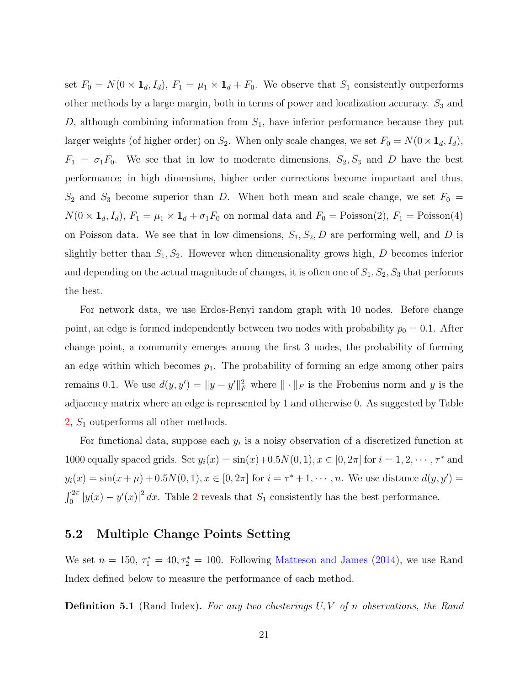set  $F_0 = N(0 \times \mathbf{1}_d, I_d)$ ,  $F_1 = \mu_1 \times \mathbf{1}_d + F_0$ . We observe that  $S_1$  consistently outperforms other methods by a large margin, both in terms of power and localization accuracy.  $S_3$  and  $D$ , although combining information from  $S_1$ , have inferior performance because they put larger weights (of higher order) on  $S_2$ . When only scale changes, we set  $F_0 = N(0 \times \mathbf{1}_d, I_d)$ ,  $F_1 = \sigma_1 F_0$ . We see that in low to moderate dimensions,  $S_2, S_3$  and D have the best performance; in high dimensions, higher order corrections become important and thus,  $S_2$  and  $S_3$  become superior than D. When both mean and scale change, we set  $F_0 =$  $N(0 \times \mathbf{1}_d, I_d)$ ,  $F_1 = \mu_1 \times \mathbf{1}_d + \sigma_1 F_0$  on normal data and  $F_0 = \text{Poisson}(2)$ ,  $F_1 = \text{Poisson}(4)$ on Poisson data. We see that in low dimensions,  $S_1, S_2, D$  are performing well, and D is slightly better than  $S_1, S_2$ . However when dimensionality grows high, D becomes inferior and depending on the actual magnitude of changes, it is often one of  $S_1, S_2, S_3$  that performs the best.

For network data, we use Erdos-Renyi random graph with 10 nodes. Before change point, an edge is formed independently between two nodes with probability  $p_0 = 0.1$ . After change point, a community emerges among the first 3 nodes, the probability of forming an edge within which becomes  $p_1$ . The probability of forming an edge among other pairs remains 0.1. We use  $d(y, y') = ||y - y'||_F^2$  where  $|| \cdot ||_F$  is the Frobenius norm and y is the adjacency matrix where an edge is represented by 1 and otherwise 0. As suggested by Table  $2, S<sub>1</sub>$  $2, S<sub>1</sub>$  outperforms all other methods.

For functional data, suppose each  $y_i$  is a noisy observation of a discretized function at 1000 equally spaced grids. Set  $y_i(x) = \sin(x) + 0.5N(0, 1), x \in [0, 2\pi]$  for  $i = 1, 2, \dots, \tau^*$  and  $y_i(x) = \sin(x + \mu) + 0.5N(0, 1), x \in [0, 2\pi]$  for  $i = \tau^* + 1, \dots, n$ . We use distance  $d(y, y') =$  $\int_0^{2\pi} |y(x) - y'(x)|^2 dx$  $\int_0^{2\pi} |y(x) - y'(x)|^2 dx$  $\int_0^{2\pi} |y(x) - y'(x)|^2 dx$ . Table 2 reveals that  $S_1$  consistently has the best performance.

### 5.2 Multiple Change Points Setting

We set  $n = 150$ ,  $\tau_1^* = 40$ ,  $\tau_2^* = 100$ . Following [Matteson and James](#page-28-1) [\(2014\)](#page-28-1), we use Rand Index defined below to measure the performance of each method.

**Definition 5.1** (Rand Index). For any two clusterings  $U, V$  of n observations, the Rand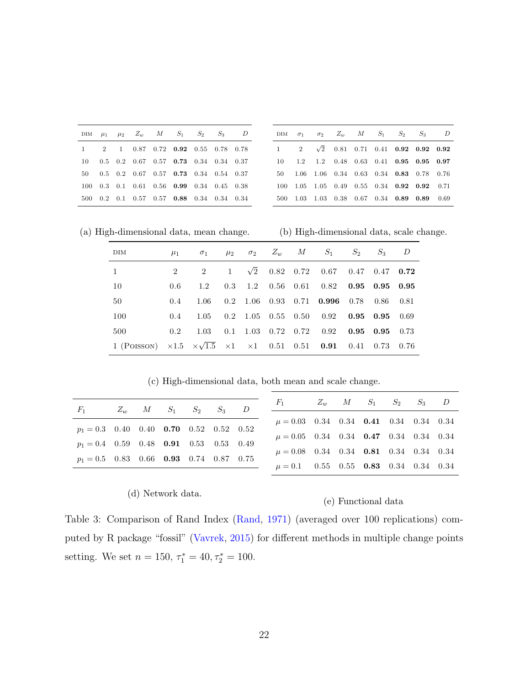<span id="page-21-0"></span>

|  |  | DIM $\mu_1$ $\mu_2$ $Z_w$ $M$ $S_1$ $S_2$ $S_3$ $D$           |  |  |
|--|--|---------------------------------------------------------------|--|--|
|  |  | $1 \t 2 \t 1 \t 0.87 \t 0.72 \t 0.92 \t 0.55 \t 0.78 \t 0.78$ |  |  |
|  |  | $10$ 0.5 0.2 0.67 0.57 0.73 0.34 0.34 0.37                    |  |  |
|  |  | 50  0.5  0.2  0.67  0.57  0.73  0.34  0.54  0.37              |  |  |
|  |  | 100 0.3 0.1 0.61 0.56 0.99 0.34 0.45 0.38                     |  |  |
|  |  | 500 0.2 0.1 0.57 0.57 0.88 0.34 0.34 0.34                     |  |  |

|  |  |  | DIM $\sigma_1$ $\sigma_2$ $Z_w$ $M$ $S_1$ $S_2$ $S_3$ $D$    |  |
|--|--|--|--------------------------------------------------------------|--|
|  |  |  | $1 \t2 \t\sqrt{2} \t0.81 \t0.71 \t0.41 \t0.92 \t0.92 \t0.92$ |  |
|  |  |  | 10 1.2 1.2 0.48 0.63 0.41 0.95 0.95 0.97                     |  |
|  |  |  | 50 1.06 1.06 0.34 0.63 0.34 0.83 0.78 0.76                   |  |
|  |  |  | 100 1.05 1.05 0.49 0.55 0.34 0.92 0.92 0.71                  |  |
|  |  |  | 500 1.03 1.03 0.38 0.67 0.34 0.89 0.89 0.69                  |  |

(a) High-dimensional data, mean change.

(b) High-dimensional data, scale change.

| DIM                                                                                                           |               | $\mu_1$ $\sigma_1$ $\mu_2$ $\sigma_2$ $Z_w$ $M$ $S_1$ $S_2$ $S_3$ $D$ |  |  |                                            |             |             |       |
|---------------------------------------------------------------------------------------------------------------|---------------|-----------------------------------------------------------------------|--|--|--------------------------------------------|-------------|-------------|-------|
| $\mathbf{1}$                                                                                                  | $2^{\circ}$   | $2^{\circ}$                                                           |  |  | $1 \sqrt{2}$ 0.82 0.72 0.67 0.47 0.47 0.72 |             |             |       |
| 10                                                                                                            | 0.6           | 1.2                                                                   |  |  | $0.3$ 1.2 $0.56$ 0.61 0.82 0.95 0.95 0.95  |             |             |       |
| 50                                                                                                            | $0.4^{\circ}$ | 1.06                                                                  |  |  | $0.2$ 1.06 0.93 0.71 0.996                 | $0.78$ 0.86 |             | -0.81 |
| 100                                                                                                           | $0.4^{\circ}$ | 1.05                                                                  |  |  | $0.2$ 1.05 0.55 0.50 0.92 0.95 0.95        |             |             | -0.69 |
| 500                                                                                                           | $0.2^{\circ}$ | 1.03                                                                  |  |  | $0.1$ 1.03 0.72 0.72 0.92 0.95 0.95        |             |             | 0.73  |
| 1 (POISSON) $\times 1.5 \times \sqrt{1.5} \times 1 \times 1 \times 10.51 \times 0.51 \times 0.91 \times 0.41$ |               |                                                                       |  |  |                                            |             | $0.73$ 0.76 |       |

(c) High-dimensional data, both mean and scale change.

| $F_1$                                            |  | $Z_w$ M $S_1$ $S_2$ $S_3$ D |  | $F_1$ $Z_w$ $M$ $S_1$ $S_2$ $S_3$ $D$             |  |  |  |
|--------------------------------------------------|--|-----------------------------|--|---------------------------------------------------|--|--|--|
|                                                  |  |                             |  | $\mu = 0.03$ 0.34 0.34 <b>0.41</b> 0.34 0.34 0.34 |  |  |  |
| $p_1 = 0.3$ 0.40 0.40 <b>0.70</b> 0.52 0.52 0.52 |  |                             |  | $\mu = 0.05$ 0.34 0.34 <b>0.47</b> 0.34 0.34 0.34 |  |  |  |
| $p_1 = 0.4$ 0.59 0.48 <b>0.91</b> 0.53 0.53 0.49 |  |                             |  | $\mu = 0.08$ 0.34 0.34 <b>0.81</b> 0.34 0.34 0.34 |  |  |  |
| $p_1 = 0.5$ 0.83 0.66 <b>0.93</b> 0.74 0.87 0.75 |  |                             |  | $\mu = 0.1$ 0.55 0.55 0.83 0.34 0.34 0.34         |  |  |  |

#### (d) Network data.

#### (e) Functional data

Table 3: Comparison of Rand Index [\(Rand,](#page-28-8) [1971\)](#page-28-8) (averaged over 100 replications) computed by R package "fossil" [\(Vavrek,](#page-29-1) [2015\)](#page-29-1) for different methods in multiple change points setting. We set  $n = 150$ ,  $\tau_1^* = 40$ ,  $\tau_2^* = 100$ .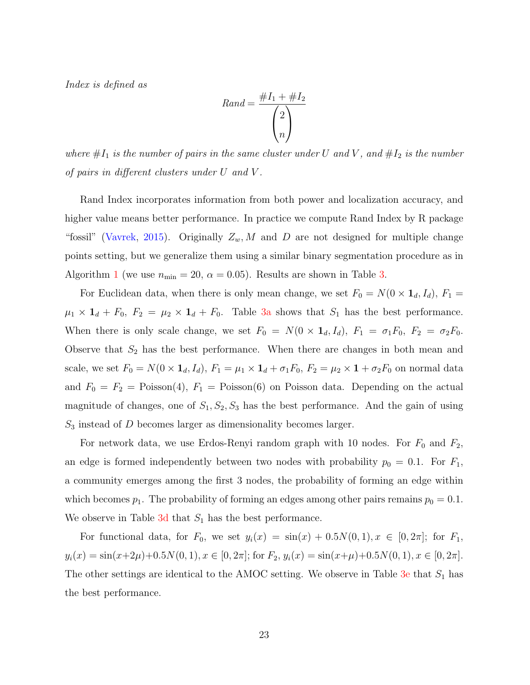Index is defined as

$$
Rand = \frac{\#I_1 + \#I_2}{\binom{2}{n}}
$$

where  $#I_1$  is the number of pairs in the same cluster under U and V, and  $#I_2$  is the number of pairs in different clusters under U and V .

Rand Index incorporates information from both power and localization accuracy, and higher value means better performance. In practice we compute Rand Index by R package "fossil" [\(Vavrek,](#page-29-1) [2015\)](#page-29-1). Originally  $Z_w$ , M and D are not designed for multiple change points setting, but we generalize them using a similar binary segmentation procedure as in Algorithm [1](#page-9-0) (we use  $n_{\min} = 20$ ,  $\alpha = 0.05$ ). Results are shown in Table [3.](#page-21-0)

For Euclidean data, when there is only mean change, we set  $F_0 = N(0 \times \mathbf{1}_d, I_d)$ ,  $F_1 =$  $\mu_1 \times \mathbf{1}_d + F_0$ ,  $F_2 = \mu_2 \times \mathbf{1}_d + F_0$ . Table [3a](#page-21-0) shows that  $S_1$  has the best performance. When there is only scale change, we set  $F_0 = N(0 \times \mathbf{1}_d, I_d)$ ,  $F_1 = \sigma_1 F_0$ ,  $F_2 = \sigma_2 F_0$ . Observe that  $S_2$  has the best performance. When there are changes in both mean and scale, we set  $F_0 = N(0 \times \mathbf{1}_d, I_d)$ ,  $F_1 = \mu_1 \times \mathbf{1}_d + \sigma_1 F_0$ ,  $F_2 = \mu_2 \times \mathbf{1} + \sigma_2 F_0$  on normal data and  $F_0 = F_2 = \text{Poisson}(4)$ ,  $F_1 = \text{Poisson}(6)$  on Poisson data. Depending on the actual magnitude of changes, one of  $S_1, S_2, S_3$  has the best performance. And the gain of using  $S_3$  instead of D becomes larger as dimensionality becomes larger.

For network data, we use Erdos-Renyi random graph with 10 nodes. For  $F_0$  and  $F_2$ , an edge is formed independently between two nodes with probability  $p_0 = 0.1$ . For  $F_1$ , a community emerges among the first 3 nodes, the probability of forming an edge within which becomes  $p_1$ . The probability of forming an edges among other pairs remains  $p_0 = 0.1$ . We observe in Table  $3d$  that  $S_1$  has the best performance.

For functional data, for  $F_0$ , we set  $y_i(x) = \sin(x) + 0.5N(0, 1), x \in [0, 2\pi]$ ; for  $F_1$ ,  $y_i(x) = \sin(x+2\mu) + 0.5N(0, 1), x \in [0, 2\pi]$ ; for  $F_2$ ,  $y_i(x) = \sin(x+\mu) + 0.5N(0, 1), x \in [0, 2\pi]$ . The other settings are identical to the AMOC setting. We observe in Table [3e](#page-21-0) that  $S_1$  has the best performance.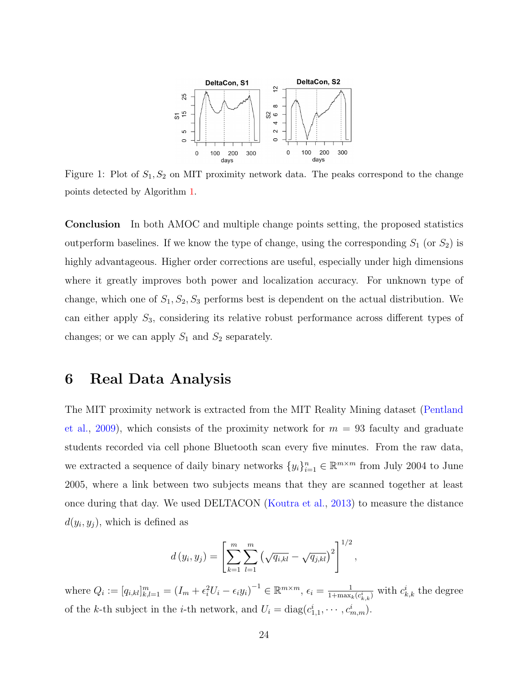<span id="page-23-1"></span>

Figure 1: Plot of  $S_1, S_2$  on MIT proximity network data. The peaks correspond to the change points detected by Algorithm [1.](#page-9-0)

Conclusion In both AMOC and multiple change points setting, the proposed statistics outperform baselines. If we know the type of change, using the corresponding  $S_1$  (or  $S_2$ ) is highly advantageous. Higher order corrections are useful, especially under high dimensions where it greatly improves both power and localization accuracy. For unknown type of change, which one of  $S_1, S_2, S_3$  performs best is dependent on the actual distribution. We can either apply  $S_3$ , considering its relative robust performance across different types of changes; or we can apply  $S_1$  and  $S_2$  separately.

## <span id="page-23-0"></span>6 Real Data Analysis

The MIT proximity network is extracted from the MIT Reality Mining dataset [\(Pentland](#page-28-9) [et al.,](#page-28-9) [2009\)](#page-28-9), which consists of the proximity network for  $m = 93$  faculty and graduate students recorded via cell phone Bluetooth scan every five minutes. From the raw data, we extracted a sequence of daily binary networks  $\{y_i\}_{i=1}^n \in \mathbb{R}^{m \times m}$  from July 2004 to June 2005, where a link between two subjects means that they are scanned together at least once during that day. We used DELTACON [\(Koutra et al.,](#page-27-8) [2013\)](#page-27-8) to measure the distance  $d(y_i, y_j)$ , which is defined as

$$
d(y_i, y_j) = \left[ \sum_{k=1}^{m} \sum_{l=1}^{m} \left( \sqrt{q_{i,kl}} - \sqrt{q_{j,kl}} \right)^2 \right]^{1/2},
$$

where  $Q_i := [q_{i,kl}]_{k,l=1}^m = (I_m + \epsilon_i^2 U_i - \epsilon_i y_i)^{-1} \in \mathbb{R}^{m \times m}, \epsilon_i = \frac{1}{1 + \max_i}$  $\frac{1}{1+\max_k(c_{k,k}^i)}$  with  $c_{k,k}^i$  the degree of the k-th subject in the *i*-th network, and  $U_i = \text{diag}(c_{1,1}^i, \dots, c_{m,m}^i)$ .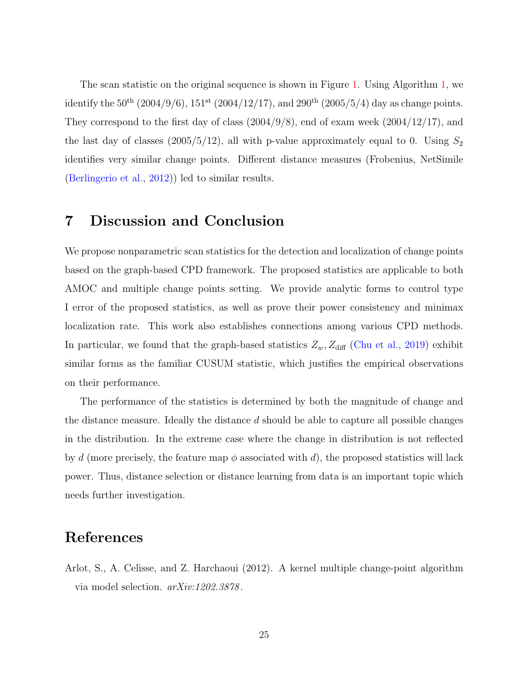The scan statistic on the original sequence is shown in Figure [1.](#page-23-1) Using Algorithm [1,](#page-9-0) we identify the  $50^{th}$  (2004/9/6),  $151^{st}$  (2004/12/17), and 290<sup>th</sup> (2005/5/4) day as change points. They correspond to the first day of class  $(2004/9/8)$ , end of exam week  $(2004/12/17)$ , and the last day of classes (2005/5/12), all with p-value approximately equal to 0. Using  $S_2$ identifies very similar change points. Different distance measures (Frobenius, NetSimile [\(Berlingerio et al.,](#page-25-9) [2012\)](#page-25-9)) led to similar results.

## <span id="page-24-0"></span>7 Discussion and Conclusion

We propose nonparametric scan statistics for the detection and localization of change points based on the graph-based CPD framework. The proposed statistics are applicable to both AMOC and multiple change points setting. We provide analytic forms to control type I error of the proposed statistics, as well as prove their power consistency and minimax localization rate. This work also establishes connections among various CPD methods. In particular, we found that the graph-based statistics  $Z_w$ ,  $Z_{\text{diff}}$  [\(Chu et al.,](#page-26-4) [2019\)](#page-26-4) exhibit similar forms as the familiar CUSUM statistic, which justifies the empirical observations on their performance.

The performance of the statistics is determined by both the magnitude of change and the distance measure. Ideally the distance  $d$  should be able to capture all possible changes in the distribution. In the extreme case where the change in distribution is not reflected by d (more precisely, the feature map  $\phi$  associated with d), the proposed statistics will lack power. Thus, distance selection or distance learning from data is an important topic which needs further investigation.

## References

<span id="page-24-1"></span>Arlot, S., A. Celisse, and Z. Harchaoui (2012). A kernel multiple change-point algorithm via model selection. arXiv:1202.3878 .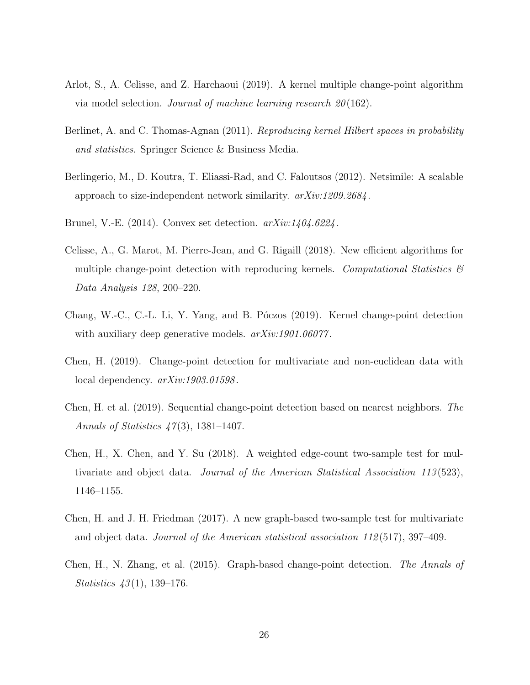- <span id="page-25-0"></span>Arlot, S., A. Celisse, and Z. Harchaoui (2019). A kernel multiple change-point algorithm via model selection. Journal of machine learning research 20 (162).
- <span id="page-25-10"></span>Berlinet, A. and C. Thomas-Agnan (2011). Reproducing kernel Hilbert spaces in probability and statistics. Springer Science & Business Media.
- <span id="page-25-9"></span>Berlingerio, M., D. Koutra, T. Eliassi-Rad, and C. Faloutsos (2012). Netsimile: A scalable approach to size-independent network similarity. arXiv:1209.2684 .
- <span id="page-25-8"></span>Brunel, V.-E.  $(2014)$ . Convex set detection.  $arXiv:1404.6224$ .
- <span id="page-25-1"></span>Celisse, A., G. Marot, M. Pierre-Jean, and G. Rigaill (2018). New efficient algorithms for multiple change-point detection with reproducing kernels. Computational Statistics  $\mathcal{B}$ Data Analysis 128, 200–220.
- <span id="page-25-2"></span>Chang, W.-C., C.-L. Li, Y. Yang, and B. Póczos (2019). Kernel change-point detection with auxiliary deep generative models.  $arXiv:1901.06077$ .
- <span id="page-25-3"></span>Chen, H. (2019). Change-point detection for multivariate and non-euclidean data with local dependency.  $arXiv:1903.01598$ .
- <span id="page-25-4"></span>Chen, H. et al. (2019). Sequential change-point detection based on nearest neighbors. The Annals of Statistics  $47(3)$ , 1381–1407.
- <span id="page-25-5"></span>Chen, H., X. Chen, and Y. Su (2018). A weighted edge-count two-sample test for multivariate and object data. Journal of the American Statistical Association 113 (523), 1146–1155.
- <span id="page-25-6"></span>Chen, H. and J. H. Friedman (2017). A new graph-based two-sample test for multivariate and object data. Journal of the American statistical association 112 (517), 397–409.
- <span id="page-25-7"></span>Chen, H., N. Zhang, et al. (2015). Graph-based change-point detection. The Annals of *Statistics*  $43(1)$ , 139–176.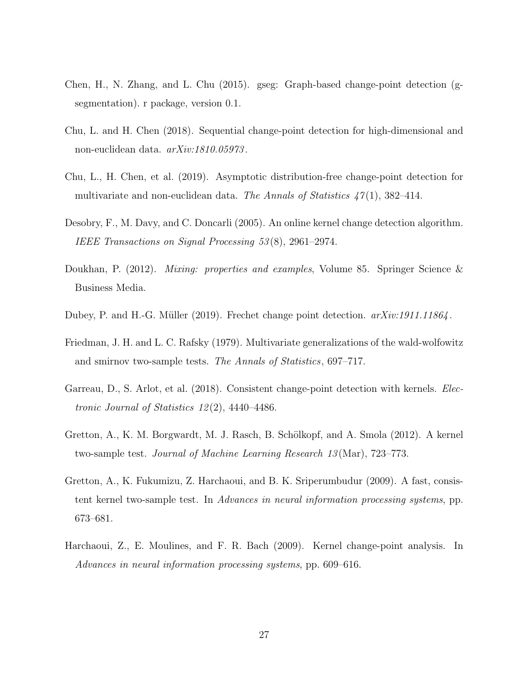- <span id="page-26-8"></span>Chen, H., N. Zhang, and L. Chu (2015). gseg: Graph-based change-point detection (gsegmentation). r package, version 0.1.
- <span id="page-26-3"></span>Chu, L. and H. Chen (2018). Sequential change-point detection for high-dimensional and non-euclidean data.  $arXiv:1810.05973$ .
- <span id="page-26-4"></span>Chu, L., H. Chen, et al. (2019). Asymptotic distribution-free change-point detection for multivariate and non-euclidean data. The Annals of Statistics  $47(1)$ , 382-414.
- <span id="page-26-0"></span>Desobry, F., M. Davy, and C. Doncarli (2005). An online kernel change detection algorithm. IEEE Transactions on Signal Processing 53 (8), 2961–2974.
- <span id="page-26-9"></span>Doukhan, P. (2012). Mixing: properties and examples, Volume 85. Springer Science & Business Media.
- <span id="page-26-7"></span>Dubey, P. and H.-G. Müller (2019). Frechet change point detection.  $arXiv:1911.11864$ .
- <span id="page-26-5"></span>Friedman, J. H. and L. C. Rafsky (1979). Multivariate generalizations of the wald-wolfowitz and smirnov two-sample tests. The Annals of Statistics, 697–717.
- <span id="page-26-1"></span>Garreau, D., S. Arlot, et al. (2018). Consistent change-point detection with kernels. Electronic Journal of Statistics  $12(2)$ , 4440-4486.
- <span id="page-26-6"></span>Gretton, A., K. M. Borgwardt, M. J. Rasch, B. Schölkopf, and A. Smola (2012). A kernel two-sample test. Journal of Machine Learning Research 13 (Mar), 723–773.
- <span id="page-26-10"></span>Gretton, A., K. Fukumizu, Z. Harchaoui, and B. K. Sriperumbudur (2009). A fast, consistent kernel two-sample test. In Advances in neural information processing systems, pp. 673–681.
- <span id="page-26-2"></span>Harchaoui, Z., E. Moulines, and F. R. Bach (2009). Kernel change-point analysis. In Advances in neural information processing systems, pp. 609–616.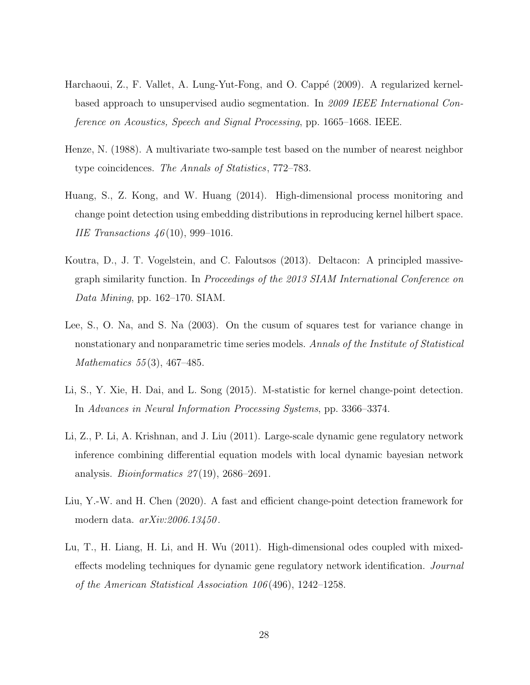- <span id="page-27-2"></span>Harchaoui, Z., F. Vallet, A. Lung-Yut-Fong, and O. Cappé (2009). A regularized kernelbased approach to unsupervised audio segmentation. In 2009 IEEE International Conference on Acoustics, Speech and Signal Processing, pp. 1665–1668. IEEE.
- <span id="page-27-6"></span>Henze, N. (1988). A multivariate two-sample test based on the number of nearest neighbor type coincidences. The Annals of Statistics, 772–783.
- <span id="page-27-3"></span>Huang, S., Z. Kong, and W. Huang (2014). High-dimensional process monitoring and change point detection using embedding distributions in reproducing kernel hilbert space. *IIE Transactions*  $46(10)$ , 999-1016.
- <span id="page-27-8"></span>Koutra, D., J. T. Vogelstein, and C. Faloutsos (2013). Deltacon: A principled massivegraph similarity function. In Proceedings of the 2013 SIAM International Conference on Data Mining, pp. 162–170. SIAM.
- <span id="page-27-7"></span>Lee, S., O. Na, and S. Na (2003). On the cusum of squares test for variance change in nonstationary and nonparametric time series models. Annals of the Institute of Statistical Mathematics 55(3), 467-485.
- <span id="page-27-4"></span>Li, S., Y. Xie, H. Dai, and L. Song (2015). M-statistic for kernel change-point detection. In Advances in Neural Information Processing Systems, pp. 3366–3374.
- <span id="page-27-0"></span>Li, Z., P. Li, A. Krishnan, and J. Liu (2011). Large-scale dynamic gene regulatory network inference combining differential equation models with local dynamic bayesian network analysis. *Bioinformatics*  $27(19)$ ,  $2686-2691$ .
- <span id="page-27-5"></span>Liu, Y.-W. and H. Chen (2020). A fast and efficient change-point detection framework for modern data. arXiv:2006.13450 .
- <span id="page-27-1"></span>Lu, T., H. Liang, H. Li, and H. Wu (2011). High-dimensional odes coupled with mixedeffects modeling techniques for dynamic gene regulatory network identification. Journal of the American Statistical Association 106 (496), 1242–1258.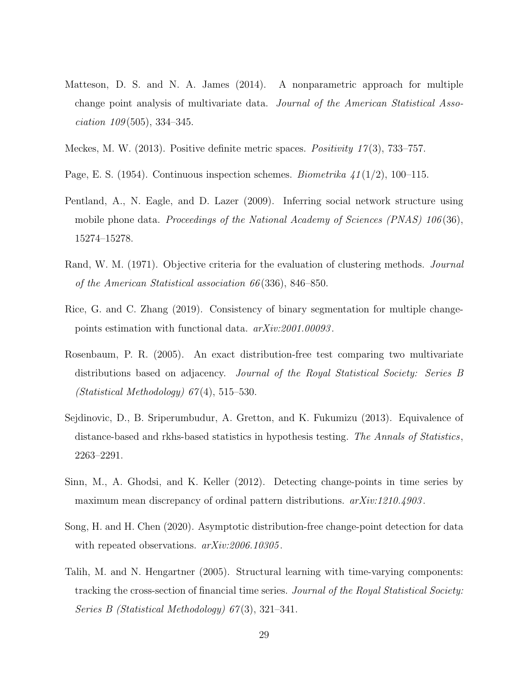- <span id="page-28-1"></span>Matteson, D. S. and N. A. James (2014). A nonparametric approach for multiple change point analysis of multivariate data. Journal of the American Statistical Asso $ciation 109(505), 334-345.$
- <span id="page-28-6"></span>Meckes, M. W.  $(2013)$ . Positive definite metric spaces. *Positivity 17* $(3)$ , 733–757.
- <span id="page-28-3"></span>Page, E. S. (1954). Continuous inspection schemes. Biometrika  $41(1/2)$ , 100–115.
- <span id="page-28-9"></span>Pentland, A., N. Eagle, and D. Lazer (2009). Inferring social network structure using mobile phone data. Proceedings of the National Academy of Sciences  $(PNAS)$  106(36), 15274–15278.
- <span id="page-28-8"></span>Rand, W. M. (1971). Objective criteria for the evaluation of clustering methods. *Journal* of the American Statistical association 66 (336), 846–850.
- <span id="page-28-10"></span>Rice, G. and C. Zhang (2019). Consistency of binary segmentation for multiple changepoints estimation with functional data. arXiv:2001.00093 .
- <span id="page-28-4"></span>Rosenbaum, P. R. (2005). An exact distribution-free test comparing two multivariate distributions based on adjacency. Journal of the Royal Statistical Society: Series B  $(Statistical Methodology) 67(4), 515-530.$
- <span id="page-28-5"></span>Sejdinovic, D., B. Sriperumbudur, A. Gretton, and K. Fukumizu (2013). Equivalence of distance-based and rkhs-based statistics in hypothesis testing. The Annals of Statistics, 2263–2291.
- <span id="page-28-7"></span>Sinn, M., A. Ghodsi, and K. Keller (2012). Detecting change-points in time series by maximum mean discrepancy of ordinal pattern distributions.  $arXiv:1210.4903$ .
- <span id="page-28-2"></span>Song, H. and H. Chen (2020). Asymptotic distribution-free change-point detection for data with repeated observations.  $arXiv:2006.10305$ .
- <span id="page-28-0"></span>Talih, M. and N. Hengartner (2005). Structural learning with time-varying components: tracking the cross-section of financial time series. Journal of the Royal Statistical Society: Series B (Statistical Methodology) 67 (3), 321–341.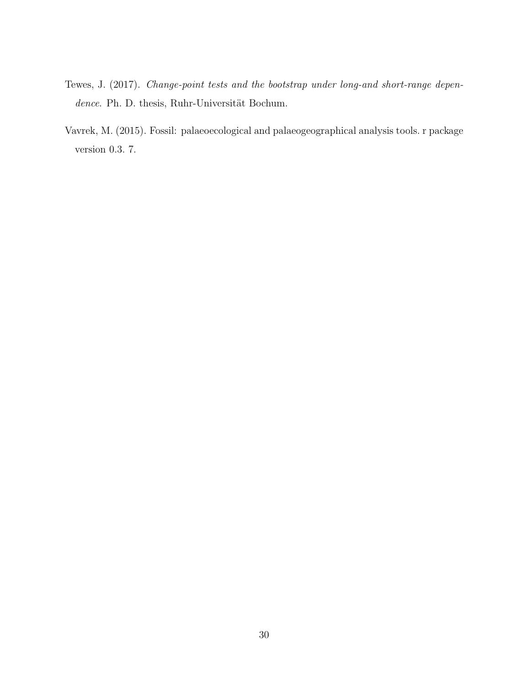- <span id="page-29-0"></span>Tewes, J. (2017). Change-point tests and the bootstrap under long-and short-range dependence. Ph. D. thesis, Ruhr-Universität Bochum.
- <span id="page-29-1"></span>Vavrek, M. (2015). Fossil: palaeoecological and palaeogeographical analysis tools. r package version 0.3. 7.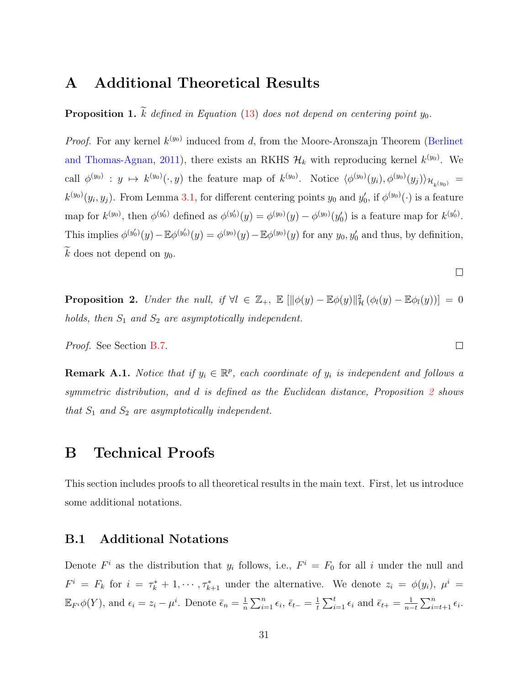## A Additional Theoretical Results

<span id="page-30-0"></span>**Proposition 1.**  $\widetilde{k}$  defined in Equation [\(13\)](#page-10-4) does not depend on centering point y<sub>0</sub>.

*Proof.* For any kernel  $k^{(y_0)}$  induced from d, from the Moore-Aronszajn Theorem [\(Berlinet](#page-25-10) [and Thomas-Agnan,](#page-25-10) [2011\)](#page-25-10), there exists an RKHS  $\mathcal{H}_k$  with reproducing kernel  $k^{(y_0)}$ . We call  $\phi^{(y_0)}: y \mapsto k^{(y_0)}(\cdot, y)$  the feature map of  $k^{(y_0)}$ . Notice  $\langle \phi^{(y_0)}(y_i), \phi^{(y_0)}(y_j) \rangle_{\mathcal{H}_{k^{(y_0)}}} =$  $k^{(y_0)}(y_i, y_j)$ . From Lemma [3.1,](#page-8-3) for different centering points  $y_0$  and  $y'_0$ , if  $\phi^{(y_0)}(\cdot)$  is a feature map for  $k^{(y_0)}$ , then  $\phi^{(y'_0)}$  defined as  $\phi^{(y'_0)}(y) = \phi^{(y_0)}(y) - \phi^{(y_0)}(y'_0)$  is a feature map for  $k^{(y'_0)}$ . This implies  $\phi^{(y_0)}(y) - \mathbb{E}\phi^{(y_0)}(y) = \phi^{(y_0)}(y) - \mathbb{E}\phi^{(y_0)}(y)$  for any  $y_0, y_0'$  and thus, by definition, k does not depend on  $y_0$ .

<span id="page-30-1"></span>**Proposition 2.** Under the null, if  $\forall l \in \mathbb{Z}_+$ ,  $\mathbb{E} \left[ \|\phi(y) - \mathbb{E} \phi(y)\|_{\mathcal{H}}^2 \left( \phi_l(y) - \mathbb{E} \phi_l(y) \right) \right] = 0$ holds, then  $S_1$  and  $S_2$  are asymptotically independent.

Proof. See Section [B.7.](#page-53-0)

**Remark A.1.** Notice that if  $y_i \in \mathbb{R}^p$ , each coordinate of  $y_i$  is independent and follows a symmetric distribution, and d is defined as the Euclidean distance, Proposition [2](#page-30-1) shows that  $S_1$  and  $S_2$  are asymptotically independent.

## B Technical Proofs

This section includes proofs to all theoretical results in the main text. First, let us introduce some additional notations.

### B.1 Additional Notations

Denote  $F^i$  as the distribution that  $y_i$  follows, i.e.,  $F^i = F_0$  for all i under the null and  $F^i = F_k$  for  $i = \tau_k^* + 1, \dots, \tau_{k+1}^*$  under the alternative. We denote  $z_i = \phi(y_i), \mu^i =$  $\mathbb{E}_{F^i}\phi(Y)$ , and  $\epsilon_i = z_i - \mu^i$ . Denote  $\bar{\epsilon}_n = \frac{1}{n}$  $\frac{1}{n}\sum_{i=1}^n \epsilon_i, \bar{\epsilon}_{t-} = \frac{1}{t}$  $\frac{1}{t} \sum_{i=1}^{t} \epsilon_i$  and  $\bar{\epsilon}_{t+} = \frac{1}{n-1}$  $\frac{1}{n-t} \sum_{i=t+1}^{n} \epsilon_i$ .

 $\Box$ 

 $\Box$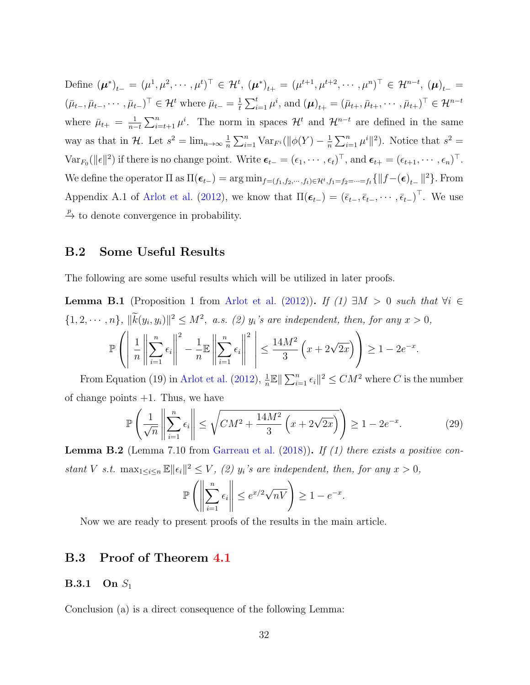Define  $(\mu^*)_{t-} = (\mu^1, \mu^2, \cdots, \mu^t)^{\top} \in \mathcal{H}^t$ ,  $(\mu^*)_{t+} = (\mu^{t+1}, \mu^{t+2}, \cdots, \mu^n)^{\top} \in \mathcal{H}^{n-t}$ ,  $(\mu)_{t-} =$  $(\bar{\mu}_{t-}, \bar{\mu}_{t-}, \cdots, \bar{\mu}_{t-})^{\top} \in \mathcal{H}^{t}$  where  $\bar{\mu}_{t-} = \frac{1}{t}$  $\frac{1}{t} \sum_{i=1}^{t} \mu^{i}$ , and  $(\mu)_{t+} = (\bar{\mu}_{t+}, \bar{\mu}_{t+}, \cdots, \bar{\mu}_{t+})^{\top} \in \mathcal{H}^{n-t}$ where  $\bar{\mu}_{t+} = \frac{1}{n-1}$  $\frac{1}{n-t} \sum_{i=t+1}^{n} \mu^{i}$ . The norm in spaces  $\mathcal{H}^{t}$  and  $\mathcal{H}^{n-t}$  are defined in the same way as that in  $\mathcal{H}$ . Let  $s^2 = \lim_{n \to \infty} \frac{1}{n}$  $\frac{1}{n}\sum_{i=1}^n \text{Var}_{F^i}(\|\phi(Y) - \frac{1}{n}\)$  $\frac{1}{n}\sum_{i=1}^n\mu^i\|^2$ ). Notice that  $s^2 =$  $\text{Var}_{F_0}(\|\epsilon\|^2)$  if there is no change point. Write  $\boldsymbol{\epsilon}_{t-} = (\epsilon_1, \cdots, \epsilon_t)^\top$ , and  $\boldsymbol{\epsilon}_{t+} = (\epsilon_{t+1}, \cdots, \epsilon_n)^\top$ . We define the operator  $\Pi$  as  $\Pi(\epsilon_{t-}) = \arg \min_{f=(f_1,f_2,\cdots,f_t) \in \mathcal{H}^t, f_1=f_2=\cdots=f_t} \{ ||f-(\epsilon)_{t-}||^2 \}$ . From Appendix A.1 of [Arlot et al.](#page-24-1) [\(2012\)](#page-24-1), we know that  $\Pi(\epsilon_{t-}) = (\bar{\epsilon}_{t-}, \bar{\epsilon}_{t-}, \cdots, \bar{\epsilon}_{t-})^{\top}$ . We use  $\stackrel{p}{\rightarrow}$  to denote convergence in probability.

### B.2 Some Useful Results

<span id="page-31-1"></span>The following are some useful results which will be utilized in later proofs.

**Lemma B.1** (Proposition 1 from [Arlot et al.](#page-24-1) [\(2012\)](#page-24-1)). If (1)  $\exists M > 0$  such that  $\forall i \in$  $\{1, 2, \cdots, n\}, \ ||\widetilde{k}(y_i, y_i)||^2 \leq M^2$ , a.s. (2)  $y_i$ 's are independent, then, for any  $x > 0$ ,

$$
\mathbb{P}\left(\left\|\frac{1}{n}\left\|\sum_{i=1}^n\epsilon_i\right\|^2 - \frac{1}{n}\mathbb{E}\left\|\sum_{i=1}^n\epsilon_i\right\|^2\right\| \le \frac{14M^2}{3}\left(x+2\sqrt{2x}\right)\right) \ge 1-2e^{-x}.
$$

From Equation (19) in [Arlot et al.](#page-24-1) [\(2012\)](#page-24-1),  $\frac{1}{n}\mathbb{E} \|\sum_{i=1}^{n} \epsilon_i\|^2 \leq CM^2$  where C is the number of change points  $+1$ . Thus, we have

$$
\mathbb{P}\left(\frac{1}{\sqrt{n}}\left\|\sum_{i=1}^{n}\epsilon_{i}\right\| \leq \sqrt{CM^{2} + \frac{14M^{2}}{3}\left(x + 2\sqrt{2x}\right)}\right) \geq 1 - 2e^{-x}.\tag{29}
$$

<span id="page-31-0"></span>**Lemma B.2** (Lemma 7.10 from [Garreau et al.](#page-26-1)  $(2018)$ ). If  $(1)$  there exists a positive constant V s.t.  $\max_{1 \leq i \leq n} \mathbb{E} ||\epsilon_i||^2 \leq V$ , (2)  $y_i$ 's are independent, then, for any  $x > 0$ ,

$$
\mathbb{P}\left(\left\|\sum_{i=1}^n \epsilon_i\right\| \le e^{x/2}\sqrt{nV}\right) \ge 1 - e^{-x}.
$$

Now we are ready to present proofs of the results in the main article.

### B.3 Proof of Theorem [4.1](#page-12-2)

#### **B.3.1** On  $S_1$

Conclusion (a) is a direct consequence of the following Lemma: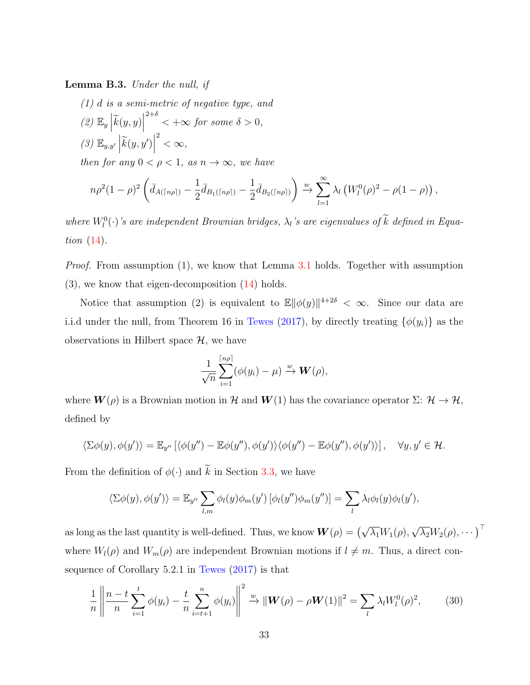Lemma B.3. Under the null, if

(1) d is a semi-metric of negative type, and (2)  $\mathbb{E}_y \left| \widetilde{k}(y, y) \right|$  $2+\delta$   $\lt +\infty$  for some  $\delta > 0$ , (3)  $\mathbb{E}_{y,y'}\left|\widetilde{k}(y,y')\right|$ <sup>2</sup>  $< \infty$ ,

then for any  $0 < \rho < 1$ , as  $n \to \infty$ , we have

$$
n\rho^{2}(1-\rho)^{2}\left(\bar{d}_{A(\lceil n\rho\rceil)}-\frac{1}{2}\bar{d}_{B_{1}(\lceil n\rho\rceil)}-\frac{1}{2}\bar{d}_{B_{2}(\lceil n\rho\rceil)}\right) \xrightarrow{w} \sum_{l=1}^{\infty} \lambda_{l}\left(W_{l}^{0}(\rho)^{2}-\rho(1-\rho)\right),
$$

where  $W_l^0(\cdot)$ 's are independent Brownian bridges,  $\lambda_l$ 's are eigenvalues of  $k$  defined in Equation [\(14\)](#page-10-3).

*Proof.* From assumption (1), we know that Lemma [3.1](#page-8-3) holds. Together with assumption  $(3)$ , we know that eigen-decomposition  $(14)$  holds.

Notice that assumption (2) is equivalent to  $\mathbb{E} \|\phi(y)\|^{4+2\delta} < \infty$ . Since our data are i.i.d under the null, from Theorem 16 in [Tewes](#page-29-0) [\(2017\)](#page-29-0), by directly treating  $\{\phi(y_i)\}\$ as the observations in Hilbert space  $\mathcal{H}$ , we have

$$
\frac{1}{\sqrt{n}}\sum_{i=1}^{\lceil n\rho \rceil} (\phi(y_i) - \mu) \xrightarrow{w} \mathbf{W}(\rho),
$$

where  $\mathbf{W}(\rho)$  is a Brownian motion in H and  $\mathbf{W}(1)$  has the covariance operator  $\Sigma: \mathcal{H} \to \mathcal{H}$ , defined by

$$
\langle \Sigma \phi(y), \phi(y') \rangle = \mathbb{E}_{y''} \left[ \langle \phi(y'') - \mathbb{E} \phi(y''), \phi(y') \rangle \langle \phi(y'') - \mathbb{E} \phi(y''), \phi(y') \rangle \right], \quad \forall y, y' \in \mathcal{H}.
$$

From the definition of  $\phi(\cdot)$  and  $\widetilde{k}$  in Section [3.3,](#page-8-0) we have

$$
\langle \Sigma \phi(y), \phi(y') \rangle = \mathbb{E}_{y''} \sum_{l,m} \phi_l(y) \phi_m(y') \left[ \phi_l(y'') \phi_m(y'') \right] = \sum_l \lambda_l \phi_l(y) \phi_l(y'),
$$

as long as the last quantity is well-defined. Thus, we know  $\boldsymbol{W}(\rho) = \left(\sqrt{\lambda_1}W_1(\rho),\right)$  $\sqrt{\lambda_2}W_2(\rho),\cdots\big)^{\top}$ where  $W_l(\rho)$  and  $W_m(\rho)$  are independent Brownian motions if  $l \neq m$ . Thus, a direct consequence of Corollary 5.2.1 in [Tewes](#page-29-0) [\(2017\)](#page-29-0) is that

<span id="page-32-0"></span>
$$
\frac{1}{n} \left\| \frac{n-t}{n} \sum_{i=1}^{t} \phi(y_i) - \frac{t}{n} \sum_{i=t+1}^{n} \phi(y_i) \right\|^2 \xrightarrow{w} \left\| \mathbf{W}(\rho) - \rho \mathbf{W}(1) \right\|^2 = \sum_{l} \lambda_l W_l^0(\rho)^2, \tag{30}
$$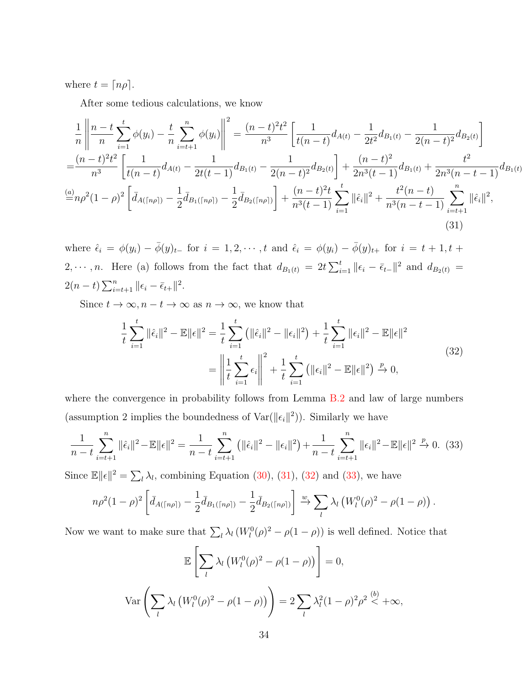where  $t = \lfloor n\rho \rfloor$ .

After some tedious calculations, we know

<span id="page-33-0"></span>
$$
\frac{1}{n} \left\| \frac{n-t}{n} \sum_{i=1}^{t} \phi(y_i) - \frac{t}{n} \sum_{i=t+1}^{n} \phi(y_i) \right\|^2 = \frac{(n-t)^2 t^2}{n^3} \left[ \frac{1}{t(n-t)} d_{A(t)} - \frac{1}{2t^2} d_{B_1(t)} - \frac{1}{2(n-t)^2} d_{B_2(t)} \right]
$$
\n
$$
= \frac{(n-t)^2 t^2}{n^3} \left[ \frac{1}{t(n-t)} d_{A(t)} - \frac{1}{2t(t-1)} d_{B_1(t)} - \frac{1}{2(n-t)^2} d_{B_2(t)} \right] + \frac{(n-t)^2}{2n^3(t-1)} d_{B_1(t)} + \frac{t^2}{2n^3(n-t-1)} d_{B_1(t)}
$$
\n
$$
\frac{(a)}{=} n\rho^2 (1-\rho)^2 \left[ \bar{d}_{A(\lceil n\rho \rceil)} - \frac{1}{2} \bar{d}_{B_1(\lceil n\rho \rceil)} - \frac{1}{2} \bar{d}_{B_2(\lceil n\rho \rceil)} \right] + \frac{(n-t)^2 t}{n^3(t-1)} \sum_{i=1}^{t} ||\hat{\epsilon}_i||^2 + \frac{t^2(n-t)}{n^3(n-t-1)} \sum_{i=t+1}^{n} ||\hat{\epsilon}_i||^2,
$$
\n(31)

where  $\hat{\epsilon}_i = \phi(y_i) - \bar{\phi}(y)_{t-}$  for  $i = 1, 2, \dots, t$  and  $\hat{\epsilon}_i = \phi(y_i) - \bar{\phi}(y)_{t+}$  for  $i = t+1, t+1$ 2,  $\cdots$ , *n*. Here (a) follows from the fact that  $d_{B_1(t)} = 2t \sum_{i=1}^t ||\epsilon_i - \bar{\epsilon}_{t-}||^2$  and  $d_{B_2(t)} =$  $2(n-t)\sum_{i=t+1}^{n} ||\epsilon_i - \bar{\epsilon}_{t+}||^2.$ 

<span id="page-33-1"></span>Since  $t \to \infty$ ,  $n - t \to \infty$  as  $n \to \infty$ , we know that

$$
\frac{1}{t}\sum_{i=1}^{t}||\hat{\epsilon}_{i}||^{2} - \mathbb{E}||\epsilon||^{2} = \frac{1}{t}\sum_{i=1}^{t} (||\hat{\epsilon}_{i}||^{2} - ||\epsilon_{i}||^{2}) + \frac{1}{t}\sum_{i=1}^{t}||\epsilon_{i}||^{2} - \mathbb{E}||\epsilon||^{2}
$$
\n
$$
= \left\|\frac{1}{t}\sum_{i=1}^{t} \epsilon_{i}\right\|^{2} + \frac{1}{t}\sum_{i=1}^{t} (||\epsilon_{i}||^{2} - \mathbb{E}||\epsilon||^{2}) \xrightarrow{p} 0,
$$
\n(32)

where the convergence in probability follows from Lemma [B.2](#page-31-0) and law of large numbers (assumption 2 implies the boundedness of  $\text{Var}(\|\epsilon_i\|^2)$ ). Similarly we have

<span id="page-33-2"></span>
$$
\frac{1}{n-t} \sum_{i=t+1}^{n} ||\hat{\epsilon}_i||^2 - \mathbb{E}||\epsilon||^2 = \frac{1}{n-t} \sum_{i=t+1}^{n} (||\hat{\epsilon}_i||^2 - ||\epsilon_i||^2) + \frac{1}{n-t} \sum_{i=t+1}^{n} ||\epsilon_i||^2 - \mathbb{E}||\epsilon||^2 \xrightarrow{p} 0. \tag{33}
$$

Since  $\mathbb{E} ||\epsilon||^2 = \sum_l \lambda_l$ , combining Equation [\(30\)](#page-32-0), [\(31\)](#page-33-0), [\(32\)](#page-33-1) and [\(33\)](#page-33-2), we have

$$
n\rho^{2}(1-\rho)^{2}\left[\bar{d}_{A(\lceil n\rho\rceil)}-\frac{1}{2}\bar{d}_{B_{1}(\lceil n\rho\rceil)}-\frac{1}{2}\bar{d}_{B_{2}(\lceil n\rho\rceil)}\right] \xrightarrow{w} \sum_{l} \lambda_{l} \left(W_{l}^{0}(\rho)^{2}-\rho(1-\rho)\right).
$$

Now we want to make sure that  $\sum_l \lambda_l (W_l^0(\rho)^2 - \rho(1-\rho))$  is well defined. Notice that

$$
\mathbb{E}\left[\sum_{l} \lambda_l \left(W_l^0(\rho)^2 - \rho(1-\rho)\right)\right] = 0,
$$
  
 
$$
\text{Var}\left(\sum_{l} \lambda_l \left(W_l^0(\rho)^2 - \rho(1-\rho)\right)\right) = 2\sum_{l} \lambda_l^2 (1-\rho)^2 \rho^2 \stackrel{(b)}{\leq} +\infty,
$$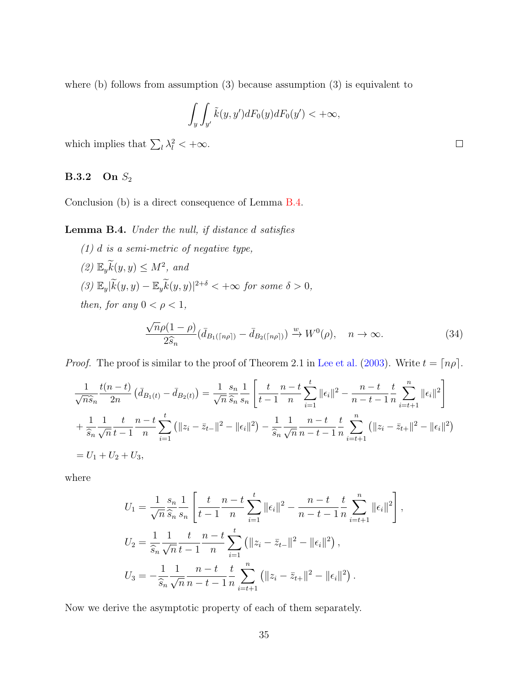where (b) follows from assumption (3) because assumption (3) is equivalent to

$$
\int_{y} \int_{y'} \tilde{k}(y, y') dF_0(y) dF_0(y') < +\infty,
$$

which implies that  $\sum_l \lambda_l^2 < +\infty$ .

### **B.3.2** On  $S_2$

Conclusion (b) is a direct consequence of Lemma [B.4.](#page-34-0)

<span id="page-34-0"></span>Lemma B.4. Under the null, if distance d satisfies

 $(1)$  d is a semi-metric of negative type,  $(2) \mathbb{E}_y \widetilde{k}(y, y) \leq M^2$ , and  $(3)$   $\mathbb{E}_y|\widetilde{k}(y, y) - \mathbb{E}_y \widetilde{k}(y, y)|^{2+\delta} < +\infty$  for some  $\delta > 0$ , then, for any  $0 < \rho < 1$ ,

$$
\frac{\sqrt{n}\rho(1-\rho)}{2\hat{s}_n}(\bar{d}_{B_1(\lceil n\rho\rceil)} - \bar{d}_{B_2(\lceil n\rho\rceil)}) \xrightarrow{w} W^0(\rho), \quad n \to \infty.
$$
 (34)

*Proof.* The proof is similar to the proof of Theorem 2.1 in [Lee et al.](#page-27-7) [\(2003\)](#page-27-7). Write  $t = \lfloor n\rho \rfloor$ .

$$
\frac{1}{\sqrt{n}\hat{s}_n}\frac{t(n-t)}{2n}\left(\bar{d}_{B_1(t)} - \bar{d}_{B_2(t)}\right) = \frac{1}{\sqrt{n}}\frac{s_n}{\hat{s}_n}\frac{1}{s_n}\left[\frac{t}{t-1}\frac{n-t}{n}\sum_{i=1}^t \|\epsilon_i\|^2 - \frac{n-t}{n-t-1}\frac{t}{n}\sum_{i=t+1}^n \|\epsilon_i\|^2\right] \n+ \frac{1}{\hat{s}_n}\frac{1}{\sqrt{n}}\frac{t}{t-1}\frac{n-t}{n}\sum_{i=1}^t \left(\|z_i - \bar{z}_{t-}\|^2 - \|\epsilon_i\|^2\right) - \frac{1}{\hat{s}_n}\frac{1}{\sqrt{n}}\frac{n-t}{n-t-1}\frac{t}{n}\sum_{i=t+1}^n \left(\|z_i - \bar{z}_{t+}\|^2 - \|\epsilon_i\|^2\right) \n= U_1 + U_2 + U_3,
$$

where

$$
U_1 = \frac{1}{\sqrt{n}} \frac{s_n}{\hat{s}_n} \frac{1}{s_n} \left[ \frac{t}{t-1} \frac{n-t}{n} \sum_{i=1}^t ||\epsilon_i||^2 - \frac{n-t}{n-t-1} \frac{t}{n} \sum_{i=t+1}^n ||\epsilon_i||^2 \right],
$$
  
\n
$$
U_2 = \frac{1}{\hat{s}_n} \frac{1}{\sqrt{n}} \frac{t}{t-1} \frac{n-t}{n} \sum_{i=1}^t (||z_i - \bar{z}_{t-}||^2 - ||\epsilon_i||^2),
$$
  
\n
$$
U_3 = -\frac{1}{\hat{s}_n} \frac{1}{\sqrt{n}} \frac{n-t}{n-t-1} \frac{t}{n} \sum_{i=t+1}^n (||z_i - \bar{z}_{t+}||^2 - ||\epsilon_i||^2).
$$

Now we derive the asymptotic property of each of them separately.

 $\Box$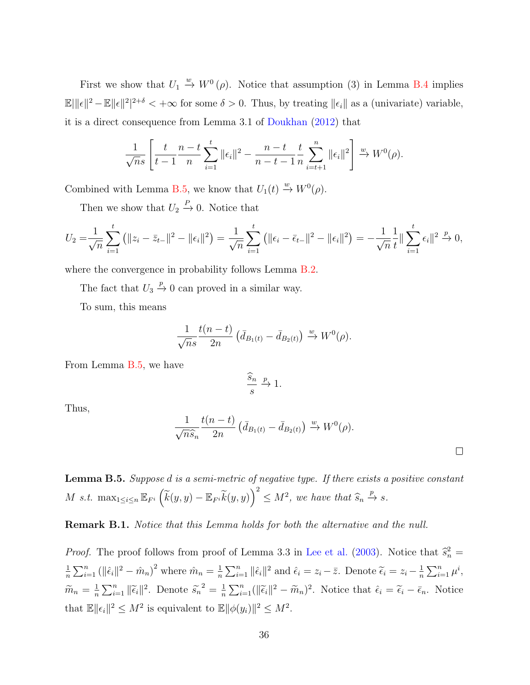First we show that  $U_1 \stackrel{w}{\to} W^0(\rho)$ . Notice that assumption (3) in Lemma [B.4](#page-34-0) implies  $\mathbb{E} \|\mathbf{\epsilon}\|^2 - \mathbb{E} \|\mathbf{\epsilon}\|^2 |^{2+\delta} < +\infty$  for some  $\delta > 0$ . Thus, by treating  $\|\mathbf{\epsilon}_i\|$  as a (univariate) variable, it is a direct consequence from Lemma 3.1 of [Doukhan](#page-26-9) [\(2012\)](#page-26-9) that

$$
\frac{1}{\sqrt{n}s}\left[\frac{t}{t-1}\frac{n-t}{n}\sum_{i=1}^t \|\epsilon_i\|^2 - \frac{n-t}{n-t-1}\frac{t}{n}\sum_{i=t+1}^n \|\epsilon_i\|^2\right] \xrightarrow{w} W^0(\rho).
$$

Combined with Lemma [B.5,](#page-35-0) we know that  $U_1(t) \stackrel{w}{\rightarrow} W^0(\rho)$ .

Then we show that  $U_2 \stackrel{P}{\rightarrow} 0$ . Notice that

$$
U_2 = \frac{1}{\sqrt{n}} \sum_{i=1}^t (||z_i - \bar{z}_{t-}||^2 - ||\epsilon_i||^2) = \frac{1}{\sqrt{n}} \sum_{i=1}^t (||\epsilon_i - \bar{\epsilon}_{t-}||^2 - ||\epsilon_i||^2) = -\frac{1}{\sqrt{n}} \frac{1}{t} ||\sum_{i=1}^t \epsilon_i||^2 \xrightarrow{p} 0,
$$

where the convergence in probability follows Lemma [B.2.](#page-31-0)

The fact that  $U_3 \stackrel{p}{\rightarrow} 0$  can proved in a similar way.

To sum, this means

$$
\frac{1}{\sqrt{n}s} \frac{t(n-t)}{2n} \left( \bar{d}_{B_1(t)} - \bar{d}_{B_2(t)} \right) \xrightarrow{w} W^0(\rho).
$$

From Lemma [B.5,](#page-35-0) we have

$$
\frac{\widehat{s}_n}{s} \stackrel{p}{\to} 1.
$$

Thus,

$$
\frac{1}{\sqrt{n}\widehat{s}_n}\frac{t(n-t)}{2n}\left(\bar{d}_{B_1(t)}-\bar{d}_{B_2(t)}\right)\stackrel{w}{\to}W^0(\rho).
$$

 $\Box$ 

<span id="page-35-0"></span>Lemma B.5. Suppose d is a semi-metric of negative type. If there exists a positive constant M s.t.  $\max_{1 \leq i \leq n} \mathbb{E}_{F^i} \left( \widetilde{k}(y, y) - \mathbb{E}_{F^i} \widetilde{k}(y, y) \right)^2 \leq M^2$ , we have that  $\widehat{s}_n \stackrel{p}{\to} s$ .

Remark B.1. Notice that this Lemma holds for both the alternative and the null.

*Proof.* The proof follows from proof of Lemma 3.3 in [Lee et al.](#page-27-7) [\(2003\)](#page-27-7). Notice that  $\hat{s}_n^2 =$ 1  $\frac{1}{n} \sum_{i=1}^{n} (||\hat{\epsilon}_i||^2 - \hat{m}_n)^2$  where  $\hat{m}_n = \frac{1}{n}$  $\frac{1}{n}\sum_{i=1}^{n} \|\hat{\epsilon}_i\|^2$  and  $\hat{\epsilon}_i = z_i - \bar{z}$ . Denote  $\widetilde{\epsilon}_i = z_i - \frac{1}{n}$  $\frac{1}{n} \sum_{i=1}^n \mu^i$ ,  $\widetilde{m}_n = \frac{1}{n}$  $\frac{1}{n}\sum_{i=1}^{n} ||\widetilde{\epsilon}_{i}||^{2}$ . Denote  $\widetilde{s}_{n}^{2} = \frac{1}{n}$  $\frac{1}{n}\sum_{i=1}^{n} (||\tilde{\epsilon}_i||^2 - \tilde{m}_n)^2$ . Notice that  $\hat{\epsilon}_i = \tilde{\epsilon}_i - \bar{\epsilon}_n$ . Notice that  $\mathbb{E} \|\epsilon_i\|^2 \leq M^2$  is equivalent to  $\mathbb{E} \|\phi(y_i)\|^2 \leq M^2$ .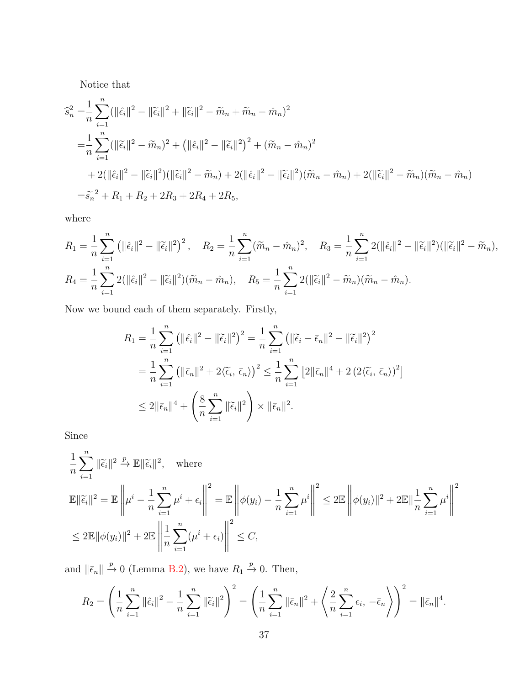Notice that

$$
\begin{split}\n\hat{s}_n^2 &= \frac{1}{n} \sum_{i=1}^n (\|\hat{\epsilon}_i\|^2 - \|\widetilde{\epsilon}_i\|^2 + \|\widetilde{\epsilon}_i\|^2 - \widetilde{m}_n + \widetilde{m}_n - \hat{m}_n)^2 \\
&= \frac{1}{n} \sum_{i=1}^n (\|\widetilde{\epsilon}_i\|^2 - \widetilde{m}_n)^2 + \left(\|\hat{\epsilon}_i\|^2 - \|\widetilde{\epsilon}_i\|^2\right)^2 + (\widetilde{m}_n - \hat{m}_n)^2 \\
&+ 2(\|\hat{\epsilon}_i\|^2 - \|\widetilde{\epsilon}_i\|^2)(\|\widetilde{\epsilon}_i\|^2 - \widetilde{m}_n) + 2(\|\hat{\epsilon}_i\|^2 - \|\widetilde{\epsilon}_i\|^2)(\widetilde{m}_n - \hat{m}_n) + 2(\|\widetilde{\epsilon}_i\|^2 - \widetilde{m}_n)(\widetilde{m}_n - \hat{m}_n) \\
&= \widetilde{s}_n^2 + R_1 + R_2 + 2R_3 + 2R_4 + 2R_5,\n\end{split}
$$

where

$$
R_1 = \frac{1}{n} \sum_{i=1}^n \left( ||\hat{\epsilon}_i||^2 - ||\widetilde{\epsilon}_i||^2 \right)^2, \quad R_2 = \frac{1}{n} \sum_{i=1}^n (\widetilde{m}_n - \hat{m}_n)^2, \quad R_3 = \frac{1}{n} \sum_{i=1}^n 2(||\hat{\epsilon}_i||^2 - ||\widetilde{\epsilon}_i||^2)(||\widetilde{\epsilon}_i||^2 - \widetilde{m}_n),
$$
  

$$
R_4 = \frac{1}{n} \sum_{i=1}^n 2(||\hat{\epsilon}_i||^2 - ||\widetilde{\epsilon}_i||^2)(\widetilde{m}_n - \hat{m}_n), \quad R_5 = \frac{1}{n} \sum_{i=1}^n 2(||\widetilde{\epsilon}_i||^2 - \widetilde{m}_n)(\widetilde{m}_n - \hat{m}_n).
$$

Now we bound each of them separately. Firstly,

$$
R_1 = \frac{1}{n} \sum_{i=1}^n \left( ||\hat{\epsilon}_i||^2 - ||\widetilde{\epsilon}_i||^2 \right)^2 = \frac{1}{n} \sum_{i=1}^n \left( ||\widetilde{\epsilon}_i - \overline{\epsilon}_n||^2 - ||\widetilde{\epsilon}_i||^2 \right)^2
$$
  
= 
$$
\frac{1}{n} \sum_{i=1}^n \left( ||\overline{\epsilon}_n||^2 + 2\langle \widetilde{\epsilon}_i, \overline{\epsilon}_n \rangle \right)^2 \le \frac{1}{n} \sum_{i=1}^n \left[ 2||\overline{\epsilon}_n||^4 + 2\left(2\langle \widetilde{\epsilon}_i, \overline{\epsilon}_n \rangle\right)^2 \right]
$$
  

$$
\le 2||\overline{\epsilon}_n||^4 + \left( \frac{8}{n} \sum_{i=1}^n ||\widetilde{\epsilon}_i||^2 \right) \times ||\overline{\epsilon}_n||^2.
$$

Since

$$
\frac{1}{n} \sum_{i=1}^{n} ||\widetilde{\epsilon}_{i}||^{2} \stackrel{p}{\to} \mathbb{E}||\widetilde{\epsilon}_{i}||^{2}, \quad \text{where}
$$
\n
$$
\mathbb{E}||\widetilde{\epsilon}_{i}||^{2} = \mathbb{E}\left\|\mu^{i} - \frac{1}{n} \sum_{i=1}^{n} \mu^{i} + \epsilon_{i}\right\|^{2} = \mathbb{E}\left\|\phi(y_{i}) - \frac{1}{n} \sum_{i=1}^{n} \mu^{i}\right\|^{2} \leq 2\mathbb{E}\left\|\phi(y_{i})\right\|^{2} + 2\mathbb{E}\left\|\frac{1}{n} \sum_{i=1}^{n} \mu^{i}\right\|^{2}
$$
\n
$$
\leq 2\mathbb{E}\|\phi(y_{i})\|^{2} + 2\mathbb{E}\left\|\frac{1}{n} \sum_{i=1}^{n} (\mu^{i} + \epsilon_{i})\right\|^{2} \leq C,
$$

and  $\|\bar{\epsilon}_n\| \stackrel{p}{\to} 0$  (Lemma [B.2\)](#page-31-0), we have  $R_1 \stackrel{p}{\to} 0$ . Then,

$$
R_2 = \left(\frac{1}{n}\sum_{i=1}^n ||\hat{\epsilon}_i||^2 - \frac{1}{n}\sum_{i=1}^n ||\widetilde{\epsilon}_i||^2\right)^2 = \left(\frac{1}{n}\sum_{i=1}^n ||\bar{\epsilon}_n||^2 + \left\langle\frac{2}{n}\sum_{i=1}^n \epsilon_i, -\bar{\epsilon}_n\right\rangle\right)^2 = ||\bar{\epsilon}_n||^4.
$$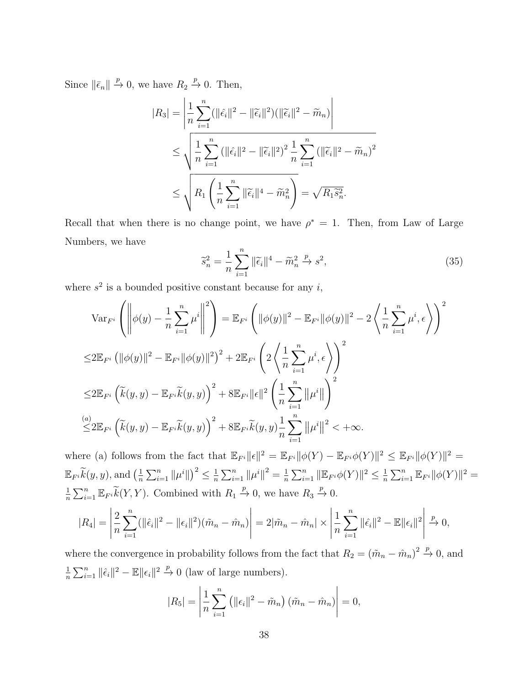Since  $\|\bar{\epsilon}_n\| \stackrel{p}{\to} 0$ , we have  $R_2 \stackrel{p}{\to} 0$ . Then,

$$
|R_3| = \left| \frac{1}{n} \sum_{i=1}^n (||\hat{\epsilon}_i||^2 - ||\widetilde{\epsilon}_i||^2)(||\widetilde{\epsilon}_i||^2 - \widetilde{m}_n) \right|
$$
  

$$
\leq \sqrt{\frac{1}{n} \sum_{i=1}^n (||\hat{\epsilon}_i||^2 - ||\widetilde{\epsilon}_i||^2)^2 \frac{1}{n} \sum_{i=1}^n (||\widetilde{\epsilon}_i||^2 - \widetilde{m}_n)^2}
$$
  

$$
\leq \sqrt{R_1 \left(\frac{1}{n} \sum_{i=1}^n ||\widetilde{\epsilon}_i||^4 - \widetilde{m}_n^2\right)} = \sqrt{R_1 \widetilde{s}_n^2}.
$$

Recall that when there is no change point, we have  $\rho^* = 1$ . Then, from Law of Large Numbers, we have

<span id="page-37-0"></span>
$$
\widetilde{s}_n^2 = \frac{1}{n} \sum_{i=1}^n \|\widetilde{\epsilon}_i\|^4 - \widetilde{m}_n^2 \xrightarrow{p} s^2,\tag{35}
$$

where  $s^2$  is a bounded positive constant because for any i,

$$
\operatorname{Var}_{F^{i}}\left(\left\|\phi(y)-\frac{1}{n}\sum_{i=1}^{n}\mu^{i}\right\|^{2}\right) = \mathbb{E}_{F^{i}}\left(\|\phi(y)\|^{2}-\mathbb{E}_{F^{i}}\|\phi(y)\|^{2}-2\left\langle\frac{1}{n}\sum_{i=1}^{n}\mu^{i},\epsilon\right\rangle\right)^{2}
$$
  
\n
$$
\leq 2\mathbb{E}_{F^{i}}\left(\|\phi(y)\|^{2}-\mathbb{E}_{F^{i}}\|\phi(y)\|^{2}\right)^{2}+2\mathbb{E}_{F^{i}}\left(2\left\langle\frac{1}{n}\sum_{i=1}^{n}\mu^{i},\epsilon\right\rangle\right)^{2}
$$
  
\n
$$
\leq 2\mathbb{E}_{F^{i}}\left(\widetilde{k}(y,y)-\mathbb{E}_{F^{i}}\widetilde{k}(y,y)\right)^{2}+8\mathbb{E}_{F^{i}}\|\epsilon\|^{2}\left(\frac{1}{n}\sum_{i=1}^{n}\|\mu^{i}\|\right)^{2}
$$
  
\n
$$
\leq 2\mathbb{E}_{F^{i}}\left(\widetilde{k}(y,y)-\mathbb{E}_{F^{i}}\widetilde{k}(y,y)\right)^{2}+8\mathbb{E}_{F^{i}}\widetilde{k}(y,y)\frac{1}{n}\sum_{i=1}^{n}\|\mu^{i}\|^{2}<+\infty.
$$

where (a) follows from the fact that  $\mathbb{E}_{F^i} ||\epsilon||^2 = \mathbb{E}_{F^i} ||\phi(Y) - \mathbb{E}_{F^i} \phi(Y)||^2 \leq \mathbb{E}_{F^i} ||\phi(Y)||^2 =$  $\mathbb{E}_{F^i}\widetilde{k}(y, y)$ , and  $\left(\frac{1}{n}\right)$  $\frac{1}{n} \sum_{i=1}^{n} ||\mu^{i}||^{2} \leq \frac{1}{n}$  $\frac{1}{n} \sum_{i=1}^{n} ||\mu^{i}||^{2} = \frac{1}{n}$  $\frac{1}{n} \sum_{i=1}^n ||\mathbb{E}_{F^i} \phi(Y)||^2 \leq \frac{1}{n}$  $\frac{1}{n} \sum_{i=1}^n \mathbb{E}_{F^i} ||\phi(Y)||^2 =$ 1  $\frac{1}{n}\sum_{i=1}^n \mathbb{E}_{F^i} \widetilde{k}(Y, Y)$ . Combined with  $R_1 \stackrel{p}{\to} 0$ , we have  $R_3 \stackrel{p}{\to} 0$ .

$$
|R_4| = \left| \frac{2}{n} \sum_{i=1}^n (||\hat{\epsilon}_i||^2 - ||\epsilon_i||^2)(\tilde{m}_n - \hat{m}_n) \right| = 2|\tilde{m}_n - \hat{m}_n| \times \left| \frac{1}{n} \sum_{i=1}^n ||\hat{\epsilon}_i||^2 - \mathbb{E}||\epsilon_i||^2 \right| \xrightarrow{p} 0,
$$

where the convergence in probability follows from the fact that  $R_2 = (\tilde{m}_n - \hat{m}_n)^2 \stackrel{p}{\rightarrow} 0$ , and 1  $\frac{1}{n} \sum_{i=1}^{n} ||\hat{\epsilon}_i||^2 - \mathbb{E}||\epsilon_i||^2 \stackrel{p}{\to} 0$  (law of large numbers).

$$
|R_5| = \left| \frac{1}{n} \sum_{i=1}^n \left( ||\epsilon_i||^2 - \tilde{m}_n \right) (\tilde{m}_n - \hat{m}_n) \right| = 0,
$$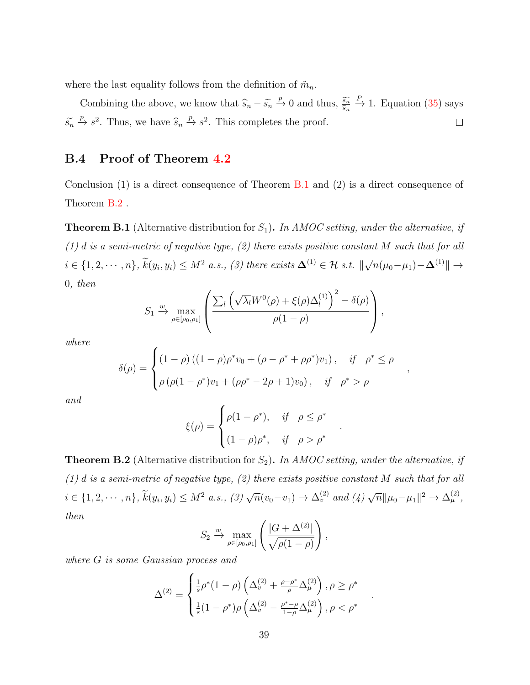where the last equality follows from the definition of  $\tilde{m}_n$ .

Combining the above, we know that  $\widehat{s}_n - \widetilde{s}_n \stackrel{p}{\to} 0$  and thus,  $\frac{\widetilde{s_n}}{\widehat{s}_n}$  $\stackrel{P}{\rightarrow}$  1. Equation [\(35\)](#page-37-0) says  $\widehat{s}_n$  $\widetilde{s}_n \stackrel{p}{\to} s^2$ . Thus, we have  $\widehat{s}_n \stackrel{p}{\to} s^2$ . This completes the proof.  $\Box$ 

## <span id="page-38-2"></span>B.4 Proof of Theorem [4.2](#page-15-1)

Conclusion (1) is a direct consequence of Theorem [B.1](#page-38-0) and (2) is a direct consequence of Theorem [B.2](#page-38-1) .

<span id="page-38-0"></span>**Theorem B.1** (Alternative distribution for  $S_1$ ). In AMOC setting, under the alternative, if  $(1)$  d is a semi-metric of negative type,  $(2)$  there exists positive constant M such that for all  $i \in \{1, 2, \cdots, n\}, \widetilde{k}(y_i, y_i) \leq M^2 \text{ a.s., } (3) \text{ there exists } \mathbf{\Delta}^{(1)} \in \mathcal{H} \text{ s.t. } \|\sqrt{n}(\mu_0 - \mu_1) - \mathbf{\Delta}^{(1)}\| \rightarrow$ 0, then

$$
S_1 \xrightarrow{\text{w}} \max_{\rho \in [\rho_0, \rho_1]} \left( \frac{\sum_l \left( \sqrt{\lambda_l} W^0(\rho) + \xi(\rho) \Delta_l^{(1)} \right)^2 - \delta(\rho)}{\rho(1 - \rho)} \right),
$$

where

$$
\delta(\rho) = \begin{cases}\n(1 - \rho) \left( (1 - \rho)\rho^* v_0 + (\rho - \rho^* + \rho \rho^*) v_1 \right), & \text{if } \rho^* \le \rho \\
\rho \left( \rho (1 - \rho^*) v_1 + (\rho \rho^* - 2\rho + 1) v_0 \right), & \text{if } \rho^* > \rho\n\end{cases}
$$

,

.

.

and

$$
\xi(\rho) = \begin{cases} \rho(1-\rho^*), & \text{if } \rho \le \rho^* \\ (1-\rho)\rho^*, & \text{if } \rho > \rho^* \end{cases}
$$

<span id="page-38-1"></span>**Theorem B.2** (Alternative distribution for  $S_2$ ). In AMOC setting, under the alternative, if  $(1)$  d is a semi-metric of negative type,  $(2)$  there exists positive constant M such that for all  $i \in \{1, 2, \dots, n\}, \, \widetilde{k}(y_i, y_i) \leq M^2 \text{ a.s., } (3) \sqrt{n}(v_0 - v_1) \to \Delta_v^{(2)} \text{ and } (4) \sqrt{n} ||\mu_0 - \mu_1||^2 \to \Delta_\mu^{(2)},$ then

$$
S_2 \xrightarrow{\text{w}} \max_{\rho \in [\rho_0, \rho_1]} \left( \frac{|G + \Delta^{(2)}|}{\sqrt{\rho(1 - \rho)}} \right),
$$

where G is some Gaussian process and

$$
\Delta^{(2)} = \begin{cases} \frac{1}{s} \rho^*(1-\rho) \left( \Delta_v^{(2)} + \frac{\rho - \rho^*}{\rho} \Delta_\mu^{(2)} \right), \rho \ge \rho^*\\ \frac{1}{s} (1-\rho^*) \rho \left( \Delta_v^{(2)} - \frac{\rho^* - \rho}{1-\rho} \Delta_\mu^{(2)} \right), \rho < \rho^* \end{cases}
$$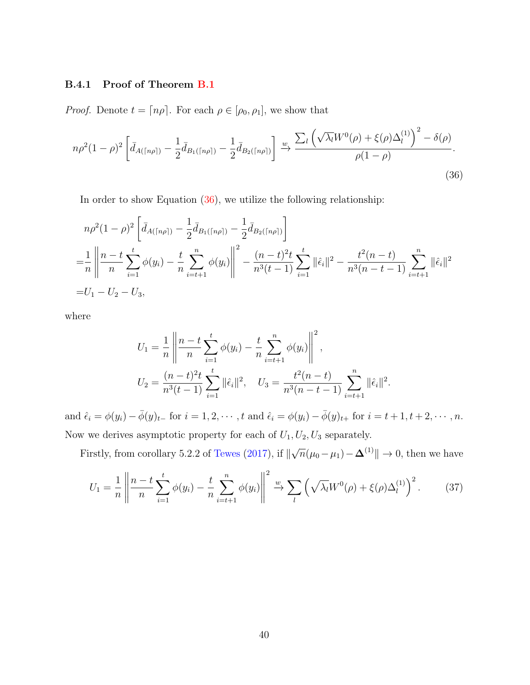#### B.4.1 Proof of Theorem [B.1](#page-38-0)

*Proof.* Denote  $t = \lfloor n\rho \rfloor$ . For each  $\rho \in [\rho_0, \rho_1]$ , we show that

$$
n\rho^{2}(1-\rho)^{2}\left[\bar{d}_{A(\lceil n\rho\rceil)}-\frac{1}{2}\bar{d}_{B_{1}(\lceil n\rho\rceil)}-\frac{1}{2}\bar{d}_{B_{2}(\lceil n\rho\rceil)}\right] \xrightarrow{w} \frac{\sum_{l}\left(\sqrt{\lambda_{l}}W^{0}(\rho)+\xi(\rho)\Delta_{l}^{(1)}\right)^{2}-\delta(\rho)}{\rho(1-\rho)}.
$$
\n(36)

In order to show Equation  $(36)$ , we utilize the following relationship:

$$
n\rho^{2}(1-\rho)^{2}\left[\bar{d}_{A(\lceil n\rho\rceil)}-\frac{1}{2}\bar{d}_{B_{1}(\lceil n\rho\rceil)}-\frac{1}{2}\bar{d}_{B_{2}(\lceil n\rho\rceil)}\right]
$$
  
= $\frac{1}{n}\left\| \frac{n-t}{n}\sum_{i=1}^{t}\phi(y_{i})-\frac{t}{n}\sum_{i=t+1}^{n}\phi(y_{i})\right\|^{2}-\frac{(n-t)^{2}t}{n^{3}(t-1)}\sum_{i=1}^{t}\|\hat{\epsilon}_{i}\|^{2}-\frac{t^{2}(n-t)}{n^{3}(n-t-1)}\sum_{i=t+1}^{n}\|\hat{\epsilon}_{i}\|^{2}=U_{1}-U_{2}-U_{3},$ 

where

<span id="page-39-1"></span><span id="page-39-0"></span>
$$
U_1 = \frac{1}{n} \left\| \frac{n-t}{n} \sum_{i=1}^t \phi(y_i) - \frac{t}{n} \sum_{i=t+1}^n \phi(y_i) \right\|^2,
$$
  

$$
U_2 = \frac{(n-t)^2 t}{n^3 (t-1)} \sum_{i=1}^t \|\hat{\epsilon}_i\|^2, \quad U_3 = \frac{t^2 (n-t)}{n^3 (n-t-1)} \sum_{i=t+1}^n \|\hat{\epsilon}_i\|^2.
$$

and  $\hat{\epsilon}_i = \phi(y_i) - \bar{\phi}(y_{t-1})$  for  $i = 1, 2, \dots, t$  and  $\hat{\epsilon}_i = \phi(y_i) - \bar{\phi}(y_{t+1})$  for  $i = t+1, t+2, \dots, n$ . Now we derives asymptotic property for each of  $U_1, U_2, U_3$  separately.

Firstly, from corollary 5.2.2 of [Tewes](#page-29-0)  $(2017)$ , if  $\parallel$  $\sqrt{n}(\mu_0 - \mu_1) - \mathbf{\Delta}^{(1)} \| \to 0$ , then we have

$$
U_1 = \frac{1}{n} \left\| \frac{n-t}{n} \sum_{i=1}^t \phi(y_i) - \frac{t}{n} \sum_{i=t+1}^n \phi(y_i) \right\|^2 \xrightarrow{w} \sum_l \left( \sqrt{\lambda_l} W^0(\rho) + \xi(\rho) \Delta_l^{(1)} \right)^2.
$$
 (37)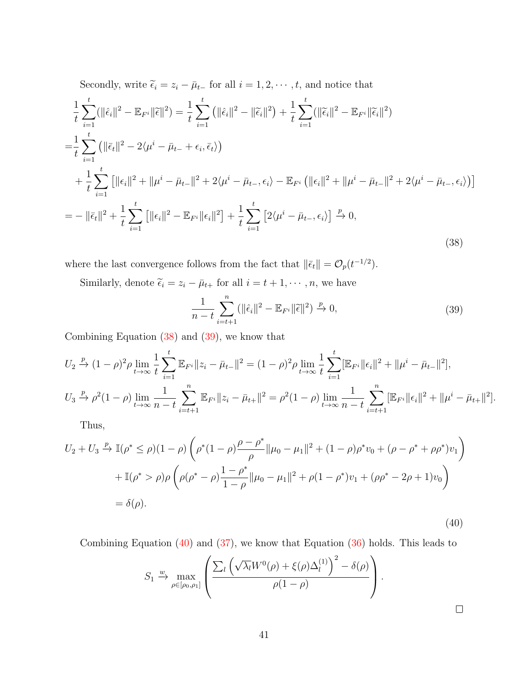Secondly, write  $\widetilde{\epsilon}_i = z_i - \bar{\mu}_{t-}$  for all  $i = 1, 2, \cdots, t$ , and notice that

<span id="page-40-0"></span>
$$
\frac{1}{t}\sum_{i=1}^{t}(\|\hat{\epsilon}_{i}\|^{2}-\mathbb{E}_{F^{i}}\|\tilde{\epsilon}\|^{2})=\frac{1}{t}\sum_{i=1}^{t}(\|\hat{\epsilon}_{i}\|^{2}-\|\tilde{\epsilon}_{i}\|^{2})+\frac{1}{t}\sum_{i=1}^{t}(\|\tilde{\epsilon}_{i}\|^{2}-\mathbb{E}_{F^{i}}\|\tilde{\epsilon}_{i}\|^{2})
$$
\n
$$
=\frac{1}{t}\sum_{i=1}^{t}(\|\bar{\epsilon}_{t}\|^{2}-2\langle\mu^{i}-\bar{\mu}_{t-}+\epsilon_{i},\bar{\epsilon}_{t}\rangle)
$$
\n
$$
+\frac{1}{t}\sum_{i=1}^{t}\left[\|\epsilon_{i}\|^{2}+\|\mu^{i}-\bar{\mu}_{t-}\|^{2}+2\langle\mu^{i}-\bar{\mu}_{t-},\epsilon_{i}\rangle-\mathbb{E}_{F^{i}}\left(\|\epsilon_{i}\|^{2}+\|\mu^{i}-\bar{\mu}_{t-}\|^{2}+2\langle\mu^{i}-\bar{\mu}_{t-},\epsilon_{i}\rangle\right)\right]
$$
\n
$$
=-\|\bar{\epsilon}_{t}\|^{2}+\frac{1}{t}\sum_{i=1}^{t}\left[\|\epsilon_{i}\|^{2}-\mathbb{E}_{F^{i}}\|\epsilon_{i}\|^{2}\right]+\frac{1}{t}\sum_{i=1}^{t}\left[2\langle\mu^{i}-\bar{\mu}_{t-},\epsilon_{i}\rangle\right]\stackrel{p}{\to}0,
$$
\n(38)

where the last convergence follows from the fact that  $\|\bar{\epsilon}_t\| = \mathcal{O}_p(t^{-1/2})$ .

<span id="page-40-1"></span>Similarly, denote  $\widetilde{\epsilon}_i = z_i - \overline{\mu}_{t+}$  for all  $i = t + 1, \dots, n$ , we have

$$
\frac{1}{n-t} \sum_{i=t+1}^{n} (||\hat{\epsilon}_i||^2 - \mathbb{E}_{F^i} ||\widetilde{\epsilon}||^2) \xrightarrow{p} 0,
$$
\n(39)

Combining Equation [\(38\)](#page-40-0) and [\(39\)](#page-40-1), we know that

$$
U_2 \xrightarrow{p} (1-\rho)^2 \rho \lim_{t \to \infty} \frac{1}{t} \sum_{i=1}^t \mathbb{E}_{F^i} \|z_i - \bar{\mu}_{t-}\|^2 = (1-\rho)^2 \rho \lim_{t \to \infty} \frac{1}{t} \sum_{i=1}^t [\mathbb{E}_{F^i} ||\epsilon_i||^2 + ||\mu^i - \bar{\mu}_{t-}||^2],
$$
  

$$
U_3 \xrightarrow{p} \rho^2 (1-\rho) \lim_{t \to \infty} \frac{1}{n-t} \sum_{i=t+1}^n \mathbb{E}_{F^i} \|z_i - \bar{\mu}_{t+}\|^2 = \rho^2 (1-\rho) \lim_{t \to \infty} \frac{1}{n-t} \sum_{i=t+1}^n [\mathbb{E}_{F^i} ||\epsilon_i||^2 + ||\mu^i - \bar{\mu}_{t+}||^2].
$$

Thus,

<span id="page-40-2"></span>
$$
U_2 + U_3 \xrightarrow{p} \mathbb{I}(\rho^* \le \rho)(1-\rho) \left( \rho^*(1-\rho) \frac{\rho - \rho^*}{\rho} ||\mu_0 - \mu_1||^2 + (1-\rho)\rho^* v_0 + (\rho - \rho^* + \rho \rho^*) v_1 \right)
$$
  
+ 
$$
\mathbb{I}(\rho^* > \rho) \rho \left( \rho(\rho^* - \rho) \frac{1 - \rho^*}{1 - \rho} ||\mu_0 - \mu_1||^2 + \rho(1 - \rho^*) v_1 + (\rho \rho^* - 2\rho + 1) v_0 \right)
$$
  
= 
$$
\delta(\rho).
$$
 (40)

Combining Equation  $(40)$  and  $(37)$ , we know that Equation  $(36)$  holds. This leads to

$$
S_1 \xrightarrow{\text{w}} \max_{\rho \in [\rho_0, \rho_1]} \left( \frac{\sum_l \left( \sqrt{\lambda_l} W^0(\rho) + \xi(\rho) \Delta_l^{(1)} \right)^2 - \delta(\rho)}{\rho(1 - \rho)} \right).
$$

 $\Box$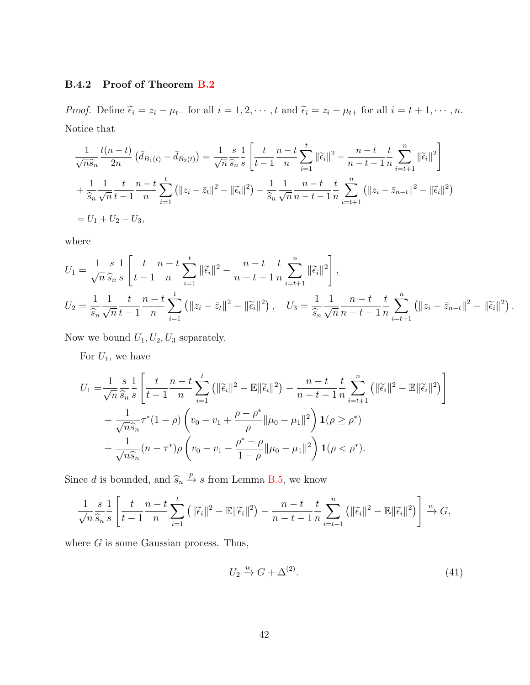#### B.4.2 Proof of Theorem [B.2](#page-38-1)

*Proof.* Define  $\tilde{\epsilon}_i = z_i - \mu_{t-}$  for all  $i = 1, 2, \dots, t$  and  $\tilde{\epsilon}_i = z_i - \mu_{t+}$  for all  $i = t+1, \dots, n$ . Notice that

$$
\frac{1}{\sqrt{n}\hat{s}_n}\frac{t(n-t)}{2n}\left(\bar{d}_{B_1(t)} - \bar{d}_{B_2(t)}\right) = \frac{1}{\sqrt{n}}\frac{s}{\hat{s}_n}\frac{1}{s}\left[\frac{t}{t-1}\frac{n-t}{n}\sum_{i=1}^t \|\tilde{\epsilon}_i\|^2 - \frac{n-t}{n-t-1}\frac{t}{n}\sum_{i=t+1}^n \|\tilde{\epsilon}_i\|^2\right] + \frac{1}{\hat{s}_n}\frac{1}{\sqrt{n}}\frac{t}{t-1}\frac{n-t}{n}\sum_{i=1}^t \left(\|z_i - \bar{z}_t\|^2 - \|\tilde{\epsilon}_i\|^2\right) - \frac{1}{\hat{s}_n}\frac{1}{\sqrt{n}}\frac{n-t}{n-t-1}\frac{t}{n}\sum_{i=t+1}^n \left(\|z_i - \bar{z}_{n-t}\|^2 - \|\tilde{\epsilon}_i\|^2\right) = U_1 + U_2 - U_3,
$$

where

$$
U_1 = \frac{1}{\sqrt{n}} \frac{s}{\hat{s}_n} \frac{1}{s} \left[ \frac{t}{t-1} \frac{n-t}{n} \sum_{i=1}^t ||\tilde{\epsilon}_i||^2 - \frac{n-t}{n-t-1} \frac{t}{n} \sum_{i=t+1}^n ||\tilde{\epsilon}_i||^2 \right],
$$
  
\n
$$
U_2 = \frac{1}{\hat{s}_n} \frac{1}{\sqrt{n}} \frac{t}{t-1} \frac{n-t}{n} \sum_{i=1}^t (||z_i - \bar{z}_i||^2 - ||\tilde{\epsilon}_i||^2), \quad U_3 = \frac{1}{\hat{s}_n} \frac{1}{\sqrt{n}} \frac{n-t}{n-t-1} \frac{t}{n} \sum_{i=t+1}^n (||z_i - \bar{z}_{n-t}||^2 - ||\tilde{\epsilon}_i||^2).
$$

Now we bound  $U_1, U_2, U_3$  separately.

For  $U_1$ , we have

$$
U_{1} = \frac{1}{\sqrt{n}\,\hat{s}_{n}\,s} \frac{s}{s} \left[ \frac{t}{t-1} \frac{n-t}{n} \sum_{i=1}^{t} \left( \| \tilde{\epsilon}_{i} \|^{2} - \mathbb{E} \| \tilde{\epsilon}_{i} \|^{2} \right) - \frac{n-t}{n-t-1} \frac{t}{n} \sum_{i=t+1}^{n} \left( \| \tilde{\epsilon}_{i} \|^{2} - \mathbb{E} \| \tilde{\epsilon}_{i} \|^{2} \right) \right] + \frac{1}{\sqrt{n}\hat{s}_{n}} \tau^{*} (1-\rho) \left( v_{0} - v_{1} + \frac{\rho - \rho^{*}}{\rho} \| \mu_{0} - \mu_{1} \|^{2} \right) \mathbf{1}(\rho \geq \rho^{*}) + \frac{1}{\sqrt{n}\hat{s}_{n}} (n-\tau^{*})\rho \left( v_{0} - v_{1} - \frac{\rho^{*} - \rho}{1-\rho} \| \mu_{0} - \mu_{1} \|^{2} \right) \mathbf{1}(\rho < \rho^{*}).
$$

Since d is bounded, and  $\widehat{s}_n \stackrel{p}{\rightarrow} s$  from Lemma [B.5,](#page-35-0) we know

$$
\frac{1}{\sqrt{n}} \frac{s}{\widehat{s}_n} \frac{1}{s} \left[ \frac{t}{t-1} \frac{n-t}{n} \sum_{i=1}^t \left( ||\widetilde{\epsilon}_i||^2 - \mathbb{E}||\widetilde{\epsilon}_i||^2 \right) - \frac{n-t}{n-t-1} \frac{t}{n} \sum_{i=t+1}^n \left( ||\widetilde{\epsilon}_i||^2 - \mathbb{E}||\widetilde{\epsilon}_i||^2 \right) \right] \xrightarrow{w} G,
$$

where  $G$  is some Gaussian process. Thus,

<span id="page-41-0"></span>
$$
U_2 \xrightarrow{w} G + \Delta^{(2)}.
$$
\n<sup>(41)</sup>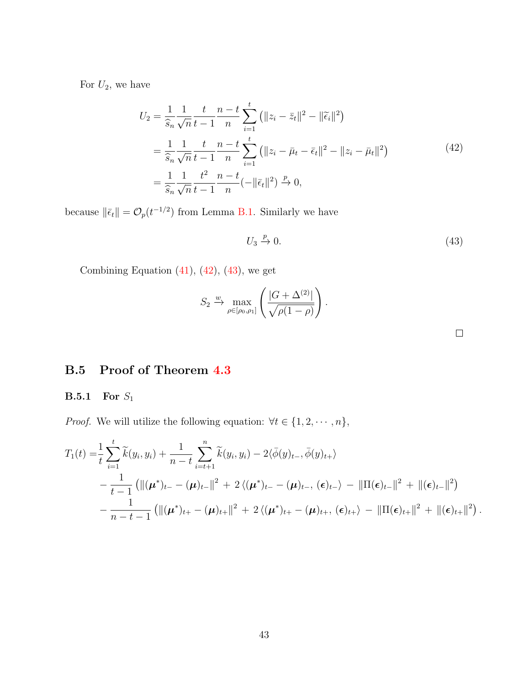<span id="page-42-0"></span>For  $U_2$ , we have

$$
U_2 = \frac{1}{\hat{s}_n} \frac{1}{\sqrt{n}} \frac{t}{t-1} \frac{n-t}{n} \sum_{i=1}^t (||z_i - \bar{z}_t||^2 - ||\tilde{\epsilon}_i||^2)
$$
  
= 
$$
\frac{1}{\hat{s}_n} \frac{1}{\sqrt{n}} \frac{t}{t-1} \frac{n-t}{n} \sum_{i=1}^t (||z_i - \bar{\mu}_t - \bar{\epsilon}_t||^2 - ||z_i - \bar{\mu}_t||^2)
$$
  
= 
$$
\frac{1}{\hat{s}_n} \frac{1}{\sqrt{n}} \frac{t^2}{t-1} \frac{n-t}{n} (-||\bar{\epsilon}_t||^2) \xrightarrow{p} 0,
$$
 (42)

because  $\|\bar{\epsilon}_t\| = \mathcal{O}_p(t^{-1/2})$  from Lemma [B.1.](#page-31-1) Similarly we have

$$
U_3 \xrightarrow{p} 0. \tag{43}
$$

Combining Equation  $(41)$ ,  $(42)$ ,  $(43)$ , we get

$$
S_2 \xrightarrow{\text{w}} \max_{\rho \in [\rho_0, \rho_1]} \left( \frac{|G + \Delta^{(2)}|}{\sqrt{\rho(1 - \rho)}} \right).
$$

<span id="page-42-1"></span>

## B.5 Proof of Theorem [4.3](#page-16-0)

## B.5.1 For  $\mathcal{S}_1$

*Proof.* We will utilize the following equation:  $\forall t \in \{1, 2, \dots, n\},\$ 

$$
T_1(t) = \frac{1}{t} \sum_{i=1}^t \widetilde{k}(y_i, y_i) + \frac{1}{n-t} \sum_{i=t+1}^n \widetilde{k}(y_i, y_i) - 2\langle \overline{\phi}(y)_{t-}, \overline{\phi}(y)_{t+} \rangle
$$
  
 
$$
- \frac{1}{t-1} \left( \| (\boldsymbol{\mu}^*)_{t-} - (\boldsymbol{\mu})_{t-} \|^2 + 2 \langle (\boldsymbol{\mu}^*)_{t-} - (\boldsymbol{\mu})_{t-}, (\boldsymbol{\epsilon})_{t-} \rangle - \| \Pi(\boldsymbol{\epsilon})_{t-} \|^2 + \| (\boldsymbol{\epsilon})_{t-} \|^2 \right)
$$
  
 
$$
- \frac{1}{n-t-1} \left( \| (\boldsymbol{\mu}^*)_{t+} - (\boldsymbol{\mu})_{t+} \|^2 + 2 \langle (\boldsymbol{\mu}^*)_{t+} - (\boldsymbol{\mu})_{t+}, (\boldsymbol{\epsilon})_{t+} \rangle - \| \Pi(\boldsymbol{\epsilon})_{t+} \|^2 + \| (\boldsymbol{\epsilon})_{t+} \|^2 \right).
$$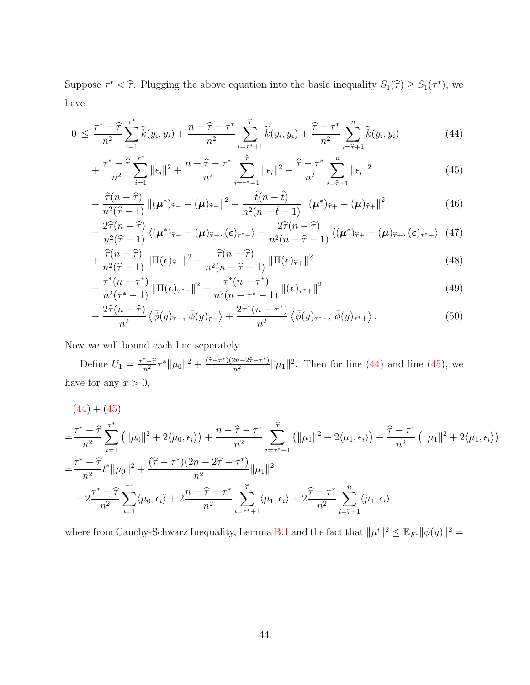Suppose  $\tau^* < \hat{\tau}$ . Plugging the above equation into the basic inequality  $S_1(\hat{\tau}) \geq S_1(\tau^*)$ , we have

$$
0 \leq \frac{\tau^* - \hat{\tau}}{n^2} \sum_{i=1}^{\tau^*} \tilde{k}(y_i, y_i) + \frac{n - \hat{\tau} - \tau^*}{n^2} \sum_{i=\tau^*+1}^{\hat{\tau}} \tilde{k}(y_i, y_i) + \frac{\hat{\tau} - \tau^*}{n^2} \sum_{i=\hat{\tau}+1}^n \tilde{k}(y_i, y_i)
$$
(44)

<span id="page-43-0"></span>
$$
+\frac{\tau^*-\widehat{\tau}}{n^2}\sum_{i=1}^{\tau^*}||\epsilon_i||^2+\frac{n-\widehat{\tau}-\tau^*}{n^2}\sum_{i=\tau^*+1}^{\widehat{\tau}}||\epsilon_i||^2+\frac{\widehat{\tau}-\tau^*}{n^2}\sum_{i=\widehat{\tau}+1}^n||\epsilon_i||^2
$$
\n(45)

<span id="page-43-2"></span><span id="page-43-1"></span>
$$
-\frac{\widehat{\tau}(n-\widehat{\tau})}{n^2(\widehat{\tau}-1)}\left\|(\boldsymbol{\mu}^*)_{\widehat{\tau}-} - (\boldsymbol{\mu})_{\widehat{\tau}-}\right\|^2 - \frac{\widehat{t}(n-\widehat{t})}{n^2(n-\widehat{t}-1)}\left\|(\boldsymbol{\mu}^*)_{\widehat{\tau}+} - (\boldsymbol{\mu})_{\widehat{\tau}+}\right\|^2\tag{46}
$$

<span id="page-43-4"></span><span id="page-43-3"></span>
$$
-\frac{2\widehat{\tau}(n-\widehat{\tau})}{n^2(\widehat{\tau}-1)}\left\langle (\boldsymbol{\mu}^*)_{\widehat{\tau}-} - (\boldsymbol{\mu})_{\widehat{\tau}-}, (\boldsymbol{\epsilon})_{\tau^*-\right\rangle - \frac{2\widehat{\tau}(n-\widehat{\tau})}{n^2(n-\widehat{\tau}-1)}\left\langle (\boldsymbol{\mu}^*)_{\widehat{\tau}+} - (\boldsymbol{\mu})_{\widehat{\tau}+}, (\boldsymbol{\epsilon})_{\tau^*+\right\rangle \tag{47}
$$

$$
+\frac{\widehat{\tau}(n-\widehat{\tau})}{n^2(\widehat{\tau}-1)}\|\Pi(\boldsymbol{\epsilon})_{\widehat{\tau}}\|^{2}+\frac{\widehat{\tau}(n-\widehat{\tau})}{n^2(n-\widehat{\tau}-1)}\|\Pi(\boldsymbol{\epsilon})_{\widehat{\tau}}\|^{2}
$$
\n
$$
(\text{48})
$$

$$
-\frac{\tau^*(n-\tau^*)}{n^2(\tau^*-1)}\left\|\Pi(\epsilon)_{\tau^*-}\right\|^2 - \frac{\tau^*(n-\tau^*)}{n^2(n-\tau^*-1)}\left\|(\epsilon)_{\tau^*+}\right\|^2\tag{49}
$$

<span id="page-43-6"></span><span id="page-43-5"></span>
$$
-\frac{2\widehat{\tau}(n-\widehat{\tau})}{n^2}\left\langle\bar{\phi}(y)\widehat{\tau},\bar{\phi}(y)\widehat{\tau}\right\rangle+\frac{2\tau^*(n-\tau^*)}{n^2}\left\langle\bar{\phi}(y)\widehat{\tau},\bar{\phi}(y)\widehat{\tau}\right\rangle. \tag{50}
$$

Now we will bound each line seperately.

Define  $U_1 = \frac{\tau^* - \hat{\tau}}{n^2} \tau^* ||\mu_0||^2 + \frac{(\hat{\tau} - \tau^*)(2n - 2\hat{\tau} - \tau^*)}{n^2} ||\mu_1||^2$ . Then for line [\(44\)](#page-43-0) and line [\(45\)](#page-43-1), we have for any  $x > 0$ ,

$$
(44) + (45)
$$
\n
$$
= \frac{\tau^* - \hat{\tau}}{n^2} \sum_{i=1}^{\tau^*} \left( ||\mu_0||^2 + 2\langle \mu_0, \epsilon_i \rangle \right) + \frac{n - \hat{\tau} - \tau^*}{n^2} \sum_{i=\tau^*+1}^{\hat{\tau}} \left( ||\mu_1||^2 + 2\langle \mu_1, \epsilon_i \rangle \right) + \frac{\hat{\tau} - \tau^*}{n^2} \left( ||\mu_1||^2 + 2\langle \mu_1, \epsilon_i \rangle \right)
$$
\n
$$
= \frac{\tau^* - \hat{\tau}}{n^2} t^* ||\mu_0||^2 + \frac{(\hat{\tau} - \tau^*)(2n - 2\hat{\tau} - \tau^*)}{n^2} ||\mu_1||^2
$$
\n
$$
+ 2 \frac{\tau^* - \hat{\tau}}{n^2} \sum_{i=1}^{\tau^*} \langle \mu_0, \epsilon_i \rangle + 2 \frac{n - \hat{\tau} - \tau^*}{n^2} \sum_{i=\tau^*+1}^{\hat{\tau}} \langle \mu_1, \epsilon_i \rangle + 2 \frac{\hat{\tau} - \tau^*}{n^2} \sum_{i=\hat{\tau}+1}^n \langle \mu_1, \epsilon_i \rangle,
$$

where from Cauchy-Schwarz Inequality, Lemma [B.1](#page-31-1) and the fact that  $\|\mu^i\|^2 \leq \mathbb{E}_{F^i} \|\phi(y)\|^2 =$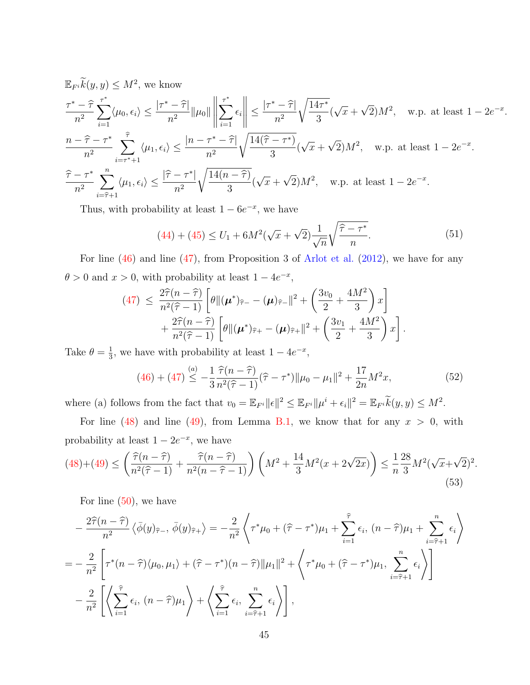$$
\mathbb{E}_{F^i}\widetilde{k}(y,y) \le M^2, \text{ we know}
$$
\n
$$
\frac{\tau^* - \widehat{\tau}}{n^2} \sum_{i=1}^{\tau^*} \langle \mu_0, \epsilon_i \rangle \le \frac{|\tau^* - \widehat{\tau}|}{n^2} ||\mu_0|| \left\| \sum_{i=1}^{\tau^*} \epsilon_i \right\| \le \frac{|\tau^* - \widehat{\tau}|}{n^2} \sqrt{\frac{14\tau^*}{3}} (\sqrt{x} + \sqrt{2})M^2, \text{ w.p. at least } 1 - 2e^{-x}.
$$
\n
$$
\frac{n - \widehat{\tau} - \tau^*}{n^2} \sum_{i=\tau^*+1}^{\widehat{\tau}} \langle \mu_1, \epsilon_i \rangle \le \frac{|n - \tau^* - \widehat{\tau}|}{n^2} \sqrt{\frac{14(\widehat{\tau} - \tau^*)}{3}} (\sqrt{x} + \sqrt{2})M^2, \text{ w.p. at least } 1 - 2e^{-x}.
$$
\n
$$
\frac{\widehat{\tau} - \tau^*}{n^2} \sum_{i=\widehat{\tau}+1}^n \langle \mu_1, \epsilon_i \rangle \le \frac{|\widehat{\tau} - \tau^*|}{n^2} \sqrt{\frac{14(n - \widehat{\tau})}{3}} (\sqrt{x} + \sqrt{2})M^2, \text{ w.p. at least } 1 - 2e^{-x}.
$$

<span id="page-44-0"></span>Thus, with probability at least  $1 - 6e^{-x}$ , we have

$$
(44) + (45) \le U_1 + 6M^2(\sqrt{x} + \sqrt{2})\frac{1}{\sqrt{n}}\sqrt{\frac{\hat{\tau} - \tau^*}{n}}.
$$
\n(51)

For line [\(46\)](#page-43-2) and line [\(47\)](#page-43-3), from Proposition 3 of [Arlot et al.](#page-24-1) [\(2012\)](#page-24-1), we have for any  $\theta > 0$  and  $x > 0$ , with probability at least  $1 - 4e^{-x}$ ,

$$
(47) \leq \frac{2\hat{\tau}(n-\hat{\tau})}{n^2(\hat{\tau}-1)} \left[ \theta \| (\boldsymbol{\mu}^*)_{\hat{\tau}-} - (\boldsymbol{\mu})_{\hat{\tau}-} \|^2 + \left( \frac{3v_0}{2} + \frac{4M^2}{3} \right) x \right] + \frac{2\hat{\tau}(n-\hat{\tau})}{n^2(\hat{\tau}-1)} \left[ \theta \| (\boldsymbol{\mu}^*)_{\hat{\tau}+} - (\boldsymbol{\mu})_{\hat{\tau}+} \|^2 + \left( \frac{3v_1}{2} + \frac{4M^2}{3} \right) x \right].
$$

<span id="page-44-1"></span>Take  $\theta = \frac{1}{3}$  $\frac{1}{3}$ , we have with probability at least  $1 - 4e^{-x}$ ,

$$
(46) + (47) \stackrel{(a)}{\leq} -\frac{1}{3} \frac{\hat{\tau}(n-\hat{\tau})}{n^2(\hat{\tau}-1)} (\hat{\tau}-\tau^*) \|\mu_0 - \mu_1\|^2 + \frac{17}{2n} M^2 x,\tag{52}
$$

where (a) follows from the fact that  $v_0 = \mathbb{E}_{F^i} ||\epsilon||^2 \leq \mathbb{E}_{F^i} ||\mu^i + \epsilon_i||^2 = \mathbb{E}_{F^i} \tilde{k}(y, y) \leq M^2$ .

For line [\(48\)](#page-43-4) and line [\(49\)](#page-43-5), from Lemma [B.1,](#page-31-1) we know that for any  $x > 0$ , with probability at least  $1 - 2e^{-x}$ , we have

<span id="page-44-2"></span>
$$
(48) + (49) \le \left(\frac{\hat{\tau}(n-\hat{\tau})}{n^2(\hat{\tau}-1)} + \frac{\hat{\tau}(n-\hat{\tau})}{n^2(n-\hat{\tau}-1)}\right) \left(M^2 + \frac{14}{3}M^2(x+2\sqrt{2x})\right) \le \frac{1}{n}\frac{28}{3}M^2(\sqrt{x}+\sqrt{2})^2.
$$
\n
$$
(53)
$$

For line [\(50\)](#page-43-6), we have

$$
-\frac{2\hat{\tau}(n-\hat{\tau})}{n^2} \langle \bar{\phi}(y)\hat{\tau}, \bar{\phi}(y)\hat{\tau}\rangle = -\frac{2}{n^2} \left\langle \tau^* \mu_0 + (\hat{\tau} - \tau^*)\mu_1 + \sum_{i=1}^{\hat{\tau}} \epsilon_i, (n-\hat{\tau})\mu_1 + \sum_{i=\hat{\tau}+1}^n \epsilon_i \right\rangle
$$
  
=  $-\frac{2}{n^2} \left[ \tau^*(n-\hat{\tau})\langle \mu_0, \mu_1 \rangle + (\hat{\tau} - \tau^*)\langle (n-\hat{\tau})||\mu_1||^2 + \left\langle \tau^* \mu_0 + (\hat{\tau} - \tau^*)\mu_1, \sum_{i=\hat{\tau}+1}^n \epsilon_i \right\rangle \right]$   
 $-\frac{2}{n^2} \left[ \left\langle \sum_{i=1}^{\hat{\tau}} \epsilon_i, (n-\hat{\tau})\mu_1 \right\rangle + \left\langle \sum_{i=1}^{\hat{\tau}} \epsilon_i, \sum_{i=\hat{\tau}+1}^n \epsilon_i \right\rangle \right],$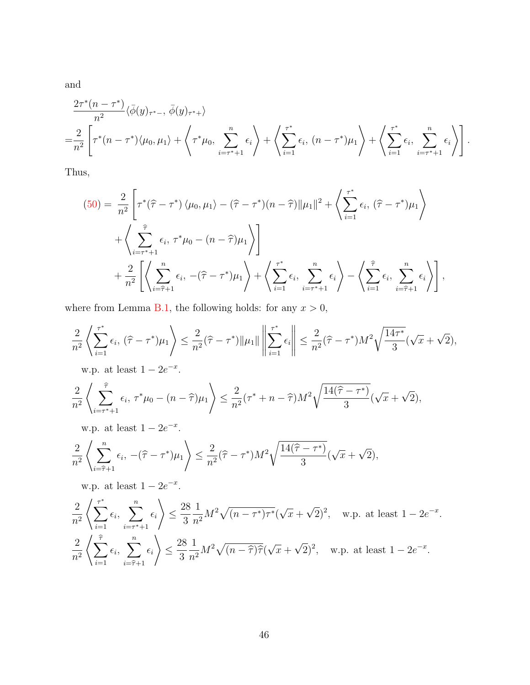and

$$
\frac{2\tau^*(n-\tau^*)}{n^2}\langle\bar{\phi}(y)_{\tau^*-},\bar{\phi}(y)_{\tau^*+}\rangle
$$
\n
$$
=\frac{2}{n^2}\left[\tau^*(n-\tau^*)\langle\mu_0,\mu_1\rangle+\left\langle\tau^*\mu_0,\sum_{i=\tau^*+1}^n\epsilon_i\right\rangle+\left\langle\sum_{i=1}^{\tau^*}\epsilon_i,(n-\tau^*)\mu_1\right\rangle+\left\langle\sum_{i=1}^{\tau^*}\epsilon_i,\sum_{i=\tau^*+1}^n\epsilon_i\right\rangle\right].
$$

Thus,

$$
(50) = \frac{2}{n^2} \left[ \tau^*(\hat{\tau} - \tau^*) \langle \mu_0, \mu_1 \rangle - (\hat{\tau} - \tau^*) (n - \hat{\tau}) ||\mu_1||^2 + \left\langle \sum_{i=1}^{\tau^*} \epsilon_i, (\hat{\tau} - \tau^*) \mu_1 \right\rangle + \left\langle \sum_{i=\tau^*+1}^{\hat{\tau}} \epsilon_i, \tau^* \mu_0 - (n - \hat{\tau}) \mu_1 \right\rangle \right] + \frac{2}{n^2} \left[ \left\langle \sum_{i=\hat{\tau}+1}^n \epsilon_i, -(\hat{\tau} - \tau^*) \mu_1 \right\rangle + \left\langle \sum_{i=1}^{\tau^*} \epsilon_i, \sum_{i=\tau^*+1}^n \epsilon_i \right\rangle - \left\langle \sum_{i=1}^{\hat{\tau}} \epsilon_i, \sum_{i=\hat{\tau}+1}^n \epsilon_i \right\rangle \right],
$$

where from Lemma [B.1,](#page-31-1) the following holds: for any  $x > 0$ ,

$$
\frac{2}{n^2} \left\langle \sum_{i=1}^{\tau^*} \epsilon_i, \, (\widehat{\tau} - \tau^*) \mu_1 \right\rangle \le \frac{2}{n^2} (\widehat{\tau} - \tau^*) \| \mu_1 \| \left\| \sum_{i=1}^{\tau^*} \epsilon_i \right\| \le \frac{2}{n^2} (\widehat{\tau} - \tau^*) M^2 \sqrt{\frac{14\tau^*}{3}} (\sqrt{x} + \sqrt{2}),
$$

w.p. at least  $1 - 2e^{-x}$ .

$$
\frac{2}{n^2} \left\langle \sum_{i=\tau^*+1}^{\widehat{\tau}} \epsilon_i, \, \tau^* \mu_0 - (n-\widehat{\tau})\mu_1 \right\rangle \le \frac{2}{n^2} (\tau^* + n - \widehat{\tau}) M^2 \sqrt{\frac{14(\widehat{\tau} - \tau^*)}{3}} (\sqrt{x} + \sqrt{2}),
$$

w.p. at least  $1 - 2e^{-x}$ .

$$
\frac{2}{n^2} \left\langle \sum_{i=\hat{\tau}+1}^n \epsilon_i, \, -(\hat{\tau} - \tau^*) \mu_1 \right\rangle \le \frac{2}{n^2} (\hat{\tau} - \tau^*) M^2 \sqrt{\frac{14(\hat{\tau} - \tau^*)}{3}} (\sqrt{x} + \sqrt{2}),
$$

w.p. at least  $1 - 2e^{-x}$ .

$$
\frac{2}{n^2} \left\langle \sum_{i=1}^{\tau^*} \epsilon_i, \sum_{i=\tau^*+1}^n \epsilon_i \right\rangle \le \frac{28}{3} \frac{1}{n^2} M^2 \sqrt{(n-\tau^*) \tau^*} (\sqrt{x} + \sqrt{2})^2, \text{ w.p. at least } 1 - 2e^{-x}.
$$
  

$$
\frac{2}{n^2} \left\langle \sum_{i=1}^{\widehat{\tau}} \epsilon_i, \sum_{i=\widehat{\tau}+1}^n \epsilon_i \right\rangle \le \frac{28}{3} \frac{1}{n^2} M^2 \sqrt{(n-\widehat{\tau}) \widehat{\tau}} (\sqrt{x} + \sqrt{2})^2, \text{ w.p. at least } 1 - 2e^{-x}.
$$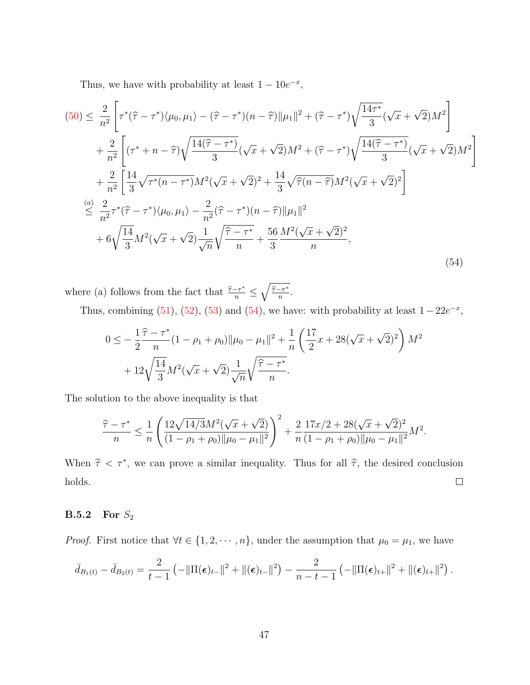Thus, we have with probability at least  $1 - 10e^{-x}$ ,

<span id="page-46-0"></span>
$$
(50) \leq \frac{2}{n^2} \left[ \tau^*(\hat{\tau} - \tau^*) \langle \mu_0, \mu_1 \rangle - (\hat{\tau} - \tau^*) (n - \hat{\tau}) ||\mu_1||^2 + (\hat{\tau} - \tau^*) \sqrt{\frac{14\tau^*}{3}} (\sqrt{x} + \sqrt{2}) M^2 \right] + \frac{2}{n^2} \left[ (\tau^* + n - \hat{\tau}) \sqrt{\frac{14(\hat{\tau} - \tau^*)}{3}} (\sqrt{x} + \sqrt{2}) M^2 + (\hat{\tau} - \tau^*) \sqrt{\frac{14(\hat{\tau} - \tau^*)}{3}} (\sqrt{x} + \sqrt{2}) M^2 \right] + \frac{2}{n^2} \left[ \frac{14}{3} \sqrt{\tau^*(n - \tau^*)} M^2 (\sqrt{x} + \sqrt{2})^2 + \frac{14}{3} \sqrt{\hat{\tau}(n - \hat{\tau})} M^2 (\sqrt{x} + \sqrt{2})^2 \right] \n\leq \frac{(a)}{n^2} \frac{2}{n^2} \tau^*(\hat{\tau} - \tau^*) \langle \mu_0, \mu_1 \rangle - \frac{2}{n^2} (\hat{\tau} - \tau^*) (n - \hat{\tau}) ||\mu_1||^2 + 6 \sqrt{\frac{14}{3}} M^2 (\sqrt{x} + \sqrt{2}) \frac{1}{\sqrt{n}} \sqrt{\frac{\hat{\tau} - \tau^*}{n}} + \frac{56}{3} \frac{M^2 (\sqrt{x} + \sqrt{2})^2}{n}, \tag{54}
$$

where (a) follows from the fact that  $\frac{\hat{\tau}-\tau^*}{n} \leq \sqrt{\frac{\hat{\tau}-\tau^*}{n}}$  $\frac{-\tau^*}{n}$  .

Thus, combining [\(51\)](#page-44-0), [\(52\)](#page-44-1), [\(53\)](#page-44-2) and [\(54\)](#page-46-0), we have: with probability at least  $1 - 22e^{-x}$ ,

$$
0 \leq -\frac{1}{2} \frac{\hat{\tau} - \tau^*}{n} (1 - \rho_1 + \rho_0) \|\mu_0 - \mu_1\|^2 + \frac{1}{n} \left(\frac{17}{2} x + 28(\sqrt{x} + \sqrt{2})^2\right) M^2 + 12\sqrt{\frac{14}{3}M^2(\sqrt{x} + \sqrt{2})} \frac{1}{\sqrt{n}} \sqrt{\frac{\hat{\tau} - \tau^*}{n}}.
$$

The solution to the above inequality is that

$$
\frac{\widehat{\tau}-\tau^*}{n} \leq \frac{1}{n} \left( \frac{12\sqrt{14/3}M^2(\sqrt{x}+\sqrt{2})}{(1-\rho_1+\rho_0)\|\mu_0-\mu_1\|^2} \right)^2 + \frac{2}{n} \frac{17x/2+28(\sqrt{x}+\sqrt{2})^2}{(1-\rho_1+\rho_0)\|\mu_0-\mu_1\|^2} M^2.
$$

When  $\hat{\tau} < \tau^*$ , we can prove a similar inequality. Thus for all  $\hat{\tau}$ , the desired conclusion holds.  $\Box$ 

## $B.5.2$  For  $S_2$

*Proof.* First notice that  $\forall t \in \{1, 2, \dots, n\}$ , under the assumption that  $\mu_0 = \mu_1$ , we have

$$
\bar{d}_{B_1(t)} - \bar{d}_{B_2(t)} = \frac{2}{t-1} \left( -\|\Pi(\boldsymbol{\epsilon})_{t-}\|^2 + \|(\boldsymbol{\epsilon})_{t-}\|^2 \right) - \frac{2}{n-t-1} \left( -\|\Pi(\boldsymbol{\epsilon})_{t+}\|^2 + \|(\boldsymbol{\epsilon})_{t+}\|^2 \right).
$$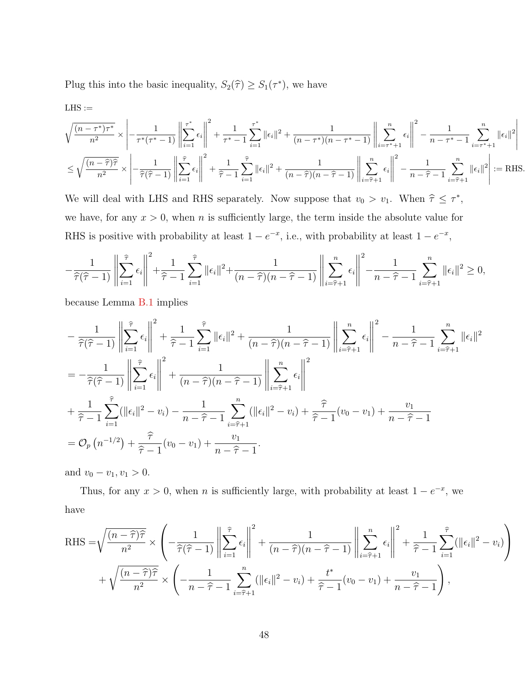Plug this into the basic inequality,  $S_2(\hat{\tau}) \geq S_1(\tau^*)$ , we have

 ${\rm LHS} :=$ 

$$
\sqrt{\frac{(n-\tau^*)\tau^*}{n^2}} \times \left| -\frac{1}{\tau^*(\tau^*-1)} \left\| \sum_{i=1}^{\tau^*} \epsilon_i \right\|^2 + \frac{1}{\tau^*-1} \sum_{i=1}^{\tau^*} \|\epsilon_i\|^2 + \frac{1}{(n-\tau^*)(n-\tau^*-1)} \left\| \sum_{i=\tau^*+1}^n \epsilon_i \right\|^2 - \frac{1}{n-\tau^*-1} \sum_{i=\tau^*+1}^n \|\epsilon_i\|^2 \right|
$$
  

$$
\leq \sqrt{\frac{(n-\widehat{\tau})\widehat{\tau}}{n^2}} \times \left| -\frac{1}{\widehat{\tau}(\widehat{\tau}-1)} \left\| \sum_{i=1}^{\widehat{\tau}} \epsilon_i \right\|^2 + \frac{1}{\widehat{\tau}-1} \sum_{i=1}^{\widehat{\tau}} \|\epsilon_i\|^2 + \frac{1}{(n-\widehat{\tau})(n-\widehat{\tau}-1)} \left\| \sum_{i=\widehat{\tau}+1}^n \epsilon_i \right\|^2 - \frac{1}{n-\widehat{\tau}-1} \sum_{i=\widehat{\tau}+1}^n \|\epsilon_i\|^2 \right| := \text{RHS}.
$$

We will deal with LHS and RHS separately. Now suppose that  $v_0 > v_1$ . When  $\hat{\tau} \leq \tau^*$ , we have, for any  $x > 0$ , when n is sufficiently large, the term inside the absolute value for RHS is positive with probability at least  $1 - e^{-x}$ , i.e., with probability at least  $1 - e^{-x}$ ,

$$
-\frac{1}{\widehat{\tau}(\widehat{\tau}-1)}\left\|\sum_{i=1}^{\widehat{\tau}}\epsilon_i\right\|^2 + \frac{1}{\widehat{\tau}-1}\sum_{i=1}^{\widehat{\tau}}\|\epsilon_i\|^2 + \frac{1}{(n-\widehat{\tau})(n-\widehat{\tau}-1)}\left\|\sum_{i=\widehat{\tau}+1}^n\epsilon_i\right\|^2 - \frac{1}{n-\widehat{\tau}-1}\sum_{i=\widehat{\tau}+1}^n\|\epsilon_i\|^2 \ge 0,
$$

because Lemma [B.1](#page-31-1) implies

$$
-\frac{1}{\hat{\tau}(\hat{\tau}-1)} \left\| \sum_{i=1}^{\hat{\tau}} \epsilon_i \right\|^2 + \frac{1}{\hat{\tau}-1} \sum_{i=1}^{\hat{\tau}} \|\epsilon_i\|^2 + \frac{1}{(n-\hat{\tau})(n-\hat{\tau}-1)} \left\| \sum_{i=\hat{\tau}+1}^n \epsilon_i \right\|^2 - \frac{1}{n-\hat{\tau}-1} \sum_{i=\hat{\tau}+1}^n \|\epsilon_i\|^2
$$
  
=  $-\frac{1}{\hat{\tau}(\hat{\tau}-1)} \left\| \sum_{i=1}^{\hat{\tau}} \epsilon_i \right\|^2 + \frac{1}{(n-\hat{\tau})(n-\hat{\tau}-1)} \left\| \sum_{i=\hat{\tau}+1}^n \epsilon_i \right\|^2$   
+  $\frac{1}{\hat{\tau}-1} \sum_{i=1}^{\hat{\tau}} (\|\epsilon_i\|^2 - v_i) - \frac{1}{n-\hat{\tau}-1} \sum_{i=\hat{\tau}+1}^n (\|\epsilon_i\|^2 - v_i) + \frac{\hat{\tau}}{\hat{\tau}-1} (v_0 - v_1) + \frac{v_1}{n-\hat{\tau}-1}$   
=  $\mathcal{O}_p(n^{-1/2}) + \frac{\hat{\tau}}{\hat{\tau}-1} (v_0 - v_1) + \frac{v_1}{n-\hat{\tau}-1}.$ 

and  $v_0 - v_1, v_1 > 0$ .

Thus, for any  $x > 0$ , when n is sufficiently large, with probability at least  $1 - e^{-x}$ , we have

RHS = 
$$
\sqrt{\frac{(n-\hat{\tau})\hat{\tau}}{n^2}} \times \left( -\frac{1}{\hat{\tau}(\hat{\tau}-1)} \left\| \sum_{i=1}^{\hat{\tau}} \epsilon_i \right\|^2 + \frac{1}{(n-\hat{\tau})(n-\hat{\tau}-1)} \left\| \sum_{i=\hat{\tau}+1}^n \epsilon_i \right\|^2 + \frac{1}{\hat{\tau}-1} \sum_{i=1}^{\hat{\tau}} (\|\epsilon_i\|^2 - v_i) \right)
$$
  
+  $\sqrt{\frac{(n-\hat{\tau})\hat{\tau}}{n^2}} \times \left( -\frac{1}{n-\hat{\tau}-1} \sum_{i=\hat{\tau}+1}^n (\|\epsilon_i\|^2 - v_i) + \frac{t^*}{\hat{\tau}-1} (v_0 - v_1) + \frac{v_1}{n-\hat{\tau}-1} \right)$ ,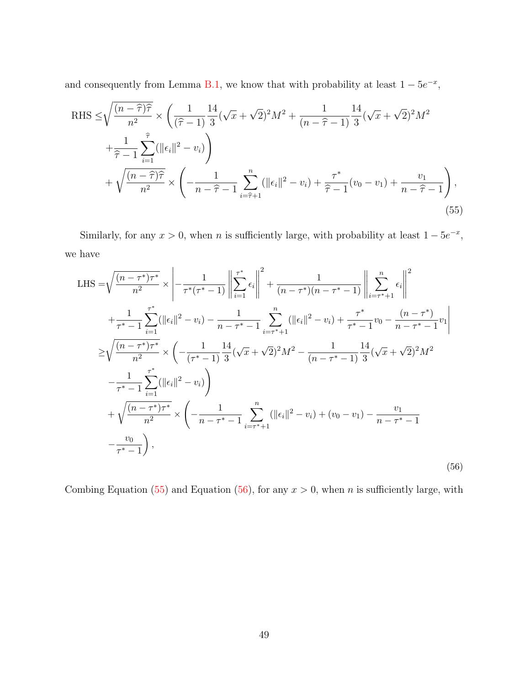and consequently from Lemma [B.1,](#page-31-1) we know that with probability at least  $1 - 5e^{-x}$ ,

<span id="page-48-0"></span>RHS 
$$
\leq \sqrt{\frac{(n-\hat{\tau})\hat{\tau}}{n^2}} \times \left(\frac{1}{(\hat{\tau}-1)}\frac{14}{3}(\sqrt{x}+\sqrt{2})^2M^2 + \frac{1}{(n-\hat{\tau}-1)}\frac{14}{3}(\sqrt{x}+\sqrt{2})^2M^2 + \frac{1}{\hat{\tau}-1}\sum_{i=1}^{\hat{\tau}}(||\epsilon_i||^2-v_i)\right)
$$
  
+  $\sqrt{\frac{(n-\hat{\tau})\hat{\tau}}{n^2}} \times \left(-\frac{1}{n-\hat{\tau}-1}\sum_{i=\hat{\tau}+1}^n(||\epsilon_i||^2-v_i) + \frac{\tau^*}{\hat{\tau}-1}(v_0-v_1) + \frac{v_1}{n-\hat{\tau}-1}\right),$  (55)

Similarly, for any  $x > 0$ , when n is sufficiently large, with probability at least  $1 - 5e^{-x}$ , we have

<span id="page-48-1"></span>LHS = 
$$
\sqrt{\frac{(n-\tau^*)\tau^*}{n^2}} \times \left| -\frac{1}{\tau^*(\tau^*-1)} \right| \left| \sum_{i=1}^{\tau^*} \epsilon_i \right|^2 + \frac{1}{(n-\tau^*)(n-\tau^*-1)} \left| \left| \sum_{i=\tau^*+1}^n \epsilon_i \right|^2 + \frac{1}{\tau^*-1} \sum_{i=1}^{\tau^*} (||\epsilon_i||^2 - v_i) - \frac{1}{n-\tau^*-1} \sum_{i=\tau^*+1}^n (||\epsilon_i||^2 - v_i) + \frac{\tau^*}{\tau^*-1} v_0 - \frac{(n-\tau^*)}{n-\tau^*-1} v_1 \right|
$$
  
\n
$$
\geq \sqrt{\frac{(n-\tau^*)\tau^*}{n^2}} \times \left( -\frac{1}{(\tau^*-1)} \frac{14}{3} (\sqrt{x} + \sqrt{2})^2 M^2 - \frac{1}{(n-\tau^*-1)} \frac{14}{3} (\sqrt{x} + \sqrt{2})^2 M^2 - \frac{1}{\tau^*-1} \sum_{i=1}^{\tau^*} (||\epsilon_i||^2 - v_i) \right)
$$
  
\n
$$
+ \sqrt{\frac{(n-\tau^*)\tau^*}{n^2}} \times \left( -\frac{1}{n-\tau^*-1} \sum_{i=\tau^*+1}^n (||\epsilon_i||^2 - v_i) + (v_0 - v_1) - \frac{v_1}{n-\tau^*-1} - \frac{v_0}{\tau^*-1} \right),
$$
\n(56)

Combing Equation [\(55\)](#page-48-0) and Equation [\(56\)](#page-48-1), for any  $x > 0$ , when n is sufficiently large, with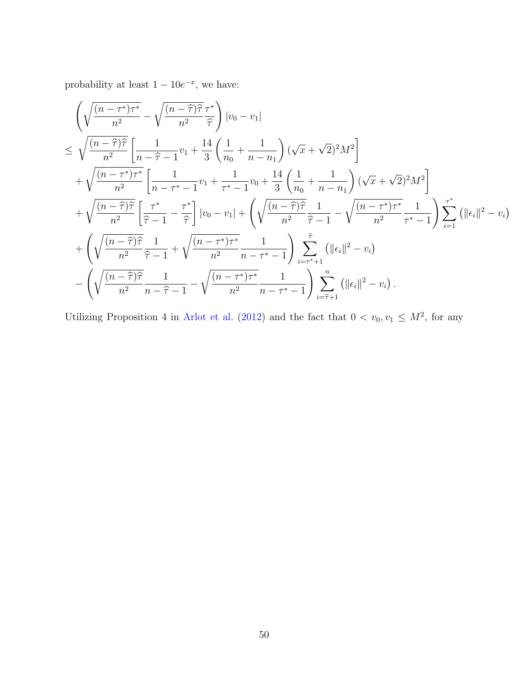probability at least  $1 - 10e^{-x}$ , we have:

$$
\begin{split}\n&\left(\sqrt{\frac{(n-\tau^*)\tau^*}{n^2}} - \sqrt{\frac{(n-\hat{\tau})\hat{\tau}}{n^2}} \frac{\tau^*}{\hat{\tau}}\right) |v_0 - v_1| \\
&\leq \sqrt{\frac{(n-\hat{\tau})\hat{\tau}}{n^2}} \left[\frac{1}{n-\hat{\tau}-1}v_1 + \frac{14}{3}\left(\frac{1}{n_0} + \frac{1}{n-n_1}\right)(\sqrt{x} + \sqrt{2})^2 M^2\right] \\
&+ \sqrt{\frac{(n-\tau^*)\tau^*}{n^2}} \left[\frac{1}{n-\tau^*-1}v_1 + \frac{1}{\tau^*-1}v_0 + \frac{14}{3}\left(\frac{1}{n_0} + \frac{1}{n-n_1}\right)(\sqrt{x} + \sqrt{2})^2 M^2\right] \\
&+ \sqrt{\frac{(n-\hat{\tau})\hat{\tau}}{n^2}} \left[\frac{\tau^*}{\hat{\tau}-1} - \frac{\tau^*}{\hat{\tau}}\right] |v_0 - v_1| + \left(\sqrt{\frac{(n-\hat{\tau})\hat{\tau}}{n^2}} \frac{1}{\hat{\tau}-1} - \sqrt{\frac{(n-\tau^*)\tau^*}{n^2}} \frac{1}{\tau^*-1}\right) \sum_{i=1}^{\tau^*} \left(\|\epsilon_i\|^2 - v_i\right) \\
&+ \left(\sqrt{\frac{(n-\hat{\tau})\hat{\tau}}{n^2}} \frac{1}{\hat{\tau}-1} + \sqrt{\frac{(n-\tau^*)\tau^*}{n^2}} \frac{1}{n-\tau^*-1}\right) \sum_{i=\tau^*+1}^{\hat{\tau}} \left(\|\epsilon_i\|^2 - v_i\right) \\
&- \left(\sqrt{\frac{(n-\hat{\tau})\hat{\tau}}{n^2}} \frac{1}{n-\hat{\tau}-1} - \sqrt{\frac{(n-\tau^*)\tau^*}{n^2}} \frac{1}{n-\tau^*-1}\right) \sum_{i=\hat{\tau}+1}^n \left(\|\epsilon_i\|^2 - v_i\right).\n\end{split}
$$

Utilizing Proposition 4 in [Arlot et al.](#page-24-1) [\(2012\)](#page-24-1) and the fact that  $0 < v_0, v_1 \leq M^2$ , for any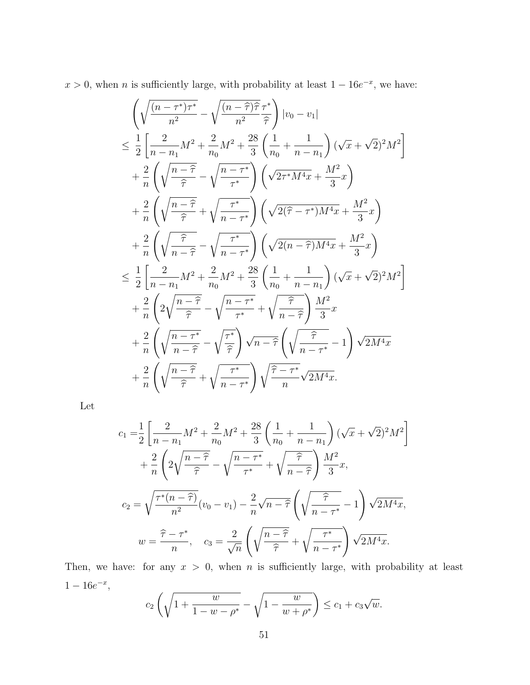$x > 0$ , when *n* is sufficiently large, with probability at least  $1 - 16e^{-x}$ , we have:

$$
\begin{split}\n&\left(\sqrt{\frac{(n-\tau^*)\tau^*}{n^2}} - \sqrt{\frac{(n-\tilde{\tau})\tilde{\tau}}{n^2}} \frac{\tau^*}{\tilde{\tau}}\right) |v_0 - v_1| \\
&\leq \frac{1}{2} \left[\frac{2}{n-n_1} M^2 + \frac{2}{n_0} M^2 + \frac{28}{3} \left(\frac{1}{n_0} + \frac{1}{n-n_1}\right) (\sqrt{x} + \sqrt{2})^2 M^2\right] \\
&+ \frac{2}{n} \left(\sqrt{\frac{n-\tilde{\tau}}{\tilde{\tau}}} - \sqrt{\frac{n-\tau^*}{\tau^*}}\right) \left(\sqrt{2\tau^* M^4 x} + \frac{M^2}{3} x\right) \\
&+ \frac{2}{n} \left(\sqrt{\frac{n-\tilde{\tau}}{\tilde{\tau}}} + \sqrt{\frac{\tau^*}{n-\tau^*}}\right) \left(\sqrt{2(\tilde{\tau}-\tau^*) M^4 x} + \frac{M^2}{3} x\right) \\
&+ \frac{2}{n} \left(\sqrt{\frac{\tilde{\tau}}{n-\tilde{\tau}}} - \sqrt{\frac{\tau^*}{n-\tau^*}}\right) \left(\sqrt{2(n-\tilde{\tau}) M^4 x} + \frac{M^2}{3} x\right) \\
&\leq \frac{1}{2} \left[\frac{2}{n-n_1} M^2 + \frac{2}{n_0} M^2 + \frac{28}{3} \left(\frac{1}{n_0} + \frac{1}{n-n_1}\right) (\sqrt{x} + \sqrt{2})^2 M^2\right] \\
&+ \frac{2}{n} \left(2\sqrt{\frac{n-\tilde{\tau}}{\tilde{\tau}}} - \sqrt{\frac{n-\tau^*}{\tau^*}} + \sqrt{\frac{\tilde{\tau}}{n-\tilde{\tau}}}\right) \frac{M^2}{3} x \\
&+ \frac{2}{n} \left(\sqrt{\frac{n-\tilde{\tau}}{n-\tilde{\tau}}} - \sqrt{\frac{\tau^*}{\tilde{\tau}}}\right) \sqrt{n-\tilde{\tau}} \left(\sqrt{\frac{\tilde{\tau}}{n-\tau^*}} - 1\right) \sqrt{2M^4 x} \\
&+ \frac{2}{n} \left(\sqrt{\frac{n-\tilde{\tau}}{\tilde{\tau}}} + \sqrt{\frac{\tau^*}{n-\tau^*}}\right) \sqrt{\frac{\tilde{\tau}-\tau^*}{n-\tau^*}} \sqrt{2M^4 x}.\n\end{split}
$$

Let

$$
c_{1} = \frac{1}{2} \left[ \frac{2}{n - n_{1}} M^{2} + \frac{2}{n_{0}} M^{2} + \frac{28}{3} \left( \frac{1}{n_{0}} + \frac{1}{n - n_{1}} \right) (\sqrt{x} + \sqrt{2})^{2} M^{2} \right] + \frac{2}{n} \left( 2 \sqrt{\frac{n - \hat{\tau}}{\hat{\tau}}} - \sqrt{\frac{n - \tau^{*}}{\tau^{*}}} + \sqrt{\frac{\hat{\tau}}{n - \hat{\tau}}} \right) \frac{M^{2}}{3} x,
$$
  
\n
$$
c_{2} = \sqrt{\frac{\tau^{*}(n - \hat{\tau})}{n^{2}}} (v_{0} - v_{1}) - \frac{2}{n} \sqrt{n - \hat{\tau}} \left( \sqrt{\frac{\hat{\tau}}{n - \tau^{*}}} - 1 \right) \sqrt{2M^{4}x},
$$
  
\n
$$
w = \frac{\hat{\tau} - \tau^{*}}{n}, \quad c_{3} = \frac{2}{\sqrt{n}} \left( \sqrt{\frac{n - \hat{\tau}}{\hat{\tau}}} + \sqrt{\frac{\tau^{*}}{n - \tau^{*}}} \right) \sqrt{2M^{4}x}.
$$

Then, we have: for any  $x > 0$ , when n is sufficiently large, with probability at least  $1 - 16e^{-x}$ ,

$$
c_2\left(\sqrt{1+\frac{w}{1-w-\rho^*}} - \sqrt{1-\frac{w}{w+\rho^*}}\right) \le c_1 + c_3\sqrt{w}.
$$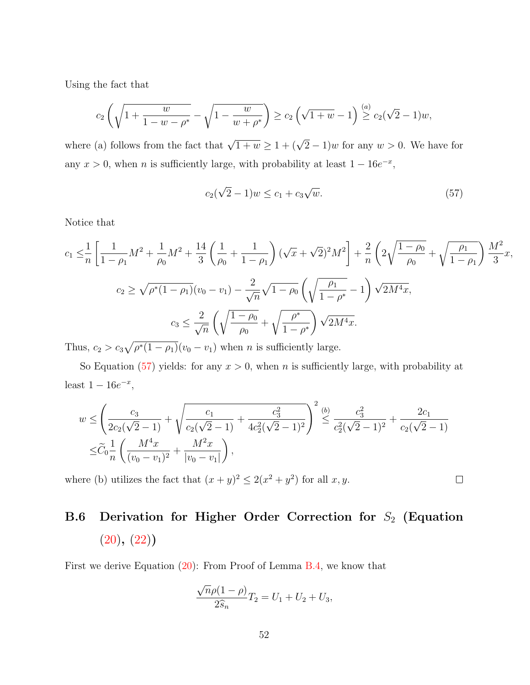Using the fact that

$$
c_2\left(\sqrt{1+\frac{w}{1-w-\rho^*}} - \sqrt{1-\frac{w}{w+\rho^*}}\right) \ge c_2\left(\sqrt{1+w} - 1\right) \stackrel{(a)}{\ge} c_2(\sqrt{2}-1)w,
$$

where (a) follows from the fact that  $\sqrt{1+w} \ge 1 + (\sqrt{2}-1)w$  for any  $w > 0$ . We have for any  $x > 0$ , when n is sufficiently large, with probability at least  $1 - 16e^{-x}$ ,

<span id="page-51-0"></span>
$$
c_2(\sqrt{2}-1)w \le c_1 + c_3\sqrt{w}.\tag{57}
$$

 $\Box$ 

Notice that

$$
c_1 \leq \frac{1}{n} \left[ \frac{1}{1 - \rho_1} M^2 + \frac{1}{\rho_0} M^2 + \frac{14}{3} \left( \frac{1}{\rho_0} + \frac{1}{1 - \rho_1} \right) (\sqrt{x} + \sqrt{2})^2 M^2 \right] + \frac{2}{n} \left( 2\sqrt{\frac{1 - \rho_0}{\rho_0}} + \sqrt{\frac{\rho_1}{1 - \rho_1}} \right) \frac{M^2}{3} x,
$$
  

$$
c_2 \geq \sqrt{\rho^*(1 - \rho_1)} (v_0 - v_1) - \frac{2}{\sqrt{n}} \sqrt{1 - \rho_0} \left( \sqrt{\frac{\rho_1}{1 - \rho^*}} - 1 \right) \sqrt{2M^4 x},
$$
  

$$
c_3 \leq \frac{2}{\sqrt{n}} \left( \sqrt{\frac{1 - \rho_0}{\rho_0}} + \sqrt{\frac{\rho^*}{1 - \rho^*}} \right) \sqrt{2M^4 x}.
$$

Thus,  $c_2 > c_3 \sqrt{\rho^*(1-\rho_1)}(v_0-v_1)$  when *n* is sufficiently large.

So Equation [\(57\)](#page-51-0) yields: for any  $x > 0$ , when n is sufficiently large, with probability at least  $1 - 16e^{-x}$ ,

$$
w \leq \left(\frac{c_3}{2c_2(\sqrt{2}-1)} + \sqrt{\frac{c_1}{c_2(\sqrt{2}-1)} + \frac{c_3^2}{4c_2^2(\sqrt{2}-1)^2}}\right)^2 \stackrel{(b)}{\leq} \frac{c_3^2}{c_2^2(\sqrt{2}-1)^2} + \frac{2c_1}{c_2(\sqrt{2}-1)} \n\leq \widetilde{C}_0 \frac{1}{n} \left(\frac{M^4x}{(v_0 - v_1)^2} + \frac{M^2x}{|v_0 - v_1|}\right),
$$

where (b) utilizes the fact that  $(x+y)^2 \leq 2(x^2+y^2)$  for all x, y.

# B.6 Derivation for Higher Order Correction for  $S_2$  (Equation  $(20), (22)$  $(20), (22)$  $(20), (22)$

First we derive Equation [\(20\)](#page-14-1): From Proof of Lemma [B.4,](#page-34-0) we know that

$$
\frac{\sqrt{n}\rho(1-\rho)}{2\widehat{s}_n}T_2 = U_1 + U_2 + U_3,
$$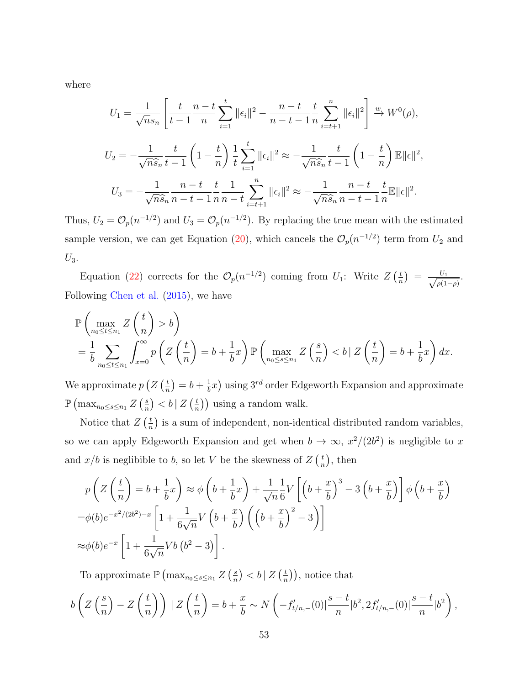where

$$
U_1 = \frac{1}{\sqrt{n}s_n} \left[ \frac{t}{t-1} \frac{n-t}{n} \sum_{i=1}^t ||\epsilon_i||^2 - \frac{n-t}{n-t-1} \frac{t}{n} \sum_{i=t+1}^n ||\epsilon_i||^2 \right] \xrightarrow{w} W^0(\rho),
$$
  

$$
U_2 = -\frac{1}{\sqrt{n}\hat{s}_n} \frac{t}{t-1} \left(1 - \frac{t}{n}\right) \frac{1}{t} \sum_{i=1}^t ||\epsilon_i||^2 \approx -\frac{1}{\sqrt{n}\hat{s}_n} \frac{t}{t-1} \left(1 - \frac{t}{n}\right) \mathbb{E}||\epsilon||^2,
$$
  

$$
U_3 = -\frac{1}{\sqrt{n}\hat{s}_n} \frac{n-t}{n-t-1} \frac{t}{n} \frac{1}{n-t} \sum_{i=t+1}^n ||\epsilon_i||^2 \approx -\frac{1}{\sqrt{n}\hat{s}_n} \frac{n-t}{n-t-1} \frac{t}{n} \mathbb{E}||\epsilon||^2.
$$

Thus,  $U_2 = \mathcal{O}_p(n^{-1/2})$  and  $U_3 = \mathcal{O}_p(n^{-1/2})$ . By replacing the true mean with the estimated sample version, we can get Equation [\(20\)](#page-14-1), which cancels the  $\mathcal{O}_p(n^{-1/2})$  term from  $U_2$  and  $U_3$ .

Equation [\(22\)](#page-14-0) corrects for the  $\mathcal{O}_p(n^{-1/2})$  coming from  $U_1$ : Write  $Z\left(\frac{t}{n}\right)$  $\frac{t}{n}$  =  $\frac{U_1}{\sqrt{a(1)}}$  $\frac{U_1}{\rho(1-\rho)}$ . Following [Chen et al.](#page-25-7) [\(2015\)](#page-25-7), we have

$$
\mathbb{P}\left(\max_{n_0\leq t\leq n_1} Z\left(\frac{t}{n}\right) > b\right)
$$
\n
$$
= \frac{1}{b} \sum_{n_0\leq t\leq n_1} \int_{x=0}^{\infty} p\left(Z\left(\frac{t}{n}\right) = b + \frac{1}{b}x\right) \mathbb{P}\left(\max_{n_0\leq s\leq n_1} Z\left(\frac{s}{n}\right) < b \mid Z\left(\frac{t}{n}\right) = b + \frac{1}{b}x\right) dx.
$$

We approximate  $p(Z_i)$  $(\frac{t}{n}) = b + \frac{1}{b}$  $\frac{1}{b}x$ ) using  $3^{rd}$  order Edgeworth Expansion and approximate  $\mathbb{P}\left(\max_{n_0\leq s\leq n_1}Z\left(\frac{s}{n}\right)\right)$  $\left(\frac{s}{n}\right) < b \mid Z\left(\frac{t}{n}\right)$  $(\frac{t}{n})$  using a random walk.

Notice that  $Z\left(\frac{t}{n}\right)$  $\frac{t}{n}$ ) is a sum of independent, non-identical distributed random variables, so we can apply Edgeworth Expansion and get when  $b \to \infty$ ,  $x^2/(2b^2)$  is negligible to x and  $x/b$  is neglibible to b, so let V be the skewness of  $Z\left(\frac{t}{n}\right)$  $(\frac{t}{n})$ , then

$$
p\left(Z\left(\frac{t}{n}\right) = b + \frac{1}{b}x\right) \approx \phi\left(b + \frac{1}{b}x\right) + \frac{1}{\sqrt{n}}\frac{1}{6}V\left[\left(b + \frac{x}{b}\right)^3 - 3\left(b + \frac{x}{b}\right)\right]\phi\left(b + \frac{x}{b}\right)
$$
  
=  $\phi(b)e^{-x^2/(2b^2)-x}\left[1 + \frac{1}{6\sqrt{n}}V\left(b + \frac{x}{b}\right)\left(\left(b + \frac{x}{b}\right)^2 - 3\right)\right]$   
 $\approx \phi(b)e^{-x}\left[1 + \frac{1}{6\sqrt{n}}Vb\left(b^2 - 3\right)\right].$ 

To approximate  $\mathbb{P}\left(\max_{n_0\leq s\leq n_1} Z\left(\frac{s}{n}\right)\right)$  $\left(\frac{s}{n}\right) < b \mid Z\left(\frac{t}{n}\right)$  $(\frac{t}{n})$ , notice that

$$
b\left(Z\left(\frac{s}{n}\right)-Z\left(\frac{t}{n}\right)\right)|Z\left(\frac{t}{n}\right)=b+\frac{x}{b}\sim N\left(-f'_{t/n,-}(0)|\frac{s-t}{n}|b^2,2f'_{t/n,-}(0)|\frac{s-t}{n}|b^2\right),
$$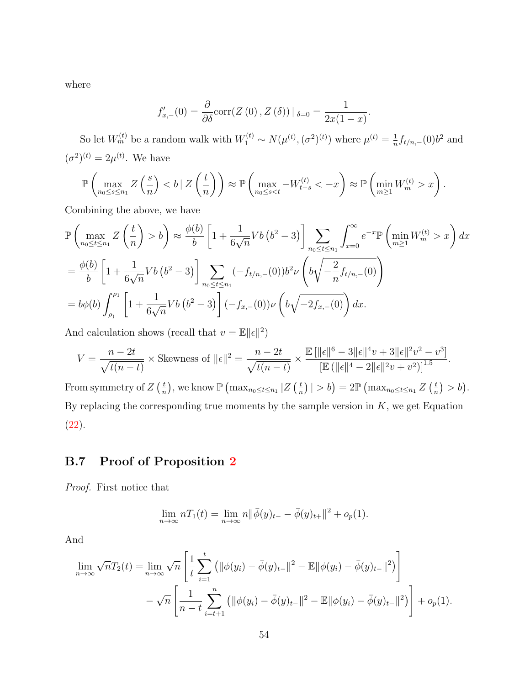where

$$
f'_{x,-}(0) = \frac{\partial}{\partial \delta} \text{corr}(Z(0), Z(\delta)) |_{\delta=0} = \frac{1}{2x(1-x)}.
$$

So let  $W_m^{(t)}$  be a random walk with  $W_1^{(t)} \sim N(\mu^{(t)}, (\sigma^2)^{(t)})$  where  $\mu^{(t)} = \frac{1}{n}$  $\frac{1}{n} f_{t/n,-}(0) b^2$  and  $(\sigma^2)^{(t)} = 2\mu^{(t)}$ . We have

$$
\mathbb{P}\left(\max_{n_0\leq s\leq n_1} Z\left(\frac{s}{n}\right) < b \mid Z\left(\frac{t}{n}\right)\right) \approx \mathbb{P}\left(\max_{n_0\leq s="" <="" -w_{t-s}^{(t)}="" -x\right)="" 1}="" \approx="" \mathbb{p}\left(\min_{m\geq="" math="" w_m^{(t)}="" x\right).<="">
$$

Combining the above, we have

$$
\mathbb{P}\left(\max_{n_0 \le t \le n_1} Z\left(\frac{t}{n}\right) > b\right) \approx \frac{\phi(b)}{b} \left[1 + \frac{1}{6\sqrt{n}} Vb\left(b^2 - 3\right)\right] \sum_{n_0 \le t \le n_1} \int_{x=0}^{\infty} e^{-x} \mathbb{P}\left(\min_{m \ge 1} W_m^{(t)} > x\right) dx
$$
  
\n
$$
= \frac{\phi(b)}{b} \left[1 + \frac{1}{6\sqrt{n}} Vb\left(b^2 - 3\right)\right] \sum_{n_0 \le t \le n_1} (-f_{t/n,-}(0)) b^2 \nu \left(b\sqrt{-\frac{2}{n}} f_{t/n,-}(0)\right)
$$
  
\n
$$
= b\phi(b) \int_{\rho_1}^{\rho_1} \left[1 + \frac{1}{6\sqrt{n}} Vb\left(b^2 - 3\right)\right] (-f_{x,-}(0)) \nu \left(b\sqrt{-2f_{x,-}(0)}\right) dx.
$$

And calculation shows (recall that  $v = \mathbb{E} ||\epsilon||^2$ )

$$
V = \frac{n - 2t}{\sqrt{t(n - t)}} \times \text{Skewness of } ||\epsilon||^2 = \frac{n - 2t}{\sqrt{t(n - t)}} \times \frac{\mathbb{E}[\|\epsilon\|^6 - 3\|\epsilon\|^4 v + 3\|\epsilon\|^2 v^2 - v^3]}{\left[\mathbb{E}(\|\epsilon\|^4 - 2\|\epsilon\|^2 v + v^2)\right]^{1.5}}.
$$

From symmetry of  $Z\left(\frac{t}{n}\right)$  $(\frac{t}{n})$ , we know  $\mathbb{P}(\max_{n_0\leq t\leq n_1}|Z|(\frac{t}{n}))$  $\left(\frac{t}{n}\right)$  | > b) =  $2\mathbb{P}\left(\max_{n_0\leq t\leq n_1} Z\left(\frac{t}{n}\right)\right)$  $(\frac{t}{n}) > b$ . By replacing the corresponding true moments by the sample version in  $K$ , we get Equation [\(22\)](#page-14-0).

## <span id="page-53-0"></span>B.7 Proof of Proposition [2](#page-30-1)

Proof. First notice that

$$
\lim_{n \to \infty} nT_1(t) = \lim_{n \to \infty} n ||\bar{\phi}(y)_{t-} - \bar{\phi}(y)_{t+}||^2 + o_p(1).
$$

And

$$
\lim_{n \to \infty} \sqrt{n} T_2(t) = \lim_{n \to \infty} \sqrt{n} \left[ \frac{1}{t} \sum_{i=1}^t (||\phi(y_i) - \bar{\phi}(y)_{t-}||^2 - \mathbb{E}||\phi(y_i) - \bar{\phi}(y)_{t-}||^2) \right] - \sqrt{n} \left[ \frac{1}{n-t} \sum_{i=t+1}^n (||\phi(y_i) - \bar{\phi}(y)_{t-}||^2 - \mathbb{E}||\phi(y_i) - \bar{\phi}(y)_{t-}||^2) \right] + o_p(1).
$$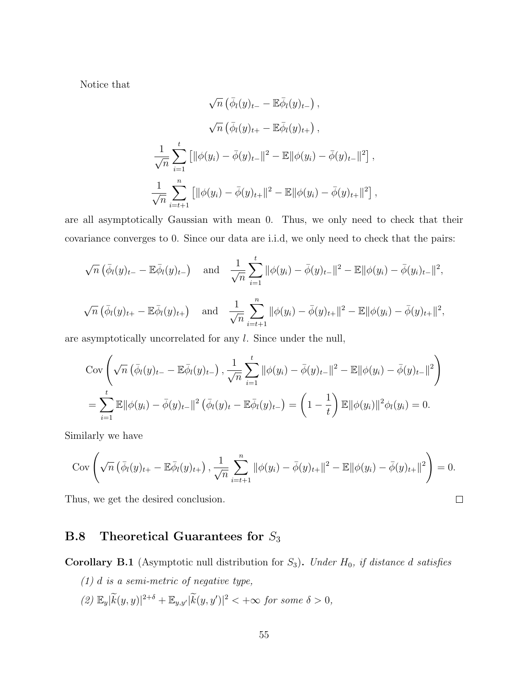Notice that

$$
\sqrt{n} \left( \bar{\phi}_l(y)_{t-} - \mathbb{E} \bar{\phi}_l(y)_{t-} \right),
$$
  

$$
\sqrt{n} \left( \bar{\phi}_l(y)_{t+} - \mathbb{E} \bar{\phi}_l(y)_{t+} \right),
$$
  

$$
\frac{1}{\sqrt{n}} \sum_{i=1}^t \left[ \| \phi(y_i) - \bar{\phi}(y)_{t-} \|^2 - \mathbb{E} \| \phi(y_i) - \bar{\phi}(y)_{t-} \|^2 \right],
$$
  

$$
\frac{1}{\sqrt{n}} \sum_{i=t+1}^n \left[ \| \phi(y_i) - \bar{\phi}(y)_{t+} \|^2 - \mathbb{E} \| \phi(y_i) - \bar{\phi}(y)_{t+} \|^2 \right],
$$

are all asymptotically Gaussian with mean 0. Thus, we only need to check that their covariance converges to 0. Since our data are i.i.d, we only need to check that the pairs:

$$
\sqrt{n} \left( \bar{\phi}_l(y)_{t-} - \mathbb{E}\bar{\phi}_l(y)_{t-} \right) \quad \text{and} \quad \frac{1}{\sqrt{n}} \sum_{i=1}^t \|\phi(y_i) - \bar{\phi}(y)_{t-}\|^2 - \mathbb{E} \|\phi(y_i) - \bar{\phi}(y)_{t-}\|^2,
$$
  

$$
\sqrt{n} \left( \bar{\phi}_l(y)_{t+} - \mathbb{E}\bar{\phi}_l(y)_{t+} \right) \quad \text{and} \quad \frac{1}{\sqrt{n}} \sum_{i=t+1}^n \|\phi(y_i) - \bar{\phi}(y)_{t+}\|^2 - \mathbb{E} \|\phi(y_i) - \bar{\phi}(y)_{t+}\|^2,
$$

are asymptotically uncorrelated for any l. Since under the null,

$$
\text{Cov}\left(\sqrt{n}\left(\bar{\phi}_{l}(y)_{t-} - \mathbb{E}\bar{\phi}_{l}(y)_{t-}\right), \frac{1}{\sqrt{n}}\sum_{i=1}^{t} ||\phi(y_{i}) - \bar{\phi}(y)_{t-}||^{2} - \mathbb{E}||\phi(y_{i}) - \bar{\phi}(y)_{t-}||^{2}\right) \n= \sum_{i=1}^{t} \mathbb{E}||\phi(y_{i}) - \bar{\phi}(y)_{t-}||^{2}\left(\bar{\phi}_{l}(y)_{t-} - \mathbb{E}\bar{\phi}_{l}(y)_{t-}\right) = \left(1 - \frac{1}{t}\right)\mathbb{E}||\phi(y_{i})||^{2}\phi_{l}(y_{i}) = 0.
$$

Similarly we have

$$
Cov \left( \sqrt{n} \left( \bar{\phi}_l(y)_{t+} - \mathbb{E} \bar{\phi}_l(y)_{t+} \right), \frac{1}{\sqrt{n}} \sum_{i=t+1}^n \|\phi(y_i) - \bar{\phi}(y)_{t+}\|^2 - \mathbb{E} \|\phi(y_i) - \bar{\phi}(y)_{t+}\|^2 \right) = 0.
$$

 $\Box$ 

Thus, we get the desired conclusion.

## <span id="page-54-0"></span>**B.8** Theoretical Guarantees for  $S_3$

<span id="page-54-1"></span>Corollary B.1 (Asymptotic null distribution for  $S_3$ ). Under  $H_0$ , if distance d satisfies

 $(1)$  d is a semi-metric of negative type,  $(2)$   $\mathbb{E}_y|\widetilde{k}(y,y)|^{2+\delta} + \mathbb{E}_{y,y'}|\widetilde{k}(y,y')|^2 < +\infty$  for some  $\delta > 0$ ,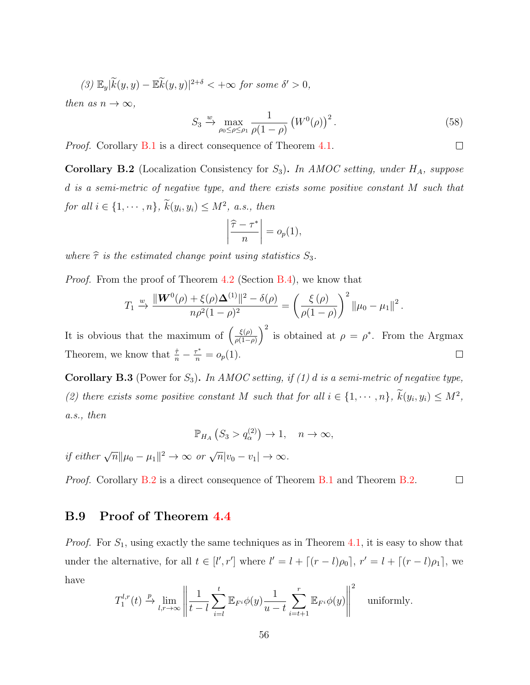$$
(3) \mathbb{E}_y|\widetilde{k}(y,y) - \mathbb{E}\widetilde{k}(y,y)|^{2+\delta} < +\infty \text{ for some } \delta' > 0,
$$

then as  $n \to \infty$ ,

$$
S_3 \xrightarrow{\omega} \max_{\rho_0 \le \rho \le \rho_1} \frac{1}{\rho(1-\rho)} \left( W^0(\rho) \right)^2. \tag{58}
$$

 $\Box$ 

*Proof.* Corollary [B.1](#page-54-1) is a direct consequence of Theorem [4.1.](#page-12-2)

<span id="page-55-1"></span>**Corollary B.2** (Localization Consistency for  $S_3$ ). In AMOC setting, under  $H_A$ , suppose d is a semi-metric of negative type, and there exists some positive constant M such that for all  $i \in \{1, \dots, n\}$ ,  $k(y_i, y_i) \leq M^2$ , a.s., then

$$
\left|\frac{\widehat{\tau}-\tau^*}{n}\right|=o_p(1),
$$

where  $\hat{\tau}$  is the estimated change point using statistics  $S_3$ .

Proof. From the proof of Theorem [4.2](#page-15-1) (Section [B.4\)](#page-38-2), we know that

$$
T_1 \xrightarrow{w} \frac{\|\mathbf{W}^0(\rho) + \xi(\rho)\mathbf{\Delta}^{(1)}\|^2 - \delta(\rho)}{n\rho^2(1-\rho)^2} = \left(\frac{\xi(\rho)}{\rho(1-\rho)}\right)^2 \|\mu_0 - \mu_1\|^2.
$$

 $\frac{\xi(\rho)}{\rho(1-\rho)}$  is obtained at  $\rho = \rho^*$ . From the Argmax It is obvious that the maximum of  $\left(\frac{\xi(\rho)}{a(1-\rho)}\right)$ Theorem, we know that  $\frac{\hat{\tau}}{n} - \frac{\tau^*}{n} = o_p(1)$ .  $\Box$ 

<span id="page-55-0"></span>**Corollary B.3** (Power for  $S_3$ ). In AMOC setting, if (1) d is a semi-metric of negative type, (2) there exists some positive constant M such that for all  $i \in \{1, \dots, n\}$ ,  $k(y_i, y_i) \leq M^2$ , a.s., then

$$
\mathbb{P}_{H_A}\left(S_3 > q_\alpha^{(2)}\right) \to 1, \quad n \to \infty,
$$

if either  $\sqrt{n} \|\mu_0 - \mu_1\|^2 \to \infty$  or  $\sqrt{n}|v_0 - v_1| \to \infty$ .

 $\Box$ *Proof.* Corollary [B.2](#page-55-1) is a direct consequence of Theorem [B.1](#page-38-0) and Theorem [B.2.](#page-38-1)

## B.9 Proof of Theorem [4.4](#page-18-2)

*Proof.* For  $S_1$ , using exactly the same techniques as in Theorem [4.1,](#page-12-2) it is easy to show that under the alternative, for all  $t \in [l', r']$  where  $l' = l + [(r - l)\rho_0], r' = l + [(r - l)\rho_1],$  we have

$$
T_1^{l,r}(t) \xrightarrow{p} \lim_{l,r \to \infty} \left\| \frac{1}{t-l} \sum_{i=l}^t \mathbb{E}_{F^i} \phi(y) \frac{1}{u-t} \sum_{i=t+1}^r \mathbb{E}_{F^i} \phi(y) \right\|^2 \quad \text{uniformly.}
$$